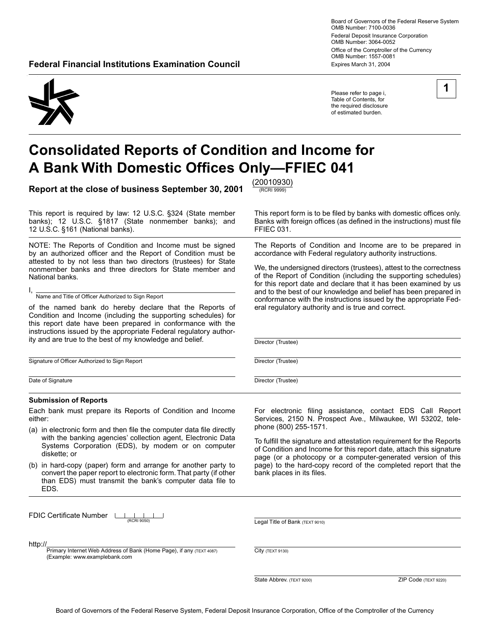Board of Governors of the Federal Reserve System OMB Number: 7100-0036 Federal Deposit Insurance Corporation OMB Number: 3064-0052 Office of the Comptroller of the Currency OMB Number: 1557-0081 **Federal Financial Institutions Examination Council <b>Expires March 31, 2004** Expires March 31, 2004

Please refer to page i, Table of Contents, for the required disclosure of estimated burden.

# **Consolidated Reports of Condition and Income for A Bank With Domestic Offices Only-FFIEC 041**

**Report at the close of business September 30, 2001**  $\frac{(20010930)}{(\text{RCRI 9999})}$ 

This report is required by law: 12 U.S.C. §324 (State member This report form is to be filed by banks with domestic offices only.<br>
banks): 12 U.S.C. §1817 (State nonmember banks); and Banks with foreign offices (as defined 12 U.S.C. §161 (National banks). FFIEC 031.

NOTE: The Reports of Condition and Income must be signed by an authorized officer and the Report of Condition must be attested to by not less than two directors (trustees) for State nonmember banks and three directors for State member and National banks.

I, Name and Title of Officer Authorized to Sign Report

of the named bank do hereby declare that the Reports of Condition and Income (including the supporting schedules) for this report date have been prepared in conformance with the instructions issued by the appropriate Federal regulatory authority and are true to the best of my knowledge and belief.

Signature of Officer Authorized to Sign Report

Date of Signature

#### **Submission of Reports**

Each bank must prepare its Reports of Condition and Income either:

- (a) in electronic form and then file the computer data file directly with the banking agencies' collection agent, Electronic Data Systems Corporation (EDS), by modem or on computer diskette; or
- (b) in hard-copy (paper) form and arrange for another party to convert the paper report to electronic form. That party (if other than EDS) must transmit the bank's computer data file to EDS.

FDIC Certificate Number LL  $\mathbf{I}$ 

http://

Primary Internet Web Address of Bank (Home Page), if any (TEXT 4087) (Example: www.examplebank.com

For electronic filing assistance, contact EDS Call Report Services, 2150 N. Prospect Ave., Milwaukee, WI 53202, telephone (800) 255-1571.

To fulfill the signature and attestation requirement for the Reports of Condition and Income for this report date, attach this signature page (or a photocopy or a computer-generated version of this page) to the hard-copy record of the completed report that the bank places in its files.

(RCRI 9050) Legal Title of Bank (TEXT 9010)

City (TEXT 9130)

# **1**

Banks with foreign offices (as defined in the instructions) must file

The Reports of Condition and Income are to be prepared in accordance with Federal regulatory authority instructions.

We, the undersigned directors (trustees), attest to the correctness of the Report of Condition (including the supporting schedules) for this report date and declare that it has been examined by us and to the best of our knowledge and belief has been prepared in conformance with the instructions issued by the appropriate Federal regulatory authority and is true and correct.

Director (Trustee)

Director (Trustee)

Director (Trustee)

State Abbrev. (TEXT 9200) 2IP Code (TEXT 9220)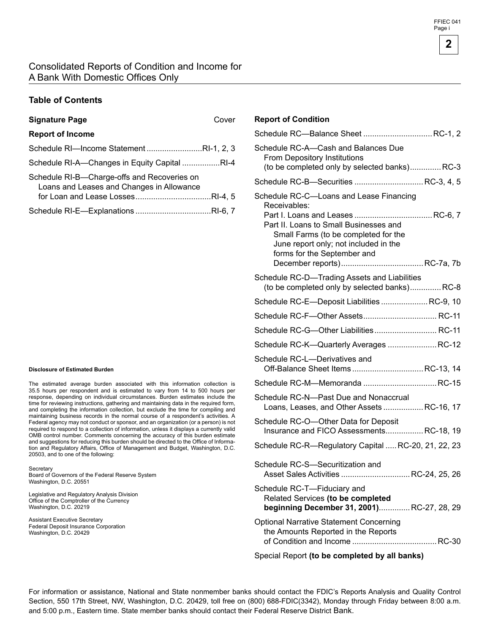### Consolidated Reports of Condition and Income for A Bank With Domestic Offices Only

### **Table of Contents**

# **Signature Page** Cover **Report of Income**  Schedule RI-lncome Statement ..........................RI-1, 2, 3 Schedule RI-A-Changes in Equity Capital .................RI-4

| Schedule RI-B-Charge-offs and Recoveries on |  |
|---------------------------------------------|--|
| Loans and Leases and Changes in Allowance   |  |
|                                             |  |
|                                             |  |

#### **Disclosure of Estimated Burden**

The estimated average burden associated with this information collection is 35.5 hours per respondent and is estimated to vary from 14 to 500 hours per response, depending on individual circumstances. Burden estimates include the time for reviewing instructions, gathering and maintaining data in the required form, and completing the information collection, but exclude the time for compiling and maintaining business records in the normal course of a respondent's activities. A Federal agency may not conduct or sponsor, and an organization (or a person) is not required to respond to a collection of information, unless it displays a currently valid OMB control number. Comments concerning the accuracy of this burden estimate and suggestions for reducing this burden should be directed to the Office of Information and Regulatory Affairs, Office of Management and Budget, Washington, D.C. 20503, and to one of the following:

#### **Secretary** Board of Governors of the Federal Reserve System Washington, D.C. 20551

Legislative and Regulatory Analysis Division Office of the Comptroller of the Currency Washington, D.C. 20219

Assistant Executive Secretary Federal Deposit Insurance Corporation Washington, D.C. 20429

#### **Report of Condition**

| Schedule RC-A-Cash and Balances Due<br>From Depository Institutions<br>(to be completed only by selected banks) RC-3                                                                                              |
|-------------------------------------------------------------------------------------------------------------------------------------------------------------------------------------------------------------------|
| Schedule RC-B-Securities  RC-3, 4, 5                                                                                                                                                                              |
| Schedule RC-C-Loans and Lease Financing<br>Receivables:<br>Part II. Loans to Small Businesses and<br>Small Farms (to be completed for the<br>June report only; not included in the<br>forms for the September and |
| Schedule RC-D-Trading Assets and Liabilities<br>(to be completed only by selected banks)RC-8                                                                                                                      |
| Schedule RC-E-Deposit Liabilities  RC-9, 10                                                                                                                                                                       |
|                                                                                                                                                                                                                   |
| Schedule RC-G-Other Liabilities RC-11                                                                                                                                                                             |
| Schedule RC-K-Quarterly Averages  RC-12                                                                                                                                                                           |
| Schedule RC-L-Derivatives and<br>Off-Balance Sheet ItemsRC-13, 14                                                                                                                                                 |
|                                                                                                                                                                                                                   |
| Schedule RC-N-Past Due and Nonaccrual<br>Loans, Leases, and Other Assets RC-16, 17                                                                                                                                |
| Schedule RC-O-Other Data for Deposit<br>Insurance and FICO AssessmentsRC-18, 19                                                                                                                                   |
| Schedule RC-R-Regulatory Capital  RC-20, 21, 22, 23                                                                                                                                                               |
| Schedule RC-S-Securitization and<br>Asset Sales Activities  RC-24, 25, 26                                                                                                                                         |
| Schedule RC-T-Fiduciary and<br>Related Services (to be completed<br>beginning December 31, 2001) RC-27, 28, 29                                                                                                    |
| <b>Optional Narrative Statement Concerning</b><br>the Amounts Reported in the Reports                                                                                                                             |
|                                                                                                                                                                                                                   |

Special Report **(to be completed by all banks)** 

For information or assistance, National and State nonmember banks should contact the FDIC's Reports Analysis and Quality Control Section, 550 17th Street, NW, Washington, D.C. 20429, toll free on (800) 688-FDIC(3342), Monday through Friday between 8:00 a.m. and 5:00 p.m., Eastern time. State member banks should contact their Federal Reserve District Bank.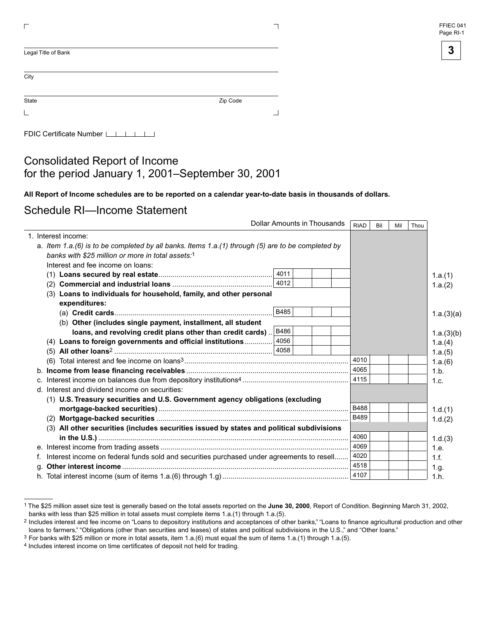

| Legal Title of Bank |          |
|---------------------|----------|
| City                |          |
|                     |          |
| State               | Zip Code |
|                     |          |

FDIC Certificate Number [16]

## Consolidated Report of Income for the period January 1, 2001 –September 30, 2001

All Report of Income schedules are to be reported on a calendar year-to-date basis in thousands of dollars.

Schedule RI—Income Statement

|    | Dollar Amounts in Thousands                                                                       |             |  | <b>RIAD</b> | Bil | Mil | Thou |            |
|----|---------------------------------------------------------------------------------------------------|-------------|--|-------------|-----|-----|------|------------|
|    | 1. Interest income:                                                                               |             |  |             |     |     |      |            |
|    | a. Item 1.a.(6) is to be completed by all banks. Items 1.a.(1) through (5) are to be completed by |             |  |             |     |     |      |            |
|    | banks with \$25 million or more in total assets:1                                                 |             |  |             |     |     |      |            |
|    | Interest and fee income on loans:                                                                 |             |  |             |     |     |      |            |
|    |                                                                                                   | 4011        |  |             |     |     |      | 1.a.(1)    |
|    | (2)                                                                                               | 4012        |  |             |     |     |      | 1.a.(2)    |
|    | (3) Loans to individuals for household, family, and other personal                                |             |  |             |     |     |      |            |
|    | expenditures:                                                                                     |             |  |             |     |     |      |            |
|    |                                                                                                   | B485        |  |             |     |     |      | 1.a.(3)(a) |
|    | (b) Other (includes single payment, installment, all student                                      |             |  |             |     |     |      |            |
|    | loans, and revolving credit plans other than credit cards)                                        | <b>B486</b> |  |             |     |     |      | 1.a.(3)(b) |
|    | (4) Loans to foreign governments and official institutions                                        | 4056        |  |             |     |     |      | 1.a.(4)    |
|    |                                                                                                   |             |  |             |     |     |      | 1.a.(5)    |
|    |                                                                                                   |             |  | 4010        |     |     |      | 1.a.(6)    |
|    |                                                                                                   |             |  | 4065        |     |     |      | 1.b.       |
|    |                                                                                                   |             |  | 4115        |     |     |      | 1.c.       |
|    | d. Interest and dividend income on securities:                                                    |             |  |             |     |     |      |            |
|    | (1) U.S. Treasury securities and U.S. Government agency obligations (excluding                    |             |  |             |     |     |      |            |
|    |                                                                                                   |             |  | B488        |     |     |      | 1.d.(1)    |
|    | (2)                                                                                               |             |  | B489        |     |     |      | 1.d.(2)    |
|    | (3) All other securities (includes securities issued by states and political subdivisions         |             |  |             |     |     |      |            |
|    |                                                                                                   |             |  | 4060        |     |     |      | 1.d.(3)    |
|    |                                                                                                   |             |  | 4069        |     |     |      | 1.e.       |
|    | Interest income on federal funds sold and securities purchased under agreements to resell         |             |  | 4020        |     |     |      | 1.f.       |
| α. |                                                                                                   |             |  | 4518        |     |     |      | 1.g.       |
|    |                                                                                                   |             |  | 4107        |     |     |      | 1.h.       |

<sup>&</sup>lt;sup>1</sup> The \$25 million asset size test is generally based on the total assets reported on the June 30, 2000, Report of Condition. Beginning March 31, 2002, banks with less than \$25 million in total assets must complete items 1.a.(1) through 1.a.(5).

<sup>&</sup>lt;sup>2</sup> Includes interest and fee income on "Loans to depository institutions and acceptances of other banks," "Loans to finance agricultural production and other loans to farmers," "Obligations (other than securities and leases) of states and political subdivisions in the U.S.," and "Other loans."

<sup>3</sup> For banks with \$25 million or more in total assets, item 1.a.(6) must equal the sum of items 1.a.(1) through 1.a.(5).

<sup>4</sup> Includes interest income on time certificates of deposit not held for trading.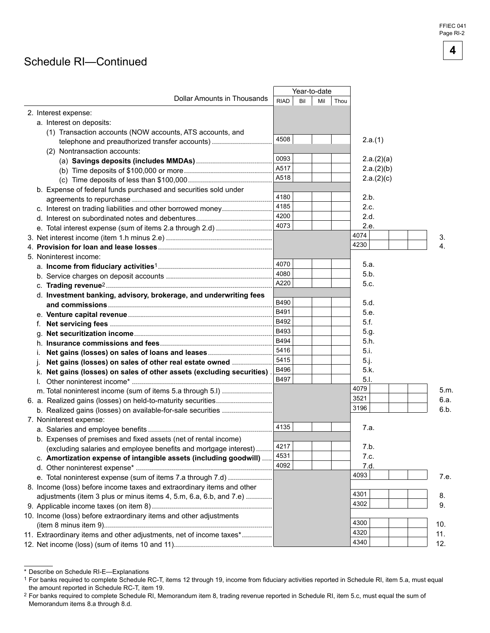FFIEC 041 Page RI-2

**4** 

## Schedule RI-Continued

|                                                                        |             |     | Year-to-date |      |            |      |
|------------------------------------------------------------------------|-------------|-----|--------------|------|------------|------|
| <b>Dollar Amounts in Thousands</b>                                     | <b>RIAD</b> | Bil | Mil          | Thou |            |      |
| 2. Interest expense:                                                   |             |     |              |      |            |      |
| a. Interest on deposits:                                               |             |     |              |      |            |      |
| (1) Transaction accounts (NOW accounts, ATS accounts, and              |             |     |              |      |            |      |
| telephone and preauthorized transfer accounts)                         | 4508        |     |              |      | 2.a.(1)    |      |
| (2) Nontransaction accounts:                                           |             |     |              |      |            |      |
|                                                                        | 0093        |     |              |      | 2.a.(2)(a) |      |
|                                                                        | A517        |     |              |      | 2.a.(2)(b) |      |
|                                                                        | A518        |     |              |      | 2.a.(2)(c) |      |
| b. Expense of federal funds purchased and securities sold under        |             |     |              |      |            |      |
|                                                                        | 4180        |     |              |      | 2.b.       |      |
| c. Interest on trading liabilities and other borrowed money            | 4185        |     |              |      | 2.c.       |      |
|                                                                        | 4200        |     |              |      | 2.d.       |      |
|                                                                        | 4073        |     |              |      | 2.e.       |      |
|                                                                        |             |     |              |      | 4074       | 3.   |
|                                                                        |             |     |              |      | 4230       | 4.   |
| 5. Noninterest income:                                                 |             |     |              |      |            |      |
|                                                                        | 4070        |     |              |      | 5.a.       |      |
|                                                                        | 4080        |     |              |      | 5.b.       |      |
|                                                                        | A220        |     |              |      | 5.c.       |      |
| d. Investment banking, advisory, brokerage, and underwriting fees      |             |     |              |      |            |      |
|                                                                        | B490        |     |              |      | 5.d.       |      |
|                                                                        | B491        |     |              |      | 5.e.       |      |
|                                                                        | B492        |     |              |      | 5.f.       |      |
|                                                                        | B493        |     |              |      | 5.g.       |      |
|                                                                        | B494        |     |              |      | 5.h.       |      |
|                                                                        | 5416        |     |              |      | 5.i.       |      |
| İ.                                                                     | 5415        |     |              |      | 5.j.       |      |
| Net gains (losses) on sales of other real estate owned                 | B496        |     |              |      | 5.k.       |      |
| k. Net gains (losses) on sales of other assets (excluding securities)  | B497        |     |              |      | 5.1.       |      |
| I.                                                                     |             |     |              |      | 4079       |      |
|                                                                        |             |     |              |      | 3521       | 5.m. |
|                                                                        |             |     |              |      |            | 6.a. |
|                                                                        |             |     |              |      | 3196       | 6.b. |
| 7. Noninterest expense:                                                |             |     |              |      |            |      |
|                                                                        | 4135        |     |              |      | 7.a.       |      |
| b. Expenses of premises and fixed assets (net of rental income)        |             |     |              |      |            |      |
| (excluding salaries and employee benefits and mortgage interest)       | 4217        |     |              |      | 7.b.       |      |
| c. Amortization expense of intangible assets (including goodwill)      | 4531        |     |              |      | 7.c.       |      |
|                                                                        | 4092        |     |              |      | 7.d.       |      |
| e. Total noninterest expense (sum of items 7.a through 7.d)            |             |     |              |      | 4093       | 7.e. |
| 8. Income (loss) before income taxes and extraordinary items and other |             |     |              |      |            |      |
| adjustments (item 3 plus or minus items 4, 5.m, 6.a, 6.b, and 7.e)     |             |     |              |      | 4301       | 8.   |
|                                                                        |             |     |              |      | 4302       | 9.   |
| 10. Income (loss) before extraordinary items and other adjustments     |             |     |              |      |            |      |
|                                                                        |             |     |              |      | 4300       | 10.  |
| 11. Extraordinary items and other adjustments, net of income taxes*    |             |     |              |      | 4320       | 11.  |
|                                                                        |             |     |              |      | 4340       | 12.  |

<sup>\*</sup> Describe on Schedule RI-E-Explanations

<sup>1</sup> For banks required to complete Schedule RC-T, items 12 through 19, income from fiduciary activities reported in Schedule RI, item 5.a, must equal the amount reported in Schedule RC-T, item 19.

<sup>&</sup>lt;sup>2</sup> For banks required to complete Schedule RI, Memorandum item 8, trading revenue reported in Schedule RI, item 5.c, must equal the sum of Memorandum items 8.a through 8.d.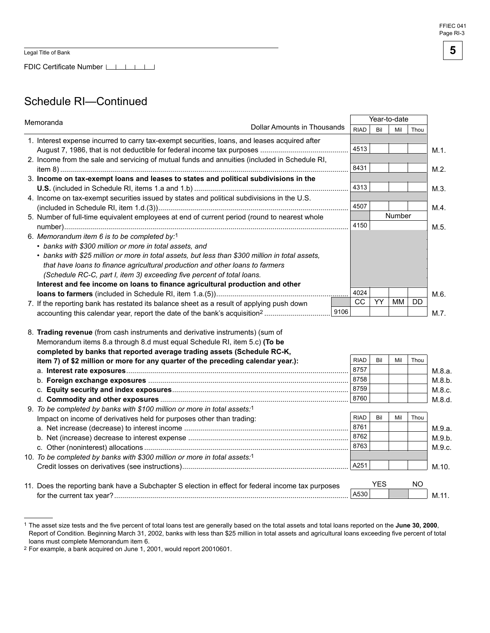FDIC Certificate Number LILLI

# Schedule RI-Continued

| Memoranda                                                                                       |            |     | Year-to-date |           |         |
|-------------------------------------------------------------------------------------------------|------------|-----|--------------|-----------|---------|
| Dollar Amounts in Thousands                                                                     | RIAD       | Bil | Mil          | Thou      |         |
| 1. Interest expense incurred to carry tax-exempt securities, loans, and leases acquired after   |            |     |              |           |         |
|                                                                                                 | 4513       |     |              |           | $M.1$ . |
| 2. Income from the sale and servicing of mutual funds and annuities (included in Schedule RI,   |            |     |              |           |         |
|                                                                                                 | 8431       |     |              |           | M.2.    |
| 3. Income on tax-exempt loans and leases to states and political subdivisions in the            |            |     |              |           |         |
|                                                                                                 | 4313       |     |              |           | M.3.    |
| 4. Income on tax-exempt securities issued by states and political subdivisions in the U.S.      |            |     |              |           |         |
|                                                                                                 | 4507       |     |              |           | M.4.    |
| 5. Number of full-time equivalent employees at end of current period (round to nearest whole    |            |     | Number       |           |         |
|                                                                                                 | 4150       |     |              |           | M.5.    |
| 6. Memorandum item 6 is to be completed by:1                                                    |            |     |              |           |         |
| • banks with \$300 million or more in total assets, and                                         |            |     |              |           |         |
| • banks with \$25 million or more in total assets, but less than \$300 million in total assets, |            |     |              |           |         |
| that have loans to finance agricultural production and other loans to farmers                   |            |     |              |           |         |
| (Schedule RC-C, part I, item 3) exceeding five percent of total loans.                          |            |     |              |           |         |
| Interest and fee income on loans to finance agricultural production and other                   |            |     |              |           |         |
|                                                                                                 | 4024<br>CC | YY. |              | <b>DD</b> | M.6.    |
| 7. If the reporting bank has restated its balance sheet as a result of applying push down       |            |     | МM           |           |         |
| 9106                                                                                            |            |     |              |           | $M.7$ . |

| 8. Trading revenue (from cash instruments and derivative instruments) (sum of                      |             |            |     |      |        |
|----------------------------------------------------------------------------------------------------|-------------|------------|-----|------|--------|
| Memorandum items 8.a through 8.d must equal Schedule RI, item 5.c) (To be                          |             |            |     |      |        |
| completed by banks that reported average trading assets (Schedule RC-K,                            |             |            |     |      |        |
| item 7) of \$2 million or more for any quarter of the preceding calendar year.):                   | <b>RIAD</b> | Bil        | Mil | Thou |        |
|                                                                                                    | 8757        |            |     |      | M.8.a. |
|                                                                                                    | 8758        |            |     |      | M.8.b. |
|                                                                                                    | 8759        |            |     |      | M.8.c. |
|                                                                                                    | 8760        |            |     |      | M.8.d. |
| 9. To be completed by banks with \$100 million or more in total assets:1                           |             |            |     |      |        |
| Impact on income of derivatives held for purposes other than trading:                              | <b>RIAD</b> | Bil        | Mil | Thou |        |
|                                                                                                    | 8761        |            |     |      | M.9.a. |
|                                                                                                    | 8762        |            |     |      | M.9.b. |
|                                                                                                    | 8763        |            |     |      | M.9.c. |
| 10. To be completed by banks with \$300 million or more in total assets:1                          |             |            |     |      |        |
|                                                                                                    | A251        |            |     |      | M.10.  |
|                                                                                                    |             |            |     |      |        |
| 11. Does the reporting bank have a Subchapter S election in effect for federal income tax purposes |             | <b>YES</b> |     | NO.  |        |
|                                                                                                    | A530        |            |     |      | M.11.  |
|                                                                                                    |             |            |     |      |        |

<sup>&</sup>lt;sup>1</sup> The asset size tests and the five percent of total loans test are generally based on the total assets and total loans reported on the **June 30, 2000**, Report of Condition. Beginning March 31, 2002, banks with less than \$25 million in total assets and agricultural loans exceeding five percent of total loans must complete Memorandum item 6.

<sup>2</sup> For example, a bank acquired on June 1, 2001, would report 20010601.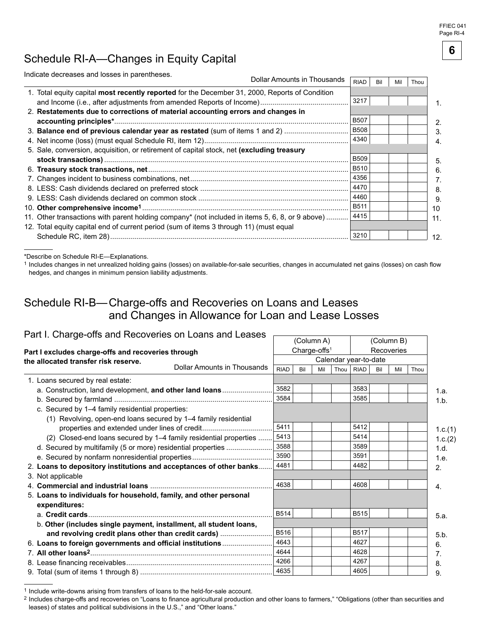FFIEC 041 Page RI-4

**6** 

# Schedule RI-A-Changes in Equity Capital

| Indicate decreases and losses in parentheses.                                                   |                             |             |     |     |      |
|-------------------------------------------------------------------------------------------------|-----------------------------|-------------|-----|-----|------|
|                                                                                                 | Dollar Amounts in Thousands | <b>RIAD</b> | Bil | Mil | Thou |
| 1. Total equity capital most recently reported for the December 31, 2000, Reports of Condition  |                             |             |     |     |      |
|                                                                                                 |                             | 3217        |     |     |      |
| 2. Restatements due to corrections of material accounting errors and changes in                 |                             |             |     |     |      |
|                                                                                                 |                             | <b>B507</b> |     |     |      |
| 3. Balance end of previous calendar year as restated (sum of items 1 and 2)                     |                             | <b>B508</b> |     |     |      |
|                                                                                                 |                             | 4340        |     |     |      |
| 5. Sale, conversion, acquisition, or retirement of capital stock, net (excluding treasury       |                             |             |     |     |      |
|                                                                                                 |                             | <b>B509</b> |     |     |      |
|                                                                                                 |                             | B510        |     |     |      |
|                                                                                                 |                             | 4356        |     |     |      |
|                                                                                                 |                             | 4470        |     |     |      |
|                                                                                                 |                             | 4460        |     |     |      |
|                                                                                                 |                             | <b>B511</b> |     |     |      |
| 11. Other transactions with parent holding company* (not included in items 5, 6, 8, or 9 above) |                             | 4415        |     |     |      |
| 12. Total equity capital end of current period (sum of items 3 through 11) (must equal          |                             |             |     |     |      |
|                                                                                                 |                             | 3210        |     |     |      |

\*Describe on Schedule RI-E-Explanations.

1 Includes changes in net unrealized holding gains (losses) on available-for-sale securities, changes in accumulated net gains (losses) on cash flow hedges, and changes in minimum pension liability adjustments.

# Schedule RI-B-Charge-offs and Recoveries on Loans and Leases and Changes in Allowance for Loan and Lease Losses

### Part I. Charge-offs and Recoveries on Loans and Leases -

| $5.15$ and $1.55$ , $0.15$ , $0.15$ and $0.11$ and $0.11$ and $0.11$ and $0.11$ and $0.11$ and $0.11$ and $0.11$ and $0.11$ and $0.11$ and $0.11$ and $0.11$ and $0.11$ and $0.11$ and $0.11$ and $0.11$ and $0.11$ and $0.11$ |             |     | (Column A)               |                       |     | (Column B) |      |         |
|--------------------------------------------------------------------------------------------------------------------------------------------------------------------------------------------------------------------------------|-------------|-----|--------------------------|-----------------------|-----|------------|------|---------|
| Part I excludes charge-offs and recoveries through                                                                                                                                                                             |             |     | Charge-offs <sup>1</sup> |                       |     | Recoveries |      |         |
| the allocated transfer risk reserve.                                                                                                                                                                                           |             |     |                          | Calendar year-to-date |     |            |      |         |
| Dollar Amounts in Thousands                                                                                                                                                                                                    | <b>RIAD</b> | Bil | Mil                      | Thou   RIAD           | Bil | Mil        | Thou |         |
| 1. Loans secured by real estate:                                                                                                                                                                                               |             |     |                          |                       |     |            |      |         |
| a. Construction, land development, and other land loans                                                                                                                                                                        | 3582        |     |                          | 3583                  |     |            |      | 1.a.    |
|                                                                                                                                                                                                                                | 3584        |     |                          | 3585                  |     |            |      | 1.b.    |
| c. Secured by 1-4 family residential properties:                                                                                                                                                                               |             |     |                          |                       |     |            |      |         |
| (1) Revolving, open-end loans secured by 1-4 family residential                                                                                                                                                                |             |     |                          |                       |     |            |      |         |
| properties and extended under lines of credit                                                                                                                                                                                  | 5411        |     |                          | 5412                  |     |            |      | 1.c.(1) |
| (2) Closed-end loans secured by 1-4 family residential properties                                                                                                                                                              | 5413        |     |                          | 5414                  |     |            |      | 1.c.(2) |
| d. Secured by multifamily (5 or more) residential properties                                                                                                                                                                   | 3588        |     |                          | 3589                  |     |            |      | 1.d.    |
|                                                                                                                                                                                                                                | 3590        |     |                          | 3591                  |     |            |      | 1.e.    |
| 2. Loans to depository institutions and acceptances of other banks                                                                                                                                                             | 4481        |     |                          | 4482                  |     |            |      | 2.      |
| 3. Not applicable                                                                                                                                                                                                              |             |     |                          |                       |     |            |      |         |
|                                                                                                                                                                                                                                | 4638        |     |                          | 4608                  |     |            |      | 4.      |
| 5. Loans to individuals for household, family, and other personal                                                                                                                                                              |             |     |                          |                       |     |            |      |         |
| expenditures:                                                                                                                                                                                                                  |             |     |                          |                       |     |            |      |         |
|                                                                                                                                                                                                                                | <b>B514</b> |     |                          | <b>B515</b>           |     |            |      | 5.a.    |
| b. Other (includes single payment, installment, all student loans,                                                                                                                                                             |             |     |                          |                       |     |            |      |         |
| and revolving credit plans other than credit cards)                                                                                                                                                                            | B516        |     |                          | <b>B517</b>           |     |            |      | 5.b.    |
| 6. Loans to foreign governments and official institutions                                                                                                                                                                      | 4643        |     |                          | 4627                  |     |            |      | 6.      |
|                                                                                                                                                                                                                                | 4644        |     |                          | 4628                  |     |            |      | 7.      |
|                                                                                                                                                                                                                                | 4266        |     |                          | 4267                  |     |            |      | 8.      |
|                                                                                                                                                                                                                                | 4635        |     |                          | 4605                  |     |            |      | 9.      |

<sup>1</sup> Include write-downs arising from transfers of loans to the held-for-sale account.

<sup>&</sup>lt;sup>2</sup> Includes charge-offs and recoveries on "Loans to finance agricultural production and other loans to farmers," "Obligations (other than securities and leases) of states and political subdivisions in the U.S.," and "Other loans."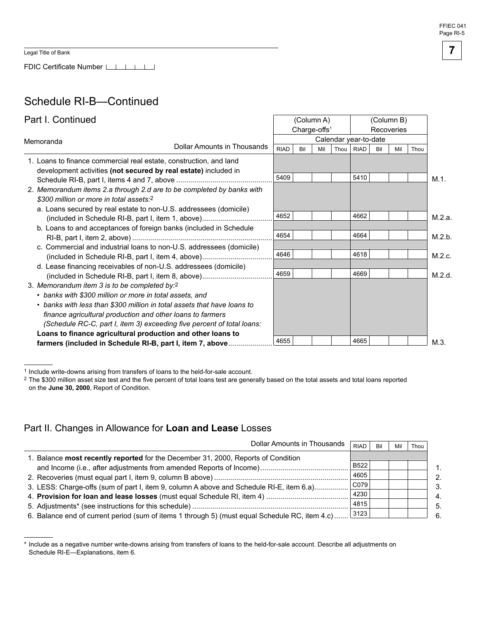FDIC Certificate Number LACTER LACTER

# Schedule RI-B-Continued

| Part I. Continued                                                                                                                     |                             |             | Charge-offs <sup>1</sup> | (Column A) |      |                       |     | (Column B)<br>Recoveries |      |         |
|---------------------------------------------------------------------------------------------------------------------------------------|-----------------------------|-------------|--------------------------|------------|------|-----------------------|-----|--------------------------|------|---------|
|                                                                                                                                       |                             |             |                          |            |      | Calendar year-to-date |     |                          |      |         |
| Memoranda                                                                                                                             | Dollar Amounts in Thousands | <b>RIAD</b> | Bil                      | Mil        | Thou | <b>RIAD</b>           | Bil | Mil                      | Thou |         |
| 1. Loans to finance commercial real estate, construction, and land<br>development activities (not secured by real estate) included in |                             |             |                          |            |      |                       |     |                          |      |         |
|                                                                                                                                       |                             | 5409        |                          |            |      | 5410                  |     |                          |      | $M.1$ . |
| 2. Memorandum items 2.a through 2.d are to be completed by banks with<br>\$300 million or more in total assets:2                      |                             |             |                          |            |      |                       |     |                          |      |         |
| a. Loans secured by real estate to non-U.S. addressees (domicile)                                                                     |                             | 4652        |                          |            |      | 4662                  |     |                          |      | M.2.a.  |
| b. Loans to and acceptances of foreign banks (included in Schedule                                                                    |                             |             |                          |            |      |                       |     |                          |      |         |
|                                                                                                                                       |                             | 4654        |                          |            |      | 4664                  |     |                          |      | M.2.b.  |
| c. Commercial and industrial loans to non-U.S. addressees (domicile)<br>(included in Schedule RI-B, part I, item 4, above)            |                             | 4646        |                          |            |      | 4618                  |     |                          |      | M.2.c.  |
| d. Lease financing receivables of non-U.S. addressees (domicile)                                                                      |                             | 4659        |                          |            |      | 4669                  |     |                          |      | M.2.d.  |
| 3. Memorandum item 3 is to be completed by:2                                                                                          |                             |             |                          |            |      |                       |     |                          |      |         |
| • banks with \$300 million or more in total assets, and                                                                               |                             |             |                          |            |      |                       |     |                          |      |         |
| • banks with less than \$300 million in total assets that have loans to                                                               |                             |             |                          |            |      |                       |     |                          |      |         |
| finance agricultural production and other loans to farmers                                                                            |                             |             |                          |            |      |                       |     |                          |      |         |
| (Schedule RC-C, part I, item 3) exceeding five percent of total loans:                                                                |                             |             |                          |            |      |                       |     |                          |      |         |
| Loans to finance agricultural production and other loans to                                                                           |                             |             |                          |            |      |                       |     |                          |      |         |
| farmers (included in Schedule RI-B, part I, item 7, above                                                                             |                             | 4655        |                          |            |      | 4665                  |     |                          |      | M.3.    |

1 Include write-downs arising from transfers of loans to the held-for-sale account.

<sup>2</sup> The \$300 million asset size test and the five percent of total loans test are generally based on the total assets and total loans reported on the **June 30, 2000**, Report of Condition.

### Part II. Changes in Allowance for **Loan and Lease** Losses

| Dollar Amounts in Thousands                                                                    | <b>RIAD</b> | Bil | Mi | Thou |
|------------------------------------------------------------------------------------------------|-------------|-----|----|------|
| 1. Balance most recently reported for the December 31, 2000, Reports of Condition              |             |     |    |      |
| and Income (i.e., after adjustments from amended Reports of Income)                            | <b>B522</b> |     |    |      |
|                                                                                                | 4605        |     |    |      |
| 3. LESS: Charge-offs (sum of part I, item 9, column A above and Schedule RI-E, item 6.a)       | CO79        |     |    |      |
|                                                                                                | 4230        |     |    |      |
|                                                                                                | 4815        |     |    |      |
| 6. Balance end of current period (sum of items 1 through 5) (must equal Schedule RC, item 4.c) | 3123        |     |    |      |

\* Include as a negative number write-downs arising from transfers of loans to the held-for-sale account. Describe all adjustments on Schedule RI-E-Explanations, item 6.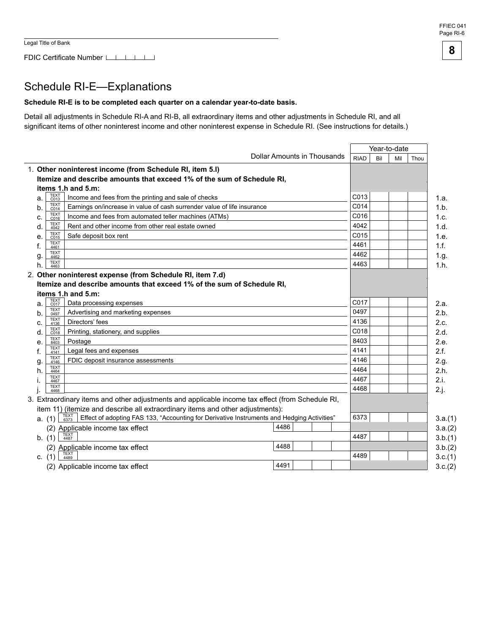#### FFIEC 041 Page RI-6

**8** 

# Schedule RI-E-Explanations

### **Schedule RI-E is to be completed each quarter on a calendar year-to-date basis.**

Detail all adjustments in Schedule RI-A and RI-B, all extraordinary items and other adjustments in Schedule RI, and all significant items of other noninterest income and other noninterest expense in Schedule RI. (See instructions for details.)

|          |                     |                                                                                                            |                             | Year-to-date |     |     |         |  |  |
|----------|---------------------|------------------------------------------------------------------------------------------------------------|-----------------------------|--------------|-----|-----|---------|--|--|
|          |                     |                                                                                                            | Dollar Amounts in Thousands | <b>RIAD</b>  | Bil | Mil | Thou    |  |  |
|          |                     | 1. Other noninterest income (from Schedule RI, item 5.I)                                                   |                             |              |     |     |         |  |  |
|          |                     | Itemize and describe amounts that exceed 1% of the sum of Schedule RI,                                     |                             |              |     |     |         |  |  |
|          |                     | items 1.h and 5.m:                                                                                         |                             |              |     |     |         |  |  |
| a.       | <b>TEXT</b><br>C013 | Income and fees from the printing and sale of checks                                                       |                             | C013         |     |     | 1.a.    |  |  |
| b.       | <b>TEXT</b><br>C014 | Earnings on/increase in value of cash surrender value of life insurance                                    |                             | C014         |     |     | 1.b.    |  |  |
| c.       | <b>TEXT</b><br>C016 | Income and fees from automated teller machines (ATMs)                                                      |                             | C016         |     |     | 1.c.    |  |  |
| d.       | <b>TEXT</b><br>4042 | Rent and other income from other real estate owned                                                         |                             | 4042         |     |     | 1.d.    |  |  |
| е.       | <b>TEXT</b><br>C015 | Safe deposit box rent                                                                                      |                             | C015         |     |     | 1.e.    |  |  |
| f.       | <b>TEXT</b><br>4461 |                                                                                                            |                             | 4461         |     |     | 1.f.    |  |  |
| g.       | <b>TEXT</b><br>4462 |                                                                                                            |                             | 4462         |     |     | 1.g.    |  |  |
| h.       | <b>TEXT</b><br>4463 |                                                                                                            |                             | 4463         |     |     | 1.h.    |  |  |
|          |                     | 2. Other noninterest expense (from Schedule RI, item 7.d)                                                  |                             |              |     |     |         |  |  |
|          |                     | Itemize and describe amounts that exceed 1% of the sum of Schedule RI,                                     |                             |              |     |     |         |  |  |
|          |                     | items 1.h and 5.m:                                                                                         |                             |              |     |     |         |  |  |
| a.       | TEXT<br>C017        | Data processing expenses                                                                                   |                             | C017         |     |     | 2.a.    |  |  |
| b.       | <b>TEXT</b><br>0497 | Advertising and marketing expenses                                                                         |                             | 0497         |     |     | 2.b.    |  |  |
| c.       | <b>TEXT</b><br>4136 | Directors' fees                                                                                            |                             | 4136         |     |     | 2.c.    |  |  |
| d.       | <b>TEXT</b><br>C018 | Printing, stationery, and supplies                                                                         |                             | C018         |     |     | 2.d.    |  |  |
| e.       | <b>TEXT</b><br>8403 | Postage                                                                                                    |                             | 8403         |     |     | 2.e.    |  |  |
| f.       | <b>TEXT</b><br>4141 | Legal fees and expenses                                                                                    |                             | 4141         |     |     | 2.f.    |  |  |
| g        | TEXT<br>4146        | FDIC deposit insurance assessments                                                                         |                             | 4146         |     |     | 2.g.    |  |  |
| h.       | <b>TEXT</b><br>4464 |                                                                                                            |                             | 4464         |     |     | 2.h.    |  |  |
|          | <b>TEXT</b><br>4467 |                                                                                                            |                             | 4467         |     |     | 2.i.    |  |  |
|          | <b>TFXT</b><br>4468 |                                                                                                            |                             | 4468         |     |     | 2.j.    |  |  |
|          |                     | 3. Extraordinary items and other adjustments and applicable income tax effect (from Schedule RI,           |                             |              |     |     |         |  |  |
|          |                     | item 11) (itemize and describe all extraordinary items and other adjustments):                             |                             |              |     |     |         |  |  |
| a. (1)   |                     | TEXT<br>6373<br>Effect of adopting FAS 133, "Accounting for Derivative Instruments and Hedging Activities" |                             | 6373         |     |     | 3.a.(1) |  |  |
|          |                     | (2) Applicable income tax effect                                                                           | 4486                        |              |     |     | 3.a.(2) |  |  |
| b. (1)   |                     | <b>TEXT</b><br>4487                                                                                        |                             | 4487         |     |     | 3.b.(1) |  |  |
|          |                     | (2) Applicable income tax effect                                                                           | 4488                        |              |     |     | 3.b.(2) |  |  |
| c. $(1)$ |                     | <b>TEXT</b><br>4489                                                                                        |                             | 4489         |     |     | 3.c.(1) |  |  |
|          |                     | (2) Applicable income tax effect                                                                           | 4491                        |              |     |     | 3.c.(2) |  |  |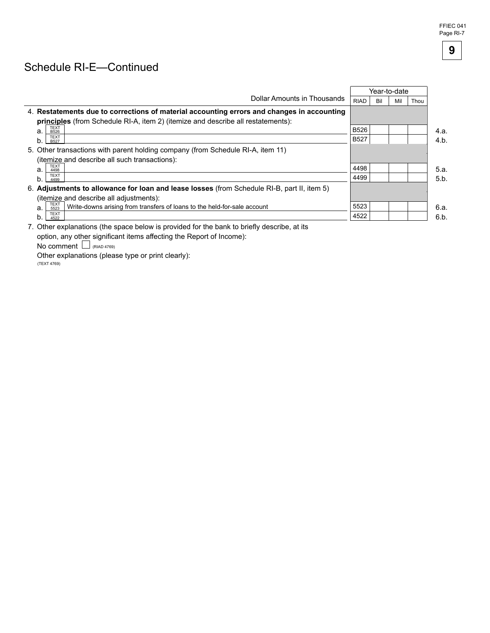# Schedule RI-E-Continued

|                                                                                                |             |     | Year-to-date |      |      |
|------------------------------------------------------------------------------------------------|-------------|-----|--------------|------|------|
| Dollar Amounts in Thousands                                                                    | <b>RIAD</b> | Bil | Mil          | Thou |      |
| 4. Restatements due to corrections of material accounting errors and changes in accounting     |             |     |              |      |      |
| principles (from Schedule RI-A, item 2) (itemize and describe all restatements):               |             |     |              |      |      |
| TEXT<br>a.<br>B526                                                                             | <b>B526</b> |     |              |      | 4.a. |
| <b>TEXT</b><br>b.<br><b>B527</b>                                                               | <b>B527</b> |     |              |      | 4.b. |
| 5. Other transactions with parent holding company (from Schedule RI-A, item 11)                |             |     |              |      |      |
| (itemize and describe all such transactions):                                                  |             |     |              |      |      |
| <b>TEXT</b><br>a.<br>4498                                                                      | 4498        |     |              |      | 5.a. |
| <b>TEXT</b><br>b.<br>4499                                                                      | 4499        |     |              |      | 5.b. |
| 6. Adjustments to allowance for loan and lease losses (from Schedule RI-B, part II, item 5)    |             |     |              |      |      |
| (itemize and describe all adjustments):                                                        |             |     |              |      |      |
| TEXT<br>5523<br>Write-downs arising from transfers of loans to the held-for-sale account<br>a. | 5523        |     |              |      | 6.a. |
| <b>TEXT</b><br>b.<br>4522                                                                      | 4522        |     |              |      | 6.b. |
|                                                                                                |             |     |              |      |      |

7. Other explanations (the space below is provided for the bank to briefly describe, at its option, any other significant items affecting the Report of Income):

No comment  $\Box$  (RIAD 4769)

Other explanations (please type or print clearly):<br>(TEXT 4769)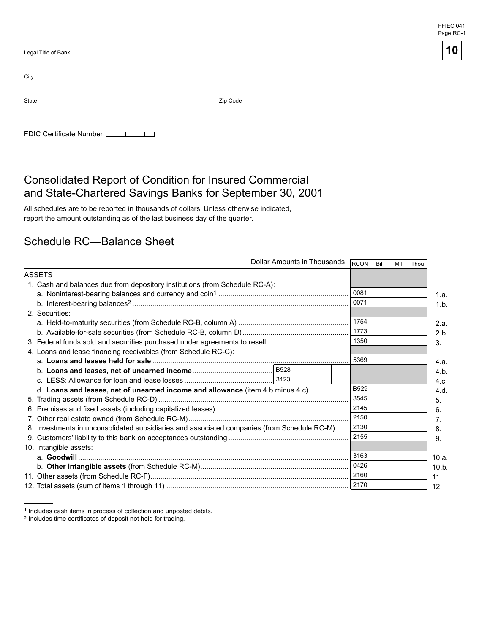| FFIEC 041 |  |
|-----------|--|
| Page RC-1 |  |

| Legal Title of Bank     |          |
|-------------------------|----------|
| City                    |          |
| State                   | Zip Code |
|                         |          |
| FDIC Certificate Number |          |

# Consolidated Report of Condition for Insured Commercial and State-Chartered Savings Banks for September 30, 2001

All schedules are to be reported in thousands of dollars. Unless otherwise indicated, report the amount outstanding as of the last business day of the quarter.

# Schedule RC—Balance Sheet

|                                                                                             | Dollar Amounts in Thousands<br>RCON<br>Bil<br>Thou<br>Mil |       |
|---------------------------------------------------------------------------------------------|-----------------------------------------------------------|-------|
| ASSETS                                                                                      |                                                           |       |
| 1. Cash and balances due from depository institutions (from Schedule RC-A):                 |                                                           |       |
|                                                                                             | 0081                                                      | 1.a.  |
|                                                                                             | 0071                                                      | 1.b.  |
| 2. Securities:                                                                              |                                                           |       |
|                                                                                             | 1754                                                      | 2.a.  |
|                                                                                             | 1773                                                      | 2.b.  |
|                                                                                             | 1350                                                      | 3.    |
| 4. Loans and lease financing receivables (from Schedule RC-C):                              |                                                           |       |
|                                                                                             | 5369                                                      | 4.a.  |
|                                                                                             |                                                           | 4.b.  |
|                                                                                             |                                                           | 4.c.  |
| d. Loans and leases, net of unearned income and allowance (item 4.b minus 4.c)              | <b>B529</b>                                               | 4.d.  |
|                                                                                             | 3545                                                      | 5.    |
|                                                                                             | 2145                                                      | 6.    |
|                                                                                             | 2150                                                      | 7.    |
| 8. Investments in unconsolidated subsidiaries and associated companies (from Schedule RC-M) | 2130                                                      | 8.    |
|                                                                                             | 2155                                                      | 9.    |
| 10. Intangible assets:                                                                      |                                                           |       |
|                                                                                             | 3163                                                      | 10.a. |
|                                                                                             | 0426                                                      | 10.b. |
|                                                                                             | 2160                                                      | 11.   |
|                                                                                             |                                                           | 12.   |

<sup>1</sup> Includes cash items in process of collection and unposted debits.

<sup>2</sup> Includes time certificates of deposit not held for trading.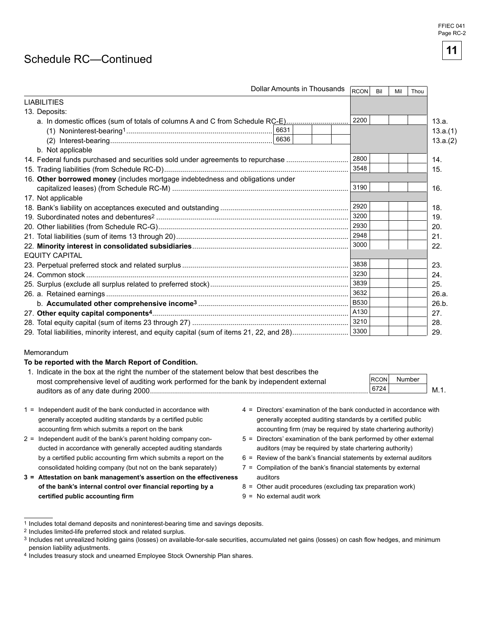# Schedule RC-Continued

| Dollar Amounts in Thousands                                                                | <b>RCON</b> | Bil | Mil | Thou |          |
|--------------------------------------------------------------------------------------------|-------------|-----|-----|------|----------|
| <b>LIABILITIES</b>                                                                         |             |     |     |      |          |
| 13. Deposits:                                                                              |             |     |     |      |          |
| a. In domestic offices (sum of totals of columns A and C from Schedule RC-E)               | 2200        |     |     |      | 13.a.    |
|                                                                                            |             |     |     |      | 13.a.(1) |
|                                                                                            |             |     |     |      | 13.a.(2) |
| b. Not applicable                                                                          |             |     |     |      |          |
| 14. Federal funds purchased and securities sold under agreements to repurchase             | 2800        |     |     |      | 14.      |
|                                                                                            | 3548        |     |     |      | 15.      |
| 16. Other borrowed money (includes mortgage indebtedness and obligations under             |             |     |     |      |          |
|                                                                                            | 3190        |     |     |      | 16.      |
| 17. Not applicable                                                                         |             |     |     |      |          |
|                                                                                            | 2920        |     |     |      | 18.      |
|                                                                                            | 3200        |     |     |      | 19.      |
|                                                                                            | 2930        |     |     |      | 20.      |
|                                                                                            | 2948        |     |     |      | 21.      |
|                                                                                            | 3000        |     |     |      | 22.      |
| <b>EQUITY CAPITAL</b>                                                                      |             |     |     |      |          |
|                                                                                            | 3838        |     |     |      | 23.      |
|                                                                                            | 3230        |     |     |      | 24.      |
|                                                                                            | 3839        |     |     |      | 25.      |
|                                                                                            | 3632        |     |     |      | 26.a.    |
|                                                                                            | <b>B530</b> |     |     |      | 26.b.    |
|                                                                                            | A130        |     |     |      | 27.      |
|                                                                                            | 3210        |     |     |      | 28.      |
| 29. Total liabilities, minority interest, and equity capital (sum of items 21, 22, and 28) | 3300        |     |     |      | 29.      |
|                                                                                            |             |     |     |      |          |

#### Memorandum

#### **To be reported with the March Report of Condition.**

| 1. Indicate in the box at the right the number of the statement below that best describes the |      |        |      |
|-----------------------------------------------------------------------------------------------|------|--------|------|
| most comprehensive level of auditing work performed for the bank by independent external      | RCON | Number |      |
| auditors as of any date during 2000.                                                          | 6724 |        | M.1. |
|                                                                                               |      |        |      |

- 1 = Independent audit of the bank conducted in accordance with generally accepted auditing standards by a certified public accounting firm which submits a report on the bank
- $2 =$  Independent audit of the bank's parent holding company conducted in accordance with generally accepted auditing standards by a certified public accounting firm which submits a report on the consolidated holding company (but not on the bank separately)
- **3 = Attestation on bank management's assertion on the effectiveness** of the bank's internal control over financial reporting by a  $c$ **ertified public accounting firm**
- $4 =$  Directors' examination of the bank conducted in accordance with generally accepted auditing standards by a certified public accounting firm (may be required by state chartering authority)
- $5 =$  Directors' examination of the bank performed by other external auditors (may be required by state chartering authority)
- $6$  = Review of the bank's financial statements by external auditors
- $7$  = Compilation of the bank's financial statements by external auditors
- 8 = Other audit procedures (excluding tax preparation work)
- 9 = No external audit work

**11** 

<sup>1</sup> Includes total demand deposits and noninterest-bearing time and savings deposits.

<sup>2</sup> Includes limited-life preferred stock and related surplus.

<sup>3</sup> Includes net unrealized holding gains (losses) on available-for-sale securities, accumulated net gains (losses) on cash flow hedges, and minimum pension liability adjustments.

<sup>4</sup> Includes treasury stock and unearned Employee Stock Ownership Plan shares.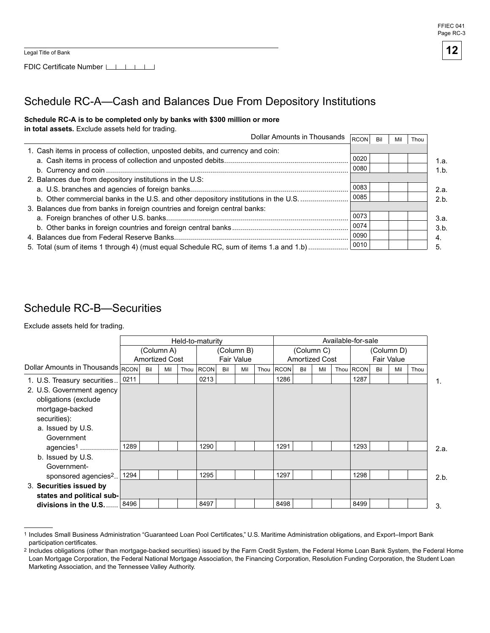



# Schedule RC-A—Cash and Balances Due From Depository Institutions

### Schedule RC-A is to be completed only by banks with \$300 million or more

in total assets. Exclude assets held for trading.

| Dollar Amounts in Thousands                                                            | RCON | Bil | Mil | Thou |      |
|----------------------------------------------------------------------------------------|------|-----|-----|------|------|
| 1. Cash items in process of collection, unposted debits, and currency and coin:        |      |     |     |      |      |
|                                                                                        | 0020 |     |     |      | 1.a. |
|                                                                                        | 0080 |     |     |      | 1.b. |
| 2. Balances due from depository institutions in the U.S:                               |      |     |     |      |      |
|                                                                                        | 0083 |     |     |      | 2.a. |
| b. Other commercial banks in the U.S. and other depository institutions in the U.S.    | 0085 |     |     |      | 2.b. |
| 3. Balances due from banks in foreign countries and foreign central banks:             |      |     |     |      |      |
|                                                                                        | 0073 |     |     |      | 3.a. |
|                                                                                        | 0074 |     |     |      | 3.b. |
|                                                                                        | 0090 |     |     |      | 4.   |
| 5. Total (sum of items 1 through 4) (must equal Schedule RC, sum of items 1.a and 1.b) | 0010 |     |     |      |      |

## Schedule RC-B—Securities

Exclude assets held for trading.

|                                  |      | Held-to-maturity |                                     |      |             |                                 |     |      | Available-for-sale |                                     |     |  |             |                                 |     |      |      |
|----------------------------------|------|------------------|-------------------------------------|------|-------------|---------------------------------|-----|------|--------------------|-------------------------------------|-----|--|-------------|---------------------------------|-----|------|------|
|                                  |      |                  | (Column A)<br><b>Amortized Cost</b> |      |             | (Column B)<br><b>Fair Value</b> |     |      |                    | (Column C)<br><b>Amortized Cost</b> |     |  |             | (Column D)<br><b>Fair Value</b> |     |      |      |
| Dollar Amounts in Thousands RCON |      | Bil              | Mil                                 | Thou | <b>RCON</b> | Bil                             | Mil | Thou | <b>RCON</b>        | Bil                                 | Mil |  | Thou   RCON | Bil                             | Mil | Thou |      |
| 1. U.S. Treasury securities      | 0211 |                  |                                     |      | 0213        |                                 |     |      | 1286               |                                     |     |  | 1287        |                                 |     |      | 1.   |
| 2. U.S. Government agency        |      |                  |                                     |      |             |                                 |     |      |                    |                                     |     |  |             |                                 |     |      |      |
| obligations (exclude             |      |                  |                                     |      |             |                                 |     |      |                    |                                     |     |  |             |                                 |     |      |      |
| mortgage-backed                  |      |                  |                                     |      |             |                                 |     |      |                    |                                     |     |  |             |                                 |     |      |      |
| securities):                     |      |                  |                                     |      |             |                                 |     |      |                    |                                     |     |  |             |                                 |     |      |      |
| a. Issued by U.S.                |      |                  |                                     |      |             |                                 |     |      |                    |                                     |     |  |             |                                 |     |      |      |
| Government                       |      |                  |                                     |      |             |                                 |     |      |                    |                                     |     |  |             |                                 |     |      |      |
| agencies <sup>1</sup>            | 1289 |                  |                                     |      | 1290        |                                 |     |      | 1291               |                                     |     |  | 1293        |                                 |     |      | 2.a. |
| b. Issued by U.S.                |      |                  |                                     |      |             |                                 |     |      |                    |                                     |     |  |             |                                 |     |      |      |
| Government-                      |      |                  |                                     |      |             |                                 |     |      |                    |                                     |     |  |             |                                 |     |      |      |
| sponsored agencies <sup>2</sup>  | 1294 |                  |                                     |      | 1295        |                                 |     |      | 1297               |                                     |     |  | 1298        |                                 |     |      | 2.b. |
| 3. Securities issued by          |      |                  |                                     |      |             |                                 |     |      |                    |                                     |     |  |             |                                 |     |      |      |
| states and political sub-        |      |                  |                                     |      |             |                                 |     |      |                    |                                     |     |  |             |                                 |     |      |      |
| divisions in the U.S.            | 8496 |                  |                                     |      | 8497        |                                 |     |      | 8498               |                                     |     |  | 8499        |                                 |     |      | 3.   |

 1 Includes Small Business Administration "Guaranteed Loan Pool Certificates," U.S. Maritime Administration obligations, and Export–Import Bank participation certificates.

 $^2$  Includes obligations (other than mortgage-backed securities) issued by the Farm Credit System, the Federal Home Loan Bank System, the Federal Home Loan Mortgage Corporation, the Federal National Mortgage Association, the Financing Corporation, Resolution Funding Corporation, the Student Loan Marketing Association, and the Tennessee Valley Authority.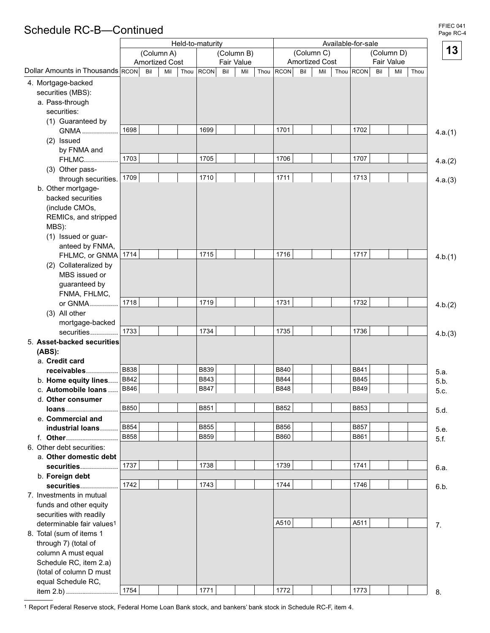# Schedule RC-B—Continued **Page RC-41** Schedule RC-B—Continued

|                                        |             | Held-to-maturity      |             |     |            |      |             |     |                       |                    |            |      |         |
|----------------------------------------|-------------|-----------------------|-------------|-----|------------|------|-------------|-----|-----------------------|--------------------|------------|------|---------|
|                                        |             | (Column A)            |             |     | (Column B) |      |             |     | (Column C)            | Available-for-sale | (Column D) |      | 13      |
|                                        |             | <b>Amortized Cost</b> |             |     | Fair Value |      |             |     | <b>Amortized Cost</b> |                    | Fair Value |      |         |
| Dollar Amounts in Thousands RCON       | Bil         | Mil<br>Thou           | <b>RCON</b> | Bil | Mil        | Thou | <b>RCON</b> | Bil | Mil                   | Thou RCON          | Bil<br>Mil | Thou |         |
| 4. Mortgage-backed                     |             |                       |             |     |            |      |             |     |                       |                    |            |      |         |
| securities (MBS):                      |             |                       |             |     |            |      |             |     |                       |                    |            |      |         |
| a. Pass-through                        |             |                       |             |     |            |      |             |     |                       |                    |            |      |         |
| securities:                            |             |                       |             |     |            |      |             |     |                       |                    |            |      |         |
| (1) Guaranteed by                      |             |                       |             |     |            |      |             |     |                       |                    |            |      |         |
| GNMA                                   | 1698        |                       | 1699        |     |            |      | 1701        |     |                       | 1702               |            |      | 4.a.(1) |
| (2) Issued                             |             |                       |             |     |            |      |             |     |                       |                    |            |      |         |
| by FNMA and                            |             |                       |             |     |            |      |             |     |                       |                    |            |      |         |
| <b>FHLMC</b>                           | 1703        |                       | 1705        |     |            |      | 1706        |     |                       | 1707               |            |      | 4.a.(2) |
| (3) Other pass-                        |             |                       |             |     |            |      |             |     |                       |                    |            |      |         |
| through securities.                    | 1709        |                       | 1710        |     |            |      | 1711        |     |                       | 1713               |            |      | 4.a.(3) |
| b. Other mortgage-                     |             |                       |             |     |            |      |             |     |                       |                    |            |      |         |
| backed securities                      |             |                       |             |     |            |      |             |     |                       |                    |            |      |         |
| (include CMOs,                         |             |                       |             |     |            |      |             |     |                       |                    |            |      |         |
| REMICs, and stripped                   |             |                       |             |     |            |      |             |     |                       |                    |            |      |         |
| MBS):                                  |             |                       |             |     |            |      |             |     |                       |                    |            |      |         |
| (1) Issued or guar-                    |             |                       |             |     |            |      |             |     |                       |                    |            |      |         |
| anteed by FNMA,                        | 1714        |                       | 1715        |     |            |      | 1716        |     |                       | 1717               |            |      |         |
| FHLMC, or GNMA                         |             |                       |             |     |            |      |             |     |                       |                    |            |      | 4.b.(1) |
| (2) Collateralized by<br>MBS issued or |             |                       |             |     |            |      |             |     |                       |                    |            |      |         |
|                                        |             |                       |             |     |            |      |             |     |                       |                    |            |      |         |
| guaranteed by<br>FNMA, FHLMC,          |             |                       |             |     |            |      |             |     |                       |                    |            |      |         |
| or GNMA                                | 1718        |                       | 1719        |     |            |      | 1731        |     |                       | 1732               |            |      |         |
| (3) All other                          |             |                       |             |     |            |      |             |     |                       |                    |            |      | 4.b.(2) |
| mortgage-backed                        |             |                       |             |     |            |      |             |     |                       |                    |            |      |         |
| securities                             | 1733        |                       | 1734        |     |            |      | 1735        |     |                       | 1736               |            |      | 4.b.(3) |
| 5. Asset-backed securities             |             |                       |             |     |            |      |             |     |                       |                    |            |      |         |
| (ABS):                                 |             |                       |             |     |            |      |             |     |                       |                    |            |      |         |
| a. Credit card                         |             |                       |             |     |            |      |             |     |                       |                    |            |      |         |
| receivables                            | <b>B838</b> |                       | <b>B839</b> |     |            |      | B840        |     |                       | B841               |            |      | 5.a.    |
| b. Home equity lines                   | B842        |                       | B843        |     |            |      | B844        |     |                       | B845               |            |      | 5.b.    |
| c. Automobile loans                    | <b>B846</b> |                       | B847        |     |            |      | <b>B848</b> |     |                       | <b>B849</b>        |            |      | 5.c.    |
| d. Other consumer                      |             |                       |             |     |            |      |             |     |                       |                    |            |      |         |
| loans                                  | <b>B850</b> |                       | B851        |     |            |      | B852        |     |                       | B853               |            |      | 5.d.    |
| e. Commercial and                      |             |                       |             |     |            |      |             |     |                       |                    |            |      |         |
| industrial loans                       | B854        |                       | B855        |     |            |      | <b>B856</b> |     |                       | B857               |            |      | 5.e.    |
| f. Other                               | <b>B858</b> |                       | <b>B859</b> |     |            |      | <b>B860</b> |     |                       | B861               |            |      | 5.f.    |
| 6. Other debt securities:              |             |                       |             |     |            |      |             |     |                       |                    |            |      |         |
| a. Other domestic debt                 |             |                       |             |     |            |      |             |     |                       |                    |            |      |         |
| securities                             | 1737        |                       | 1738        |     |            |      | 1739        |     |                       | 1741               |            |      | 6.a.    |
| b. Foreign debt                        |             |                       |             |     |            |      |             |     |                       |                    |            |      |         |
| securities                             | 1742        |                       | 1743        |     |            |      | 1744        |     |                       | 1746               |            |      | 6.b.    |
| 7. Investments in mutual               |             |                       |             |     |            |      |             |     |                       |                    |            |      |         |
| funds and other equity                 |             |                       |             |     |            |      |             |     |                       |                    |            |      |         |
| securities with readily                |             |                       |             |     |            |      |             |     |                       |                    |            |      |         |
| determinable fair values <sup>1</sup>  |             |                       |             |     |            |      | A510        |     |                       | A511               |            |      | 7.      |
| 8. Total (sum of items 1               |             |                       |             |     |            |      |             |     |                       |                    |            |      |         |
| through 7) (total of                   |             |                       |             |     |            |      |             |     |                       |                    |            |      |         |
| column A must equal                    |             |                       |             |     |            |      |             |     |                       |                    |            |      |         |
| Schedule RC, item 2.a)                 |             |                       |             |     |            |      |             |     |                       |                    |            |      |         |
| (total of column D must                |             |                       |             |     |            |      |             |     |                       |                    |            |      |         |
| equal Schedule RC,<br>item 2.b)        | 1754        |                       | 1771        |     |            |      | 1772        |     |                       | 1773               |            |      | 8.      |
|                                        |             |                       |             |     |            |      |             |     |                       |                    |            |      |         |

1 Report Federal Reserve stock, Federal Home Loan Bank stock, and bankers' bank stock in Schedule RC-F, item 4.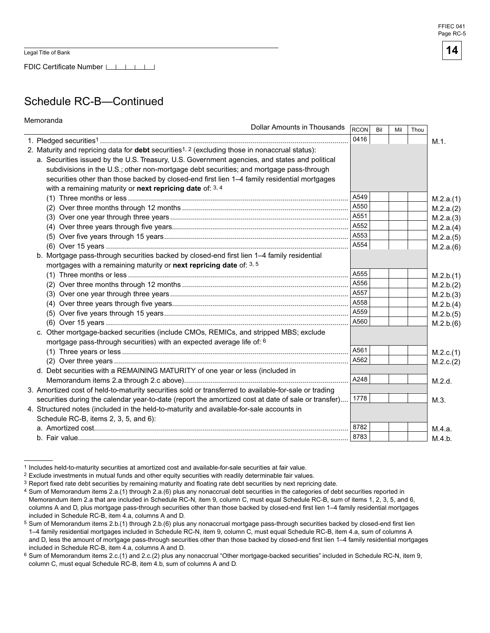FDIC Certificate Number LATT

# Schedule RC-B—Continued

| Memoranda<br>Dollar Amounts in Thousands                                                                          |             |     |     |      |           |
|-------------------------------------------------------------------------------------------------------------------|-------------|-----|-----|------|-----------|
|                                                                                                                   | <b>RCON</b> | Bil | Mil | Thou |           |
|                                                                                                                   | 0416        |     |     |      | $M.1$ .   |
| 2. Maturity and repricing data for <b>debt</b> securities <sup>1, 2</sup> (excluding those in nonaccrual status): |             |     |     |      |           |
| a. Securities issued by the U.S. Treasury, U.S. Government agencies, and states and political                     |             |     |     |      |           |
| subdivisions in the U.S.; other non-mortgage debt securities; and mortgage pass-through                           |             |     |     |      |           |
| securities other than those backed by closed-end first lien 1-4 family residential mortgages                      |             |     |     |      |           |
| with a remaining maturity or next repricing date of: $3, 4$                                                       |             |     |     |      |           |
|                                                                                                                   | A549        |     |     |      | M.2.a.(1) |
|                                                                                                                   | A550        |     |     |      | M.2.a.(2) |
|                                                                                                                   | A551        |     |     |      | M.2.a.(3) |
|                                                                                                                   | A552        |     |     |      | M.2.a.(4) |
|                                                                                                                   | A553        |     |     |      | M.2.a.(5) |
|                                                                                                                   | A554        |     |     |      | M.2.a.(6) |
| b. Mortgage pass-through securities backed by closed-end first lien 1-4 family residential                        |             |     |     |      |           |
| mortgages with a remaining maturity or next repricing date of: 3, 5                                               |             |     |     |      |           |
|                                                                                                                   | A555        |     |     |      | M.2.b.(1) |
|                                                                                                                   | A556        |     |     |      | M.2.b.(2) |
|                                                                                                                   | A557        |     |     |      | M.2.b.(3) |
|                                                                                                                   | A558        |     |     |      | M.2.b.(4) |
|                                                                                                                   | A559        |     |     |      | M.2.b.(5) |
|                                                                                                                   | A560        |     |     |      | M.2.b.(6) |
| c. Other mortgage-backed securities (include CMOs, REMICs, and stripped MBS; exclude                              |             |     |     |      |           |
| mortgage pass-through securities) with an expected average life of: 6                                             |             |     |     |      |           |
|                                                                                                                   | A561        |     |     |      | M.2.c.(1) |
|                                                                                                                   | A562        |     |     |      | M.2.c.(2) |
| d. Debt securities with a REMAINING MATURITY of one year or less (included in                                     |             |     |     |      |           |
|                                                                                                                   | A248        |     |     |      | M.2.d.    |
| 3. Amortized cost of held-to-maturity securities sold or transferred to available-for-sale or trading             |             |     |     |      |           |
| securities during the calendar year-to-date (report the amortized cost at date of sale or transfer)               | 1778        |     |     |      | M.3.      |
| 4. Structured notes (included in the held-to-maturity and available-for-sale accounts in                          |             |     |     |      |           |
| Schedule RC-B, items 2, 3, 5, and 6):                                                                             |             |     |     |      |           |
|                                                                                                                   | 8782        |     |     |      | M.4.a.    |
|                                                                                                                   | 8783        |     |     |      | M.4.b.    |

<sup>1</sup> Includes held-to-maturity securities at amortized cost and available-for-sale securities at fair value.

<sup>2</sup> Exclude investments in mutual funds and other equity securities with readily determinable fair values.

 $3$  Report fixed rate debt securities by remaining maturity and floating rate debt securities by next repricing date.

<sup>4</sup> Sum of Memorandum items 2.a.(1) through 2.a.(6) plus any nonaccrual debt securities in the categories of debt securities reported in Memorandum item 2.a that are included in Schedule RC-N, item 9, column C, must equal Schedule RC-B, sum of items 1, 2, 3, 5, and 6, columns A and D, plus mortgage pass-through securities other than those backed by closed-end first lien 1–4 family residential mortgages included in Schedule RC-B, item 4.a, columns A and D.

Sum of Memorandum items 2.b.(1) through 2.b.(6) plus any nonaccrual mortgage pass-through securities backed by closed-end first lien 1–4 family residential mortgages included in Schedule RC-N, item 9, column C, must equal Schedule RC-B, item 4.a, sum of columns A and D, less the amount of mortgage pass-through securities other than those backed by closed-end first lien 1–4 family residential mortgages included in Schedule RC-B, item 4.a, columns A and D.

<sup>&</sup>lt;sup>6</sup> Sum of Memorandum items 2.c.(1) and 2.c.(2) plus any nonaccrual "Other mortgage-backed securities" included in Schedule RC-N, item 9, column C, must equal Schedule RC-B, item 4.b, sum of columns A and D.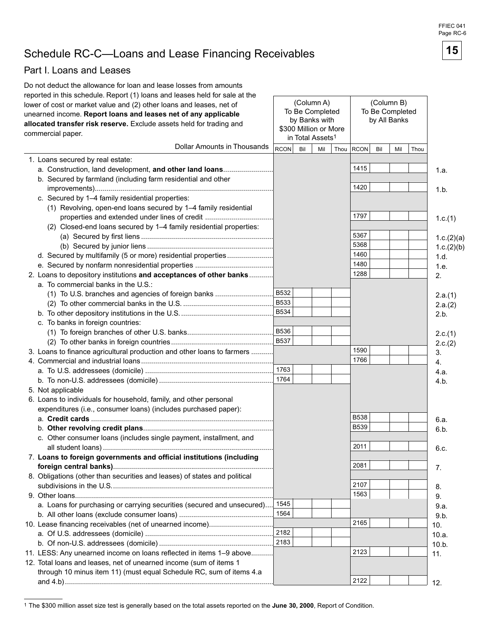# Schedule RC-C—Loans and Lease Financing Receivables **15**

### Part I. Loans and Leases

| Do not deduct the allowance for loan and lease losses from amounts          |             |     |                               |      |                 |              |            |      |            |
|-----------------------------------------------------------------------------|-------------|-----|-------------------------------|------|-----------------|--------------|------------|------|------------|
| reported in this schedule. Report (1) loans and leases held for sale at the |             |     |                               |      |                 |              | (Column B) |      |            |
| lower of cost or market value and (2) other loans and leases, net of        |             |     | (Column A)<br>To Be Completed |      | To Be Completed |              |            |      |            |
| unearned income. Report loans and leases net of any applicable              |             |     | by Banks with                 |      |                 |              |            |      |            |
| allocated transfer risk reserve. Exclude assets held for trading and        |             |     | \$300 Million or More         |      |                 | by All Banks |            |      |            |
| commercial paper.                                                           |             |     | in Total Assets <sup>1</sup>  |      |                 |              |            |      |            |
| Dollar Amounts in Thousands                                                 | <b>RCON</b> | Bil | Mil                           | Thou | <b>RCON</b>     | Bil          | Mil        | Thou |            |
| 1. Loans secured by real estate:                                            |             |     |                               |      |                 |              |            |      |            |
| a. Construction, land development, and other land loans                     |             |     |                               |      | 1415            |              |            |      | 1.a.       |
| b. Secured by farmland (including farm residential and other                |             |     |                               |      |                 |              |            |      |            |
|                                                                             |             |     |                               |      | 1420            |              |            |      | 1.b.       |
| c. Secured by 1-4 family residential properties:                            |             |     |                               |      |                 |              |            |      |            |
| (1) Revolving, open-end loans secured by 1-4 family residential             |             |     |                               |      |                 |              |            |      |            |
| properties and extended under lines of credit                               |             |     |                               |      | 1797            |              |            |      | 1.c.(1)    |
| (2) Closed-end loans secured by 1-4 family residential properties:          |             |     |                               |      |                 |              |            |      |            |
|                                                                             |             |     |                               |      | 5367            |              |            |      | 1.c.(2)(a) |
|                                                                             |             |     |                               |      | 5368            |              |            |      | 1.c.(2)(b) |
| d. Secured by multifamily (5 or more) residential properties                |             |     |                               |      | 1460            |              |            |      | 1.d.       |
|                                                                             |             |     |                               |      | 1480            |              |            |      | 1.e.       |
| 2. Loans to depository institutions and acceptances of other banks          |             |     |                               |      | 1288            |              |            |      | 2.         |
| a. To commercial banks in the U.S.:                                         |             |     |                               |      |                 |              |            |      |            |
| (1) To U.S. branches and agencies of foreign banks                          | <b>B532</b> |     |                               |      |                 |              |            |      | 2.a.(1)    |
|                                                                             | <b>B533</b> |     |                               |      |                 |              |            |      | 2.a.(2)    |
|                                                                             | <b>B534</b> |     |                               |      |                 |              |            |      | 2.b.       |
| c. To banks in foreign countries:                                           |             |     |                               |      |                 |              |            |      |            |
|                                                                             | B536        |     |                               |      |                 |              |            |      | 2.c.(1)    |
|                                                                             | <b>B537</b> |     |                               |      |                 |              |            |      | 2.c.(2)    |
| 3. Loans to finance agricultural production and other loans to farmers      |             |     |                               |      | 1590            |              |            |      | 3.         |
|                                                                             |             |     |                               |      | 1766            |              |            |      | 4.         |
|                                                                             | 1763        |     |                               |      |                 |              |            |      | 4.a.       |
|                                                                             | 1764        |     |                               |      |                 |              |            |      | 4.b.       |
| 5. Not applicable                                                           |             |     |                               |      |                 |              |            |      |            |
| 6. Loans to individuals for household, family, and other personal           |             |     |                               |      |                 |              |            |      |            |
| expenditures (i.e., consumer loans) (includes purchased paper):             |             |     |                               |      |                 |              |            |      |            |
|                                                                             |             |     |                               |      | <b>B538</b>     |              |            |      | 6.a.       |
|                                                                             |             |     |                               |      | <b>B539</b>     |              |            |      | 6.b.       |
| c. Other consumer loans (includes single payment, installment, and          |             |     |                               |      |                 |              |            |      |            |
|                                                                             |             |     |                               |      | 2011            |              |            |      | 6.c.       |
| 7. Loans to foreign governments and official institutions (including        |             |     |                               |      |                 |              |            |      |            |
|                                                                             |             |     |                               |      | 2081            |              |            |      | 7.         |
| 8. Obligations (other than securities and leases) of states and political   |             |     |                               |      |                 |              |            |      |            |
|                                                                             |             |     |                               |      | 2107            |              |            |      | 8.         |
|                                                                             |             |     |                               |      | 1563            |              |            |      | 9.         |
| a. Loans for purchasing or carrying securities (secured and unsecured)      | 1545        |     |                               |      |                 |              |            |      | 9.a.       |
|                                                                             | 1564        |     |                               |      |                 |              |            |      | 9.b.       |
| 10. Lease financing receivables (net of unearned income)                    |             |     |                               |      | 2165            |              |            |      | 10.        |
|                                                                             | 2182        |     |                               |      |                 |              |            |      | 10.a.      |
|                                                                             | 2183        |     |                               |      |                 |              |            |      | 10.b.      |
| 11. LESS: Any unearned income on loans reflected in items 1-9 above         |             |     |                               |      | 2123            |              |            |      | 11.        |
| 12. Total loans and leases, net of unearned income (sum of items 1          |             |     |                               |      |                 |              |            |      |            |
| through 10 minus item 11) (must equal Schedule RC, sum of items 4.a         |             |     |                               |      |                 |              |            |      |            |
|                                                                             |             |     |                               |      | 2122            |              |            |      | 12.        |
|                                                                             |             |     |                               |      |                 |              |            |      |            |

FFIEC 041 Page RC-6



<sup>1</sup> The \$300 million asset size test is generally based on the total assets reported on the **June 30, 2000**, Report of Condition.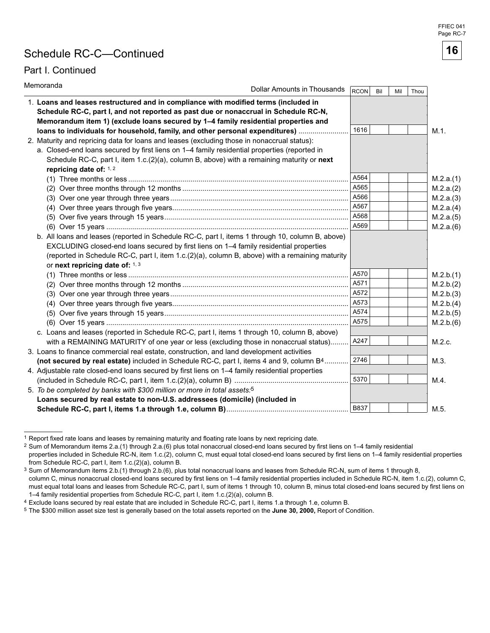# Schedule RC-C—Continued

### Part I. Continued

| Memoranda<br>Dollar Amounts in Thousands                                                                                                                                                                                                                                                                                         | <b>RCON</b> | Bil | Mil | Thou |           |
|----------------------------------------------------------------------------------------------------------------------------------------------------------------------------------------------------------------------------------------------------------------------------------------------------------------------------------|-------------|-----|-----|------|-----------|
| 1. Loans and leases restructured and in compliance with modified terms (included in<br>Schedule RC-C, part I, and not reported as past due or nonaccrual in Schedule RC-N,                                                                                                                                                       |             |     |     |      |           |
| Memorandum item 1) (exclude loans secured by 1-4 family residential properties and                                                                                                                                                                                                                                               |             |     |     |      |           |
| loans to individuals for household, family, and other personal expenditures)                                                                                                                                                                                                                                                     | 1616        |     |     |      | $M.1$ .   |
| 2. Maturity and repricing data for loans and leases (excluding those in nonaccrual status):                                                                                                                                                                                                                                      |             |     |     |      |           |
| a. Closed-end loans secured by first liens on 1-4 family residential properties (reported in                                                                                                                                                                                                                                     |             |     |     |      |           |
| Schedule RC-C, part I, item 1.c.(2)(a), column B, above) with a remaining maturity or next<br>repricing date of: 1, 2                                                                                                                                                                                                            |             |     |     |      |           |
|                                                                                                                                                                                                                                                                                                                                  | A564        |     |     |      | M.2.a.(1) |
|                                                                                                                                                                                                                                                                                                                                  | A565        |     |     |      | M.2.a.(2) |
|                                                                                                                                                                                                                                                                                                                                  | A566        |     |     |      | M.2.a.(3) |
|                                                                                                                                                                                                                                                                                                                                  | A567        |     |     |      | M.2.a.(4) |
|                                                                                                                                                                                                                                                                                                                                  | A568        |     |     |      | M.2.a.(5) |
|                                                                                                                                                                                                                                                                                                                                  | A569        |     |     |      | M.2.a.(6) |
| b. All loans and leases (reported in Schedule RC-C, part I, items 1 through 10, column B, above)<br>EXCLUDING closed-end loans secured by first liens on 1-4 family residential properties<br>(reported in Schedule RC-C, part I, item 1.c.(2)(a), column B, above) with a remaining maturity<br>or next repricing date of: 1, 3 |             |     |     |      |           |
|                                                                                                                                                                                                                                                                                                                                  | A570        |     |     |      | M.2.b.(1) |
|                                                                                                                                                                                                                                                                                                                                  | A571        |     |     |      | M.2.b.(2) |
|                                                                                                                                                                                                                                                                                                                                  | A572        |     |     |      | M.2.b.(3) |
|                                                                                                                                                                                                                                                                                                                                  | A573        |     |     |      | M.2.b.(4) |
|                                                                                                                                                                                                                                                                                                                                  | A574        |     |     |      | M.2.b.(5) |
|                                                                                                                                                                                                                                                                                                                                  | A575        |     |     |      | M.2.b.(6) |
| c. Loans and leases (reported in Schedule RC-C, part I, items 1 through 10, column B, above)                                                                                                                                                                                                                                     |             |     |     |      |           |
| with a REMAINING MATURITY of one year or less (excluding those in nonaccrual status)                                                                                                                                                                                                                                             | A247        |     |     |      | M.2.c.    |
| 3. Loans to finance commercial real estate, construction, and land development activities                                                                                                                                                                                                                                        |             |     |     |      |           |
| (not secured by real estate) included in Schedule RC-C, part I, items 4 and 9, column B <sup>4</sup>                                                                                                                                                                                                                             | 2746        |     |     |      | M.3.      |
| 4. Adjustable rate closed-end loans secured by first liens on 1-4 family residential properties                                                                                                                                                                                                                                  |             |     |     |      |           |
|                                                                                                                                                                                                                                                                                                                                  | 5370        |     |     |      | M.4.      |
| 5. To be completed by banks with \$300 million or more in total assets: <sup>5</sup>                                                                                                                                                                                                                                             |             |     |     |      |           |
| Loans secured by real estate to non-U.S. addressees (domicile) (included in                                                                                                                                                                                                                                                      |             |     |     |      |           |
|                                                                                                                                                                                                                                                                                                                                  | <b>B837</b> |     |     |      | M.5.      |

 1 Report fixed rate loans and leases by remaining maturity and floating rate loans by next repricing date.

1–4 family residential properties from Schedule RC-C, part I, item 1.c.(2)(a), column B.



<sup>2</sup> Sum of Memorandum items 2.a.(1) through 2.a.(6) plus total nonaccrual closed-end loans secured by first liens on 1–4 family residential properties included in Schedule RC-N, item 1.c.(2), column C, must equal total closed-end loans secured by first liens on 1-4 family residential properties from Schedule RC-C, part I, item 1.c.(2)(a), column B.

 column C, minus nonaccrual closed-end loans secured by first liens on 1–4 family residential properties included in Schedule RC-N, item 1.c.(2), column C, 3 Sum of Memorandum items 2.b.(1) through 2.b.(6), plus total nonaccrual loans and leases from Schedule RC-N, sum of items 1 through 8, must equal total loans and leases from Schedule RC-C, part I, sum of items 1 through 10, column B, minus total closed-end loans secured by first liens on

<sup>4</sup> Exclude loans secured by real estate that are included in Schedule RC-C, part I, items 1.a through 1.e, column B.

<sup>5</sup> The \$300 million asset size test is generally based on the total assets reported on the **June 30, 2000,** Report of Condition.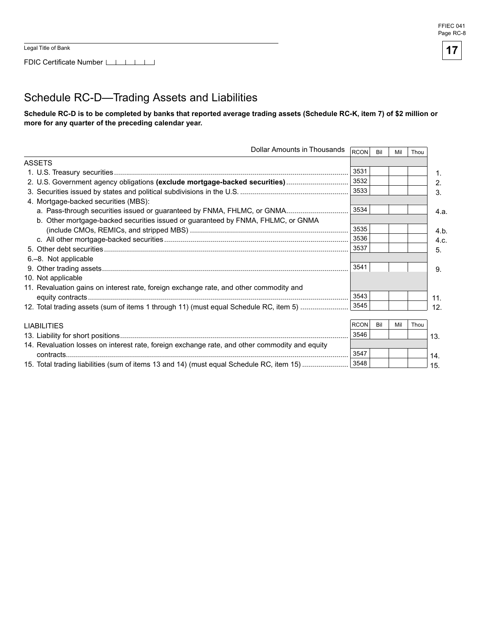FDIC Certificate Number LILILILI

# **17**

# Schedule RC-D—Trading Assets and Liabilities

Schedule RC-D is to be completed by banks that reported average trading assets (Schedule RC-K, item 7) of \$2 million or more for any quarter of the preceding calendar year.

| Dollar Amounts in Thousands                                                                    | RCON        | Bil | Mil | Thou |      |
|------------------------------------------------------------------------------------------------|-------------|-----|-----|------|------|
| <b>ASSETS</b>                                                                                  |             |     |     |      |      |
|                                                                                                | 3531        |     |     |      | 1.   |
| 2. U.S. Government agency obligations (exclude mortgage-backed securities)                     | 3532        |     |     |      | 2.   |
|                                                                                                | 3533        |     |     |      | 3.   |
| 4. Mortgage-backed securities (MBS):                                                           |             |     |     |      |      |
| a. Pass-through securities issued or guaranteed by FNMA, FHLMC, or GNMA                        | 3534        |     |     |      | 4.a. |
| b. Other mortgage-backed securities issued or guaranteed by FNMA, FHLMC, or GNMA               |             |     |     |      |      |
|                                                                                                | 3535        |     |     |      | 4.b  |
|                                                                                                | 3536        |     |     |      | 4.c. |
|                                                                                                | 3537        |     |     |      | 5.   |
| 6.–8. Not applicable                                                                           |             |     |     |      |      |
|                                                                                                | 3541        |     |     |      | 9.   |
| 10. Not applicable                                                                             |             |     |     |      |      |
| 11. Revaluation gains on interest rate, foreign exchange rate, and other commodity and         |             |     |     |      |      |
|                                                                                                | 3543        |     |     |      | 11.  |
| 12. Total trading assets (sum of items 1 through 11) (must equal Schedule RC, item 5)          | 3545        |     |     |      | 12.  |
|                                                                                                |             |     |     |      |      |
| <b>LIABILITIES</b>                                                                             | <b>RCON</b> | Bil | Mil | Thou |      |
|                                                                                                | 3546        |     |     |      | 13.  |
| 14. Revaluation losses on interest rate, foreign exchange rate, and other commodity and equity |             |     |     |      |      |
|                                                                                                | 3547        |     |     |      | 14.  |
| 15. Total trading liabilities (sum of items 13 and 14) (must equal Schedule RC, item 15)       | 3548        |     |     |      | 15.  |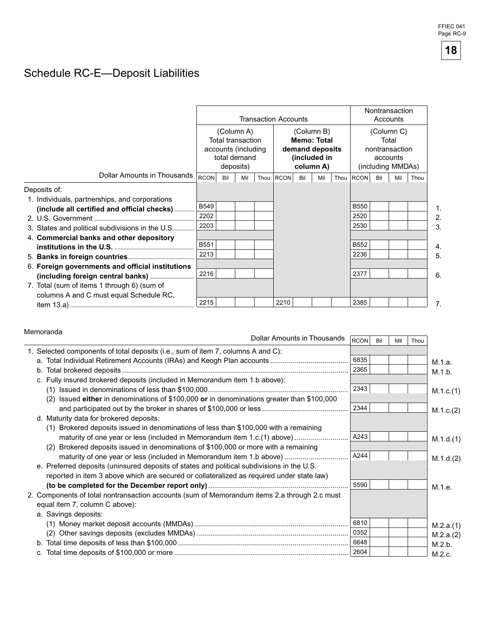# Schedule RC-E—Deposit Liabilities

|                                                  |             |                                                                               |     |                           | <b>Transaction Accounts</b>   |     |                                                     |                                       |     | Nontransaction<br>Accounts |      |  |  |
|--------------------------------------------------|-------------|-------------------------------------------------------------------------------|-----|---------------------------|-------------------------------|-----|-----------------------------------------------------|---------------------------------------|-----|----------------------------|------|--|--|
|                                                  |             | (Column A)<br><b>Total transaction</b><br>accounts (including<br>total demand |     |                           |                               |     | (Column B)<br><b>Memo: Total</b><br>demand deposits | (Column C)<br>Total<br>nontransaction |     |                            |      |  |  |
|                                                  |             |                                                                               |     | (included in<br>column A) | accounts<br>(including MMDAs) |     |                                                     |                                       |     |                            |      |  |  |
| Dollar Amounts in Thousands                      | <b>RCON</b> | deposits)<br>Bil                                                              | Mil | Thou                      | <b>RCON</b>                   | Bil | Mil                                                 | Thou RCON                             | Bil | Mil                        | Thou |  |  |
| Deposits of:                                     |             |                                                                               |     |                           |                               |     |                                                     |                                       |     |                            |      |  |  |
| 1. Individuals, partnerships, and corporations   |             |                                                                               |     |                           |                               |     |                                                     |                                       |     |                            |      |  |  |
| (include all certified and official checks)      | <b>B549</b> |                                                                               |     |                           |                               |     |                                                     | <b>B550</b>                           |     |                            |      |  |  |
|                                                  | 2202        |                                                                               |     |                           |                               |     |                                                     | 2520                                  |     |                            |      |  |  |
| 3. States and political subdivisions in the U.S  | 2203        |                                                                               |     |                           |                               |     |                                                     | 2530                                  |     |                            |      |  |  |
| 4. Commercial banks and other depository         |             |                                                                               |     |                           |                               |     |                                                     |                                       |     |                            |      |  |  |
|                                                  | <b>B551</b> |                                                                               |     |                           |                               |     |                                                     | B552                                  |     |                            |      |  |  |
|                                                  | 2213        |                                                                               |     |                           |                               |     |                                                     | 2236                                  |     |                            |      |  |  |
| 6. Foreign governments and official institutions |             |                                                                               |     |                           |                               |     |                                                     |                                       |     |                            |      |  |  |
| (including foreign central banks)                | 2216        |                                                                               |     |                           |                               |     |                                                     | 2377                                  |     |                            |      |  |  |
| 7. Total (sum of items 1 through 6) (sum of      |             |                                                                               |     |                           |                               |     |                                                     |                                       |     |                            |      |  |  |
| columns A and C must equal Schedule RC,          |             |                                                                               |     |                           |                               |     |                                                     |                                       |     |                            |      |  |  |
|                                                  | 2215        |                                                                               |     |                           | 2210                          |     |                                                     | 2385                                  |     |                            |      |  |  |

#### Memoranda

|                                                                                              | Dollar Amounts in Thousands | RCON | Bil | Mil | Thou |           |
|----------------------------------------------------------------------------------------------|-----------------------------|------|-----|-----|------|-----------|
| 1. Selected components of total deposits (i.e., sum of item 7, columns A and C):             |                             |      |     |     |      |           |
|                                                                                              |                             | 6835 |     |     |      | M.1.a.    |
|                                                                                              |                             | 2365 |     |     |      | M.1.b.    |
| c. Fully insured brokered deposits (included in Memorandum item 1.b above):                  |                             |      |     |     |      |           |
|                                                                                              |                             | 2343 |     |     |      | M.1.c.(1) |
| (2) Issued either in denominations of \$100,000 or in denominations greater than \$100,000   |                             |      |     |     |      |           |
|                                                                                              |                             | 2344 |     |     |      | M.1.c.(2) |
| d. Maturity data for brokered deposits:                                                      |                             |      |     |     |      |           |
| (1) Brokered deposits issued in denominations of less than \$100,000 with a remaining        |                             |      |     |     |      |           |
| maturity of one year or less (included in Memorandum item 1.c.(1) above)                     |                             | A243 |     |     |      | M.1.d.(1) |
| (2) Brokered deposits issued in denominations of \$100,000 or more with a remaining          |                             |      |     |     |      |           |
| maturity of one year or less (included in Memorandum item 1.b above)                         |                             | A244 |     |     |      | M.1.d.(2) |
| e. Preferred deposits (uninsured deposits of states and political subdivisions in the U.S.   |                             |      |     |     |      |           |
| reported in item 3 above which are secured or collateralized as required under state law)    |                             |      |     |     |      |           |
|                                                                                              |                             | 5590 |     |     |      | M.1.e.    |
| 2. Components of total nontransaction accounts (sum of Memorandum items 2.a through 2.c must |                             |      |     |     |      |           |
| equal item 7, column C above):                                                               |                             |      |     |     |      |           |
| a. Savings deposits:                                                                         |                             |      |     |     |      |           |
|                                                                                              |                             | 6810 |     |     |      | M.2.a.(1) |
|                                                                                              |                             | 0352 |     |     |      | M.2.a.(2) |
|                                                                                              |                             | 6648 |     |     |      | M.2.b.    |
|                                                                                              |                             | 2604 |     |     |      | M.2.c.    |

FFIEC 041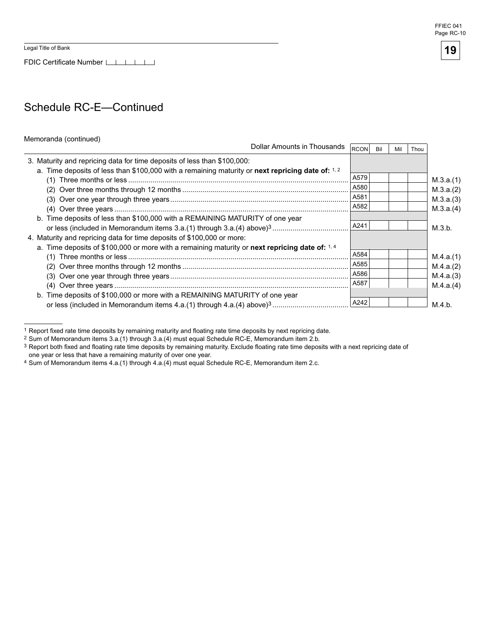FDIC Certificate Number LILILILI

# Schedule RC-E—Continued

#### Memoranda (continued)

| Dollar Amounts in Thousands                                                                                                                                                    | RCON | Bil | Mil | Thou |           |
|--------------------------------------------------------------------------------------------------------------------------------------------------------------------------------|------|-----|-----|------|-----------|
| 3. Maturity and repricing data for time deposits of less than \$100,000:<br>a. Time deposits of less than \$100,000 with a remaining maturity or next repricing date of: $1.2$ |      |     |     |      |           |
|                                                                                                                                                                                | A579 |     |     |      | M.3.a.(1) |
|                                                                                                                                                                                | A580 |     |     |      | M.3.a.(2) |
|                                                                                                                                                                                | A581 |     |     |      | M.3.a.(3) |
|                                                                                                                                                                                | A582 |     |     |      | M.3.a.(4) |
| b. Time deposits of less than \$100,000 with a REMAINING MATURITY of one year                                                                                                  |      |     |     |      |           |
|                                                                                                                                                                                | A241 |     |     |      | M.3.b.    |
| 4. Maturity and repricing data for time deposits of \$100,000 or more:                                                                                                         |      |     |     |      |           |
| a. Time deposits of \$100,000 or more with a remaining maturity or next repricing date of: $1.4$                                                                               |      |     |     |      |           |
|                                                                                                                                                                                | A584 |     |     |      | M.4.a.(1) |
|                                                                                                                                                                                | A585 |     |     |      | M.4.a.(2) |
|                                                                                                                                                                                | A586 |     |     |      | M.4.a.(3) |
|                                                                                                                                                                                | A587 |     |     |      | M.4.a.(4) |
| b. Time deposits of \$100,000 or more with a REMAINING MATURITY of one year                                                                                                    |      |     |     |      |           |
|                                                                                                                                                                                | A242 |     |     |      | M.4.b.    |

 $1$  Report fixed rate time deposits by remaining maturity and floating rate time deposits by next repricing date.



<sup>2</sup> Sum of Memorandum items 3.a.(1) through 3.a.(4) must equal Schedule RC-E, Memorandum item 2.b.

 $3$  Report both fixed and floating rate time deposits by remaining maturity. Exclude floating rate time deposits with a next repricing date of one year or less that have a remaining maturity of over one year.

<sup>4</sup> Sum of Memorandum items 4.a.(1) through 4.a.(4) must equal Schedule RC-E, Memorandum item 2.c.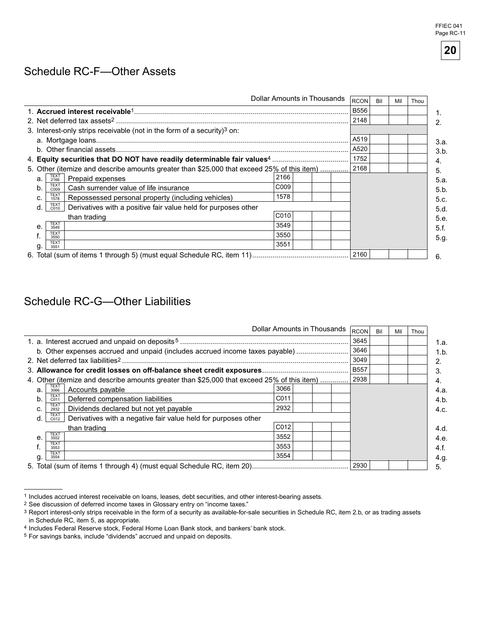# Schedule RC-F—Other Assets

|    |                                                                                            |                  |      | Dollar Amounts in Thousands | <b>RCON</b> | Bil | Mil | Thou |
|----|--------------------------------------------------------------------------------------------|------------------|------|-----------------------------|-------------|-----|-----|------|
|    |                                                                                            |                  |      |                             | <b>B556</b> |     |     |      |
|    |                                                                                            |                  | 2148 |                             |             |     |     |      |
|    | 3. Interest-only strips receivable (not in the form of a security) <sup>3</sup> on:        |                  |      |                             |             |     |     |      |
|    |                                                                                            | A519             |      |                             |             |     |     |      |
|    |                                                                                            |                  | A520 |                             |             |     |     |      |
|    |                                                                                            |                  | 1752 |                             |             |     |     |      |
|    | 5. Other (itemize and describe amounts greater than \$25,000 that exceed 25% of this item) | 2168             |      |                             |             |     |     |      |
| a. | TEXT<br>2166<br>Prepaid expenses                                                           | 2166             |      |                             |             |     |     |      |
| b. | <b>TEXT</b><br>Cash surrender value of life insurance<br>C009                              | C <sub>009</sub> |      |                             |             |     |     |      |
| C. | <b>TEXT</b><br>Repossessed personal property (including vehicles)<br>1578                  | 1578             |      |                             |             |     |     |      |
| d. | <b>TEXT</b><br>Derivatives with a positive fair value held for purposes other<br>C010      |                  |      |                             |             |     |     |      |
|    | than trading                                                                               | C <sub>010</sub> |      |                             |             |     |     |      |
| e. | TEXT<br>3549                                                                               | 3549             |      |                             |             |     |     |      |
|    | <b>TEXT</b><br>3550                                                                        |                  |      |                             |             |     |     |      |
| g  | <b>TEXT</b><br>3551                                                                        | 3551             |      |                             |             |     |     |      |
|    |                                                                                            |                  | 2160 |                             |             |     |     |      |

# Schedule RC-G—Other Liabilities

|                                                                                                  | Dollar Amounts in Thousands |  | <b>RCON</b> | Bil | Mil | Thou |
|--------------------------------------------------------------------------------------------------|-----------------------------|--|-------------|-----|-----|------|
|                                                                                                  |                             |  | 3645        |     |     |      |
| b. Other expenses accrued and unpaid (includes accrued income taxes payable)                     | 3646                        |  |             |     |     |      |
| 2. Net deferred tax liabilities <sup>2</sup>                                                     | 3049                        |  |             |     |     |      |
|                                                                                                  | <b>B557</b>                 |  |             |     |     |      |
| 4. Other (itemize and describe amounts greater than \$25,000 that exceed 25% of this item)       | 2938                        |  |             |     |     |      |
| TEXT<br>3066<br>Accounts payable<br>a.                                                           | 3066                        |  |             |     |     |      |
| TEXT<br>C011<br>Deferred compensation liabilities<br>b.                                          | C011                        |  |             |     |     |      |
| TEXT<br>2932<br>Dividends declared but not yet payable<br>C.                                     | 2932                        |  |             |     |     |      |
| TEXT<br>Derivatives with a negative fair value held for purposes other<br>d.<br>C <sub>012</sub> |                             |  |             |     |     |      |
| than trading                                                                                     | C012                        |  |             |     |     |      |
| <b>TEXT</b><br>е.<br>3552                                                                        | 3552                        |  |             |     |     |      |
| <b>TEXT</b><br>3553                                                                              | 3553                        |  |             |     |     |      |
| <b>TEXT</b><br>3554<br>a                                                                         | 3554                        |  |             |     |     |      |
|                                                                                                  | 2930                        |  |             |     |     |      |

<sup>1</sup> Includes accrued interest receivable on loans, leases, debt securities, and other interest-bearing assets.

<sup>2</sup> See discussion of deferred income taxes in Glossary entry on "income taxes."

<sup>3</sup> Report interest-only strips receivable in the form of a security as available-for-sale securities in Schedule RC, item 2.b, or as trading assets in Schedule RC, item 5, as appropriate.

<sup>4</sup> Includes Federal Reserve stock, Federal Home Loan Bank stock, and bankers' bank stock.

<sup>5</sup> For savings banks, include "dividends" accrued and unpaid on deposits.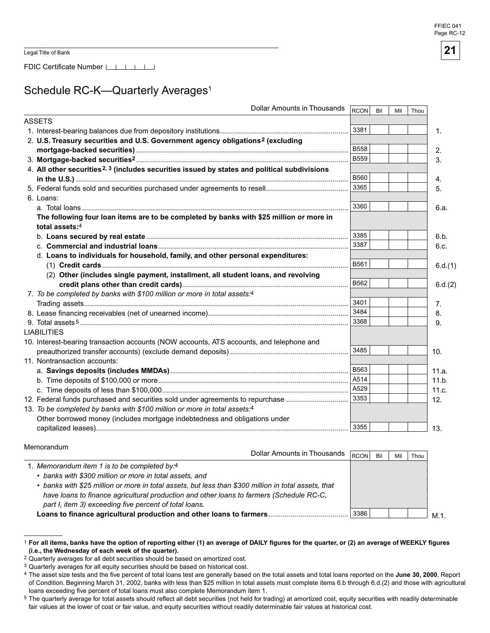FDIC Certificate Number [16]

# Schedule RC-K-Quarterly Averages<sup>1</sup>

| <b>Dollar Amounts in Thousands</b>                                                                       | RCON        | Bil | Mil | Thou |                  |
|----------------------------------------------------------------------------------------------------------|-------------|-----|-----|------|------------------|
| <b>ASSETS</b>                                                                                            |             |     |     |      |                  |
|                                                                                                          | 3381        |     |     |      | $\mathbf{1}$ .   |
| 2. U.S. Treasury securities and U.S. Government agency obligations <sup>2</sup> (excluding               |             |     |     |      |                  |
|                                                                                                          | <b>B558</b> |     |     |      | 2.               |
|                                                                                                          | <b>B559</b> |     |     |      | 3.               |
| 4. All other securities <sup>2, 3</sup> (includes securities issued by states and political subdivisions |             |     |     |      |                  |
|                                                                                                          | <b>B560</b> |     |     |      | $\overline{4}$ . |
|                                                                                                          | 3365        |     |     |      | 5.               |
| 6. Loans:                                                                                                |             |     |     |      |                  |
|                                                                                                          | 3360        |     |     |      | 6.a.             |
| The following four loan items are to be completed by banks with \$25 million or more in                  |             |     |     |      |                  |
| total assets: $4$                                                                                        |             |     |     |      |                  |
|                                                                                                          | 3385        |     |     |      | 6.b.             |
|                                                                                                          | 3387        |     |     |      | 6.c.             |
| d. Loans to individuals for household, family, and other personal expenditures:                          |             |     |     |      |                  |
|                                                                                                          | B561        |     |     |      | 6.d.(1)          |
| (2) Other (includes single payment, installment, all student loans, and revolving                        |             |     |     |      |                  |
|                                                                                                          | B562        |     |     |      | 6.d.(2)          |
| 7. To be completed by banks with \$100 million or more in total assets:4                                 |             |     |     |      |                  |
|                                                                                                          | 3401        |     |     |      | 7.               |
|                                                                                                          | 3484        |     |     |      | 8.               |
|                                                                                                          | 3368        |     |     |      | 9.               |
| <b>LIABILITIES</b>                                                                                       |             |     |     |      |                  |
| 10. Interest-bearing transaction accounts (NOW accounts, ATS accounts, and telephone and                 |             |     |     |      |                  |
|                                                                                                          | 3485        |     |     |      | 10.              |
| 11. Nontransaction accounts:                                                                             |             |     |     |      |                  |
|                                                                                                          | <b>B563</b> |     |     |      | 11.a.            |
|                                                                                                          | A514        |     |     |      | 11.b.            |
|                                                                                                          | A529        |     |     |      | 11.c.            |
| 12. Federal funds purchased and securities sold under agreements to repurchase                           | 3353        |     |     |      | 12.              |
| 13. To be completed by banks with \$100 million or more in total assets:4                                |             |     |     |      |                  |
| Other borrowed money (includes mortgage indebtedness and obligations under                               |             |     |     |      |                  |
|                                                                                                          | 3355        |     |     |      | 13.              |

#### Memorandum

| Dollar Amounts in Thousands                                                                          | <b>RCON</b> | Bil | Mil | Thou |
|------------------------------------------------------------------------------------------------------|-------------|-----|-----|------|
| 1. Memorandum item 1 is to be completed by:4                                                         |             |     |     |      |
| • banks with \$300 million or more in total assets, and                                              |             |     |     |      |
| • banks with \$25 million or more in total assets, but less than \$300 million in total assets, that |             |     |     |      |
| have loans to finance agricultural production and other loans to farmers (Schedule RC-C,             |             |     |     |      |
| part I, item 3) exceeding five percent of total loans.                                               |             |     |     |      |
| Loans to finance agricultural production and other loans to farmers                                  | 3386        |     |     |      |

<sup>&</sup>lt;sup>1</sup> For all items, banks have the option of reporting either (1) an average of DAILY figures for the quarter, or (2) an average of WEEKLY figures (i.e., the Wednesday of each week of the quarter).

<sup>2</sup> Quarterly averages for all debt securities should be based on amortized cost.

<sup>3</sup> Quarterly averages for all equity securities should be based on historical cost.

 loans exceeding five percent of total loans must also complete Memorandum item 1. <sup>4</sup> The asset size tests and the five percent of total loans test are generally based on the total assets and total loans reported on the June 30, 2000, Report of Condition. Beginning March 31, 2002, banks with less than \$25 million in total assets must complete items 6.b through 6.d.(2) and those with agricultural

<sup>&</sup>lt;sup>5</sup> The quarterly average for total assets should reflect all debt securities (not held for trading) at amortized cost, equity securities with readily determinable fair values at the lower of cost or fair value, and equity securities without readily determinable fair values at historical cost.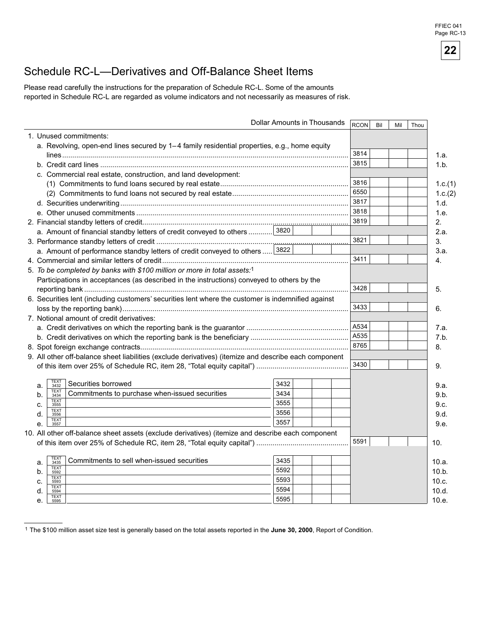# Schedule RC-L—Derivatives and Off-Balance Sheet Items

Please read carefully the instructions for the preparation of Schedule RC-L. Some of the amounts reported in Schedule RC-L are regarded as volume indicators and not necessarily as measures of risk.

|                                                                           |                                                                                                                                                                                                                                                                                                                                                                                                                                                                                         | RCON                                                                                                                                                                                                                                                                                                                                                                                                                                                                                                                                          | Bil  | Mil | Thou           |
|---------------------------------------------------------------------------|-----------------------------------------------------------------------------------------------------------------------------------------------------------------------------------------------------------------------------------------------------------------------------------------------------------------------------------------------------------------------------------------------------------------------------------------------------------------------------------------|-----------------------------------------------------------------------------------------------------------------------------------------------------------------------------------------------------------------------------------------------------------------------------------------------------------------------------------------------------------------------------------------------------------------------------------------------------------------------------------------------------------------------------------------------|------|-----|----------------|
|                                                                           |                                                                                                                                                                                                                                                                                                                                                                                                                                                                                         |                                                                                                                                                                                                                                                                                                                                                                                                                                                                                                                                               |      |     |                |
|                                                                           |                                                                                                                                                                                                                                                                                                                                                                                                                                                                                         |                                                                                                                                                                                                                                                                                                                                                                                                                                                                                                                                               |      |     |                |
|                                                                           |                                                                                                                                                                                                                                                                                                                                                                                                                                                                                         | 3814                                                                                                                                                                                                                                                                                                                                                                                                                                                                                                                                          |      |     |                |
|                                                                           |                                                                                                                                                                                                                                                                                                                                                                                                                                                                                         | 3815                                                                                                                                                                                                                                                                                                                                                                                                                                                                                                                                          |      |     |                |
|                                                                           |                                                                                                                                                                                                                                                                                                                                                                                                                                                                                         |                                                                                                                                                                                                                                                                                                                                                                                                                                                                                                                                               |      |     |                |
|                                                                           |                                                                                                                                                                                                                                                                                                                                                                                                                                                                                         | 3816                                                                                                                                                                                                                                                                                                                                                                                                                                                                                                                                          |      |     |                |
|                                                                           |                                                                                                                                                                                                                                                                                                                                                                                                                                                                                         | 6550                                                                                                                                                                                                                                                                                                                                                                                                                                                                                                                                          |      |     |                |
|                                                                           |                                                                                                                                                                                                                                                                                                                                                                                                                                                                                         | 3817                                                                                                                                                                                                                                                                                                                                                                                                                                                                                                                                          |      |     |                |
|                                                                           |                                                                                                                                                                                                                                                                                                                                                                                                                                                                                         | 3818                                                                                                                                                                                                                                                                                                                                                                                                                                                                                                                                          |      |     |                |
|                                                                           |                                                                                                                                                                                                                                                                                                                                                                                                                                                                                         | 3819                                                                                                                                                                                                                                                                                                                                                                                                                                                                                                                                          |      |     |                |
|                                                                           |                                                                                                                                                                                                                                                                                                                                                                                                                                                                                         |                                                                                                                                                                                                                                                                                                                                                                                                                                                                                                                                               |      |     |                |
|                                                                           |                                                                                                                                                                                                                                                                                                                                                                                                                                                                                         | 3821                                                                                                                                                                                                                                                                                                                                                                                                                                                                                                                                          |      |     |                |
| 3822                                                                      |                                                                                                                                                                                                                                                                                                                                                                                                                                                                                         |                                                                                                                                                                                                                                                                                                                                                                                                                                                                                                                                               |      |     |                |
|                                                                           |                                                                                                                                                                                                                                                                                                                                                                                                                                                                                         | 3411                                                                                                                                                                                                                                                                                                                                                                                                                                                                                                                                          |      |     |                |
|                                                                           |                                                                                                                                                                                                                                                                                                                                                                                                                                                                                         |                                                                                                                                                                                                                                                                                                                                                                                                                                                                                                                                               |      |     |                |
|                                                                           |                                                                                                                                                                                                                                                                                                                                                                                                                                                                                         |                                                                                                                                                                                                                                                                                                                                                                                                                                                                                                                                               |      |     |                |
|                                                                           |                                                                                                                                                                                                                                                                                                                                                                                                                                                                                         | 3428                                                                                                                                                                                                                                                                                                                                                                                                                                                                                                                                          |      |     |                |
|                                                                           |                                                                                                                                                                                                                                                                                                                                                                                                                                                                                         |                                                                                                                                                                                                                                                                                                                                                                                                                                                                                                                                               |      |     |                |
|                                                                           |                                                                                                                                                                                                                                                                                                                                                                                                                                                                                         | 3433                                                                                                                                                                                                                                                                                                                                                                                                                                                                                                                                          |      |     |                |
|                                                                           |                                                                                                                                                                                                                                                                                                                                                                                                                                                                                         |                                                                                                                                                                                                                                                                                                                                                                                                                                                                                                                                               |      |     |                |
|                                                                           |                                                                                                                                                                                                                                                                                                                                                                                                                                                                                         | A534                                                                                                                                                                                                                                                                                                                                                                                                                                                                                                                                          |      |     |                |
|                                                                           |                                                                                                                                                                                                                                                                                                                                                                                                                                                                                         | A535                                                                                                                                                                                                                                                                                                                                                                                                                                                                                                                                          |      |     |                |
|                                                                           |                                                                                                                                                                                                                                                                                                                                                                                                                                                                                         | 8765                                                                                                                                                                                                                                                                                                                                                                                                                                                                                                                                          |      |     |                |
|                                                                           |                                                                                                                                                                                                                                                                                                                                                                                                                                                                                         |                                                                                                                                                                                                                                                                                                                                                                                                                                                                                                                                               |      |     |                |
|                                                                           |                                                                                                                                                                                                                                                                                                                                                                                                                                                                                         | 3430                                                                                                                                                                                                                                                                                                                                                                                                                                                                                                                                          |      |     |                |
|                                                                           |                                                                                                                                                                                                                                                                                                                                                                                                                                                                                         |                                                                                                                                                                                                                                                                                                                                                                                                                                                                                                                                               |      |     |                |
| <b>TEXT</b><br>3432                                                       |                                                                                                                                                                                                                                                                                                                                                                                                                                                                                         |                                                                                                                                                                                                                                                                                                                                                                                                                                                                                                                                               |      |     |                |
| <b>TEXT</b><br>3434                                                       |                                                                                                                                                                                                                                                                                                                                                                                                                                                                                         |                                                                                                                                                                                                                                                                                                                                                                                                                                                                                                                                               |      |     |                |
| <b>TEXT</b><br>3555                                                       |                                                                                                                                                                                                                                                                                                                                                                                                                                                                                         |                                                                                                                                                                                                                                                                                                                                                                                                                                                                                                                                               |      |     |                |
| <b>TEXT</b><br>3556                                                       |                                                                                                                                                                                                                                                                                                                                                                                                                                                                                         |                                                                                                                                                                                                                                                                                                                                                                                                                                                                                                                                               |      |     |                |
| <b>TEXT</b><br>3557                                                       |                                                                                                                                                                                                                                                                                                                                                                                                                                                                                         |                                                                                                                                                                                                                                                                                                                                                                                                                                                                                                                                               |      |     |                |
|                                                                           |                                                                                                                                                                                                                                                                                                                                                                                                                                                                                         |                                                                                                                                                                                                                                                                                                                                                                                                                                                                                                                                               |      |     |                |
|                                                                           |                                                                                                                                                                                                                                                                                                                                                                                                                                                                                         |                                                                                                                                                                                                                                                                                                                                                                                                                                                                                                                                               |      |     | 10.            |
|                                                                           |                                                                                                                                                                                                                                                                                                                                                                                                                                                                                         |                                                                                                                                                                                                                                                                                                                                                                                                                                                                                                                                               |      |     |                |
| <b>TEXT</b><br>3435<br>Commitments to sell when-issued securities<br>3435 |                                                                                                                                                                                                                                                                                                                                                                                                                                                                                         |                                                                                                                                                                                                                                                                                                                                                                                                                                                                                                                                               |      |     | 10.a.          |
|                                                                           |                                                                                                                                                                                                                                                                                                                                                                                                                                                                                         |                                                                                                                                                                                                                                                                                                                                                                                                                                                                                                                                               |      |     |                |
| <b>TEXT</b>                                                               |                                                                                                                                                                                                                                                                                                                                                                                                                                                                                         |                                                                                                                                                                                                                                                                                                                                                                                                                                                                                                                                               |      |     |                |
| 5592<br>5592<br><b>TEXT</b>                                               |                                                                                                                                                                                                                                                                                                                                                                                                                                                                                         |                                                                                                                                                                                                                                                                                                                                                                                                                                                                                                                                               |      |     | 10.b.          |
| 5593<br>5593<br><b>TEXT</b><br>5594<br>5594                               |                                                                                                                                                                                                                                                                                                                                                                                                                                                                                         |                                                                                                                                                                                                                                                                                                                                                                                                                                                                                                                                               |      |     | 10.c.<br>10.d. |
|                                                                           | 1. Unused commitments:<br>c. Commercial real estate, construction, and land development:<br>a. Amount of financial standby letters of credit conveyed to others 3820<br>a. Amount of performance standby letters of credit conveyed to others<br>5. To be completed by banks with \$100 million or more in total assets:1<br>7. Notional amount of credit derivatives:<br>Securities borrowed<br>3432<br>Commitments to purchase when-issued securities<br>3434<br>3555<br>3556<br>3557 | Dollar Amounts in Thousands<br>a. Revolving, open-end lines secured by 1-4 family residential properties, e.g., home equity<br>Participations in acceptances (as described in the instructions) conveyed to others by the<br>6. Securities lent (including customers' securities lent where the customer is indemnified against<br>9. All other off-balance sheet liabilities (exclude derivatives) (itemize and describe each component<br>10. All other off-balance sheet assets (exclude derivatives) (itemize and describe each component | 5591 |     |                |

<sup>1</sup> The \$100 million asset size test is generally based on the total assets reported in the **June 30, 2000**, Report of Condition.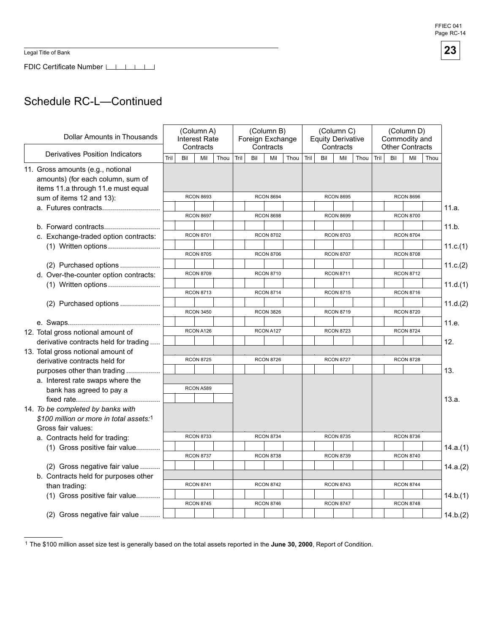FDIC Certificate Number LILILI

# Schedule RC-L—Continued

| Dollar Amounts in Thousands                                                                                  |  | (Column A)<br><b>Interest Rate</b><br>Contracts |                  |                  |      |      |                  | (Column B)<br>Foreign Exchange<br>Contracts |      |      |                  | (Column C)<br><b>Equity Derivative</b><br>Contracts |      |      | (Column D)<br>Commodity and<br><b>Other Contracts</b> |                  |      |          |
|--------------------------------------------------------------------------------------------------------------|--|-------------------------------------------------|------------------|------------------|------|------|------------------|---------------------------------------------|------|------|------------------|-----------------------------------------------------|------|------|-------------------------------------------------------|------------------|------|----------|
| <b>Derivatives Position Indicators</b>                                                                       |  | Tril                                            | Bil              | Mil              | Thou | Tril | Bil              | Mil                                         | Thou | Tril | Bil              | Mil                                                 | Thou | Tril | Bil                                                   | Mil              | Thou |          |
| 11. Gross amounts (e.g., notional<br>amounts) (for each column, sum of<br>items 11.a through 11.e must equal |  |                                                 |                  |                  |      |      |                  |                                             |      |      |                  |                                                     |      |      |                                                       |                  |      |          |
| sum of items 12 and 13):                                                                                     |  |                                                 |                  | <b>RCON 8693</b> |      |      |                  | <b>RCON 8694</b>                            |      |      |                  | <b>RCON 8695</b>                                    |      |      |                                                       | <b>RCON 8696</b> |      |          |
|                                                                                                              |  |                                                 |                  |                  |      |      |                  |                                             |      |      |                  |                                                     |      |      |                                                       |                  |      | 11.a.    |
|                                                                                                              |  |                                                 |                  | <b>RCON 8697</b> |      |      |                  | <b>RCON 8698</b>                            |      |      |                  | <b>RCON 8699</b>                                    |      |      |                                                       | <b>RCON 8700</b> |      |          |
| b. Forward contracts                                                                                         |  |                                                 |                  |                  |      |      |                  |                                             |      |      |                  |                                                     |      |      |                                                       |                  |      | 11.b.    |
| c. Exchange-traded option contracts:                                                                         |  |                                                 |                  | <b>RCON 8701</b> |      |      |                  | <b>RCON 8702</b>                            |      |      |                  | <b>RCON 8703</b>                                    |      |      |                                                       | <b>RCON 8704</b> |      |          |
| (1) Written options                                                                                          |  |                                                 |                  |                  |      |      |                  |                                             |      |      |                  |                                                     |      |      |                                                       |                  |      | 11.c.(1) |
|                                                                                                              |  |                                                 |                  | <b>RCON 8705</b> |      |      |                  | <b>RCON 8706</b>                            |      |      |                  | <b>RCON 8707</b>                                    |      |      |                                                       | <b>RCON 8708</b> |      |          |
| (2) Purchased options                                                                                        |  |                                                 |                  |                  |      |      |                  |                                             |      |      |                  |                                                     |      |      |                                                       |                  |      | 11.c.(2) |
| d. Over-the-counter option contracts:                                                                        |  |                                                 |                  | <b>RCON 8709</b> |      |      |                  | <b>RCON 8710</b>                            |      |      |                  | <b>RCON 8711</b>                                    |      |      |                                                       | <b>RCON 8712</b> |      |          |
|                                                                                                              |  |                                                 |                  |                  |      |      |                  |                                             |      |      |                  |                                                     |      |      |                                                       |                  |      | 11.d.(1) |
| (2) Purchased options                                                                                        |  |                                                 | <b>RCON 8713</b> |                  |      |      | <b>RCON 8714</b> |                                             |      |      | <b>RCON 8715</b> |                                                     |      |      |                                                       | <b>RCON 8716</b> |      |          |
|                                                                                                              |  |                                                 |                  |                  |      |      |                  |                                             |      |      |                  |                                                     |      |      |                                                       |                  |      | 11.d.(2) |
|                                                                                                              |  |                                                 |                  | <b>RCON 3450</b> |      |      |                  | <b>RCON 3826</b>                            |      |      |                  | <b>RCON 8719</b>                                    |      |      |                                                       | <b>RCON 8720</b> |      |          |
|                                                                                                              |  |                                                 |                  |                  |      |      |                  |                                             |      |      |                  |                                                     |      |      |                                                       |                  |      | 11.e.    |
| 12. Total gross notional amount of                                                                           |  |                                                 |                  | RCON A126        |      |      |                  | RCON A127                                   |      |      |                  | <b>RCON 8723</b>                                    |      |      |                                                       | <b>RCON 8724</b> |      |          |
| derivative contracts held for trading                                                                        |  |                                                 |                  |                  |      |      |                  |                                             |      |      |                  |                                                     |      |      |                                                       |                  |      | 12.      |
| 13. Total gross notional amount of                                                                           |  |                                                 |                  |                  |      |      |                  |                                             |      |      |                  |                                                     |      |      |                                                       |                  |      |          |
| derivative contracts held for                                                                                |  |                                                 |                  | <b>RCON 8725</b> |      |      |                  | <b>RCON 8726</b>                            |      |      |                  | <b>RCON 8727</b>                                    |      |      |                                                       | <b>RCON 8728</b> |      |          |
| purposes other than trading                                                                                  |  |                                                 |                  |                  |      |      |                  |                                             |      |      |                  |                                                     |      |      |                                                       |                  |      | 13.      |
| a. Interest rate swaps where the                                                                             |  |                                                 |                  |                  |      |      |                  |                                             |      |      |                  |                                                     |      |      |                                                       |                  |      |          |
| bank has agreed to pay a                                                                                     |  |                                                 |                  | RCON A589        |      |      |                  |                                             |      |      |                  |                                                     |      |      |                                                       |                  |      |          |
|                                                                                                              |  |                                                 |                  |                  |      |      |                  |                                             |      |      |                  |                                                     |      |      |                                                       |                  |      | 13.a.    |
| 14. To be completed by banks with                                                                            |  |                                                 |                  |                  |      |      |                  |                                             |      |      |                  |                                                     |      |      |                                                       |                  |      |          |
| \$100 million or more in total assets:1                                                                      |  |                                                 |                  |                  |      |      |                  |                                             |      |      |                  |                                                     |      |      |                                                       |                  |      |          |
| Gross fair values:                                                                                           |  |                                                 |                  |                  |      |      |                  |                                             |      |      |                  |                                                     |      |      |                                                       |                  |      |          |
| a. Contracts held for trading:                                                                               |  |                                                 |                  | <b>RCON 8733</b> |      |      |                  | <b>RCON 8734</b>                            |      |      |                  | <b>RCON 8735</b>                                    |      |      |                                                       | <b>RCON 8736</b> |      |          |
| (1) Gross positive fair value                                                                                |  |                                                 |                  |                  |      |      |                  |                                             |      |      |                  |                                                     |      |      |                                                       |                  |      | 14.a.(1) |
|                                                                                                              |  |                                                 |                  | <b>RCON 8737</b> |      |      |                  | <b>RCON 8738</b>                            |      |      |                  | <b>RCON 8739</b>                                    |      |      |                                                       | <b>RCON 8740</b> |      |          |
| (2) Gross negative fair value                                                                                |  |                                                 |                  |                  |      |      |                  |                                             |      |      |                  |                                                     |      |      |                                                       |                  |      | 14.a.(2) |
| b. Contracts held for purposes other                                                                         |  |                                                 |                  |                  |      |      |                  |                                             |      |      |                  |                                                     |      |      |                                                       |                  |      |          |
| than trading:                                                                                                |  |                                                 |                  | <b>RCON 8741</b> |      |      |                  | <b>RCON 8742</b>                            |      |      |                  | <b>RCON 8743</b>                                    |      |      |                                                       | <b>RCON 8744</b> |      |          |
| (1) Gross positive fair value                                                                                |  |                                                 |                  |                  |      |      |                  |                                             |      |      |                  |                                                     |      |      |                                                       |                  |      | 14.b.(1) |
|                                                                                                              |  |                                                 |                  | <b>RCON 8745</b> |      |      |                  | <b>RCON 8746</b>                            |      |      |                  | <b>RCON 8747</b>                                    |      |      |                                                       | <b>RCON 8748</b> |      |          |
| (2) Gross negative fair value                                                                                |  |                                                 |                  |                  |      |      |                  |                                             |      |      |                  |                                                     |      |      |                                                       |                  |      | 14.b.(2) |

<sup>1</sup> The \$100 million asset size test is generally based on the total assets reported in the **June 30, 2000**, Report of Condition.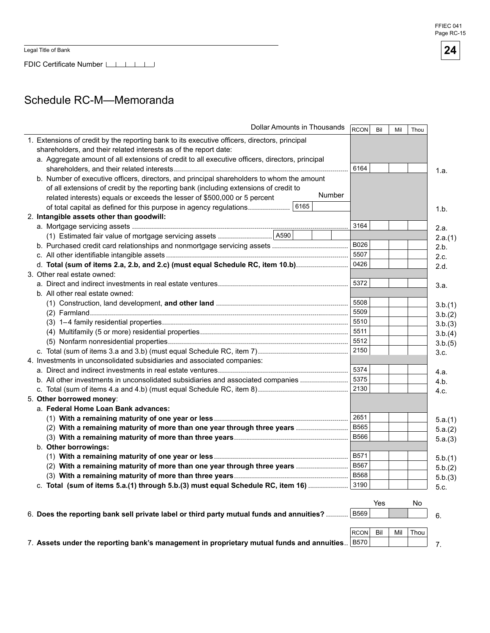FDIC Certificate Number LILLI

# Schedule RC-M-Memoranda

| 1. Extensions of credit by the reporting bank to its executive officers, directors, principal<br>shareholders, and their related interests as of the report date:<br>a. Aggregate amount of all extensions of credit to all executive officers, directors, principal<br>6164<br>1.a.<br>b. Number of executive officers, directors, and principal shareholders to whom the amount<br>of all extensions of credit by the reporting bank (including extensions of credit to<br>Number<br>related interests) equals or exceeds the lesser of \$500,000 or 5 percent<br>1.b.<br>2. Intangible assets other than goodwill:<br>3164<br>2.a.<br>2.a.(1)<br>B026<br>2.b.<br>5507<br>2.c.<br>d. Total (sum of items 2.a, 2.b, and 2.c) (must equal Schedule RC, item 10.b)<br>0426<br>2.d.<br>3. Other real estate owned:<br>5372<br>3.a.<br>b. All other real estate owned:<br>5508<br>3.b.(1)<br>5509<br>3.b.(2)<br>5510<br>3.b.(3)<br>5511<br>3.b.(4)<br>5512<br>3.b.(5)<br>2150<br>3.c.<br>4. Investments in unconsolidated subsidiaries and associated companies:<br>5374<br>4.a.<br>5375<br>b. All other investments in unconsolidated subsidiaries and associated companies<br>4.b.<br>2130<br>4.c.<br>5. Other borrowed money:<br>a. Federal Home Loan Bank advances:<br>2651<br>5.a.(1)<br><b>B565</b><br>(2) With a remaining maturity of more than one year through three years<br>5.a.(2)<br><b>B566</b><br>5.a.(3)<br>b. Other borrowings:<br>B571<br>5.b.(1)<br><b>B567</b><br>(2) With a remaining maturity of more than one year through three years<br>5.b.(2)<br><b>B568</b><br>5.b.(3)<br>c. Total (sum of items 5.a.(1) through 5.b.(3) must equal Schedule RC, item 16)<br>3190<br>5.c.<br>Yes<br>No<br><b>B569</b><br>6. Does the reporting bank sell private label or third party mutual funds and annuities?<br>6.<br><b>RCON</b><br>Bil<br>Thou<br>Mil | Dollar Amounts in Thousands                                                                    | RCON | Bil | Mil | Thou |    |
|------------------------------------------------------------------------------------------------------------------------------------------------------------------------------------------------------------------------------------------------------------------------------------------------------------------------------------------------------------------------------------------------------------------------------------------------------------------------------------------------------------------------------------------------------------------------------------------------------------------------------------------------------------------------------------------------------------------------------------------------------------------------------------------------------------------------------------------------------------------------------------------------------------------------------------------------------------------------------------------------------------------------------------------------------------------------------------------------------------------------------------------------------------------------------------------------------------------------------------------------------------------------------------------------------------------------------------------------------------------------------------------------------------------------------------------------------------------------------------------------------------------------------------------------------------------------------------------------------------------------------------------------------------------------------------------------------------------------------------------------------------------------------------------------------------------------------------------------------------------------|------------------------------------------------------------------------------------------------|------|-----|-----|------|----|
|                                                                                                                                                                                                                                                                                                                                                                                                                                                                                                                                                                                                                                                                                                                                                                                                                                                                                                                                                                                                                                                                                                                                                                                                                                                                                                                                                                                                                                                                                                                                                                                                                                                                                                                                                                                                                                                                        |                                                                                                |      |     |     |      |    |
|                                                                                                                                                                                                                                                                                                                                                                                                                                                                                                                                                                                                                                                                                                                                                                                                                                                                                                                                                                                                                                                                                                                                                                                                                                                                                                                                                                                                                                                                                                                                                                                                                                                                                                                                                                                                                                                                        |                                                                                                |      |     |     |      |    |
|                                                                                                                                                                                                                                                                                                                                                                                                                                                                                                                                                                                                                                                                                                                                                                                                                                                                                                                                                                                                                                                                                                                                                                                                                                                                                                                                                                                                                                                                                                                                                                                                                                                                                                                                                                                                                                                                        |                                                                                                |      |     |     |      |    |
|                                                                                                                                                                                                                                                                                                                                                                                                                                                                                                                                                                                                                                                                                                                                                                                                                                                                                                                                                                                                                                                                                                                                                                                                                                                                                                                                                                                                                                                                                                                                                                                                                                                                                                                                                                                                                                                                        |                                                                                                |      |     |     |      |    |
|                                                                                                                                                                                                                                                                                                                                                                                                                                                                                                                                                                                                                                                                                                                                                                                                                                                                                                                                                                                                                                                                                                                                                                                                                                                                                                                                                                                                                                                                                                                                                                                                                                                                                                                                                                                                                                                                        |                                                                                                |      |     |     |      |    |
|                                                                                                                                                                                                                                                                                                                                                                                                                                                                                                                                                                                                                                                                                                                                                                                                                                                                                                                                                                                                                                                                                                                                                                                                                                                                                                                                                                                                                                                                                                                                                                                                                                                                                                                                                                                                                                                                        |                                                                                                |      |     |     |      |    |
|                                                                                                                                                                                                                                                                                                                                                                                                                                                                                                                                                                                                                                                                                                                                                                                                                                                                                                                                                                                                                                                                                                                                                                                                                                                                                                                                                                                                                                                                                                                                                                                                                                                                                                                                                                                                                                                                        |                                                                                                |      |     |     |      |    |
|                                                                                                                                                                                                                                                                                                                                                                                                                                                                                                                                                                                                                                                                                                                                                                                                                                                                                                                                                                                                                                                                                                                                                                                                                                                                                                                                                                                                                                                                                                                                                                                                                                                                                                                                                                                                                                                                        |                                                                                                |      |     |     |      |    |
|                                                                                                                                                                                                                                                                                                                                                                                                                                                                                                                                                                                                                                                                                                                                                                                                                                                                                                                                                                                                                                                                                                                                                                                                                                                                                                                                                                                                                                                                                                                                                                                                                                                                                                                                                                                                                                                                        |                                                                                                |      |     |     |      |    |
|                                                                                                                                                                                                                                                                                                                                                                                                                                                                                                                                                                                                                                                                                                                                                                                                                                                                                                                                                                                                                                                                                                                                                                                                                                                                                                                                                                                                                                                                                                                                                                                                                                                                                                                                                                                                                                                                        |                                                                                                |      |     |     |      |    |
|                                                                                                                                                                                                                                                                                                                                                                                                                                                                                                                                                                                                                                                                                                                                                                                                                                                                                                                                                                                                                                                                                                                                                                                                                                                                                                                                                                                                                                                                                                                                                                                                                                                                                                                                                                                                                                                                        |                                                                                                |      |     |     |      |    |
|                                                                                                                                                                                                                                                                                                                                                                                                                                                                                                                                                                                                                                                                                                                                                                                                                                                                                                                                                                                                                                                                                                                                                                                                                                                                                                                                                                                                                                                                                                                                                                                                                                                                                                                                                                                                                                                                        |                                                                                                |      |     |     |      |    |
|                                                                                                                                                                                                                                                                                                                                                                                                                                                                                                                                                                                                                                                                                                                                                                                                                                                                                                                                                                                                                                                                                                                                                                                                                                                                                                                                                                                                                                                                                                                                                                                                                                                                                                                                                                                                                                                                        |                                                                                                |      |     |     |      |    |
|                                                                                                                                                                                                                                                                                                                                                                                                                                                                                                                                                                                                                                                                                                                                                                                                                                                                                                                                                                                                                                                                                                                                                                                                                                                                                                                                                                                                                                                                                                                                                                                                                                                                                                                                                                                                                                                                        |                                                                                                |      |     |     |      |    |
|                                                                                                                                                                                                                                                                                                                                                                                                                                                                                                                                                                                                                                                                                                                                                                                                                                                                                                                                                                                                                                                                                                                                                                                                                                                                                                                                                                                                                                                                                                                                                                                                                                                                                                                                                                                                                                                                        |                                                                                                |      |     |     |      |    |
|                                                                                                                                                                                                                                                                                                                                                                                                                                                                                                                                                                                                                                                                                                                                                                                                                                                                                                                                                                                                                                                                                                                                                                                                                                                                                                                                                                                                                                                                                                                                                                                                                                                                                                                                                                                                                                                                        |                                                                                                |      |     |     |      |    |
|                                                                                                                                                                                                                                                                                                                                                                                                                                                                                                                                                                                                                                                                                                                                                                                                                                                                                                                                                                                                                                                                                                                                                                                                                                                                                                                                                                                                                                                                                                                                                                                                                                                                                                                                                                                                                                                                        |                                                                                                |      |     |     |      |    |
|                                                                                                                                                                                                                                                                                                                                                                                                                                                                                                                                                                                                                                                                                                                                                                                                                                                                                                                                                                                                                                                                                                                                                                                                                                                                                                                                                                                                                                                                                                                                                                                                                                                                                                                                                                                                                                                                        |                                                                                                |      |     |     |      |    |
|                                                                                                                                                                                                                                                                                                                                                                                                                                                                                                                                                                                                                                                                                                                                                                                                                                                                                                                                                                                                                                                                                                                                                                                                                                                                                                                                                                                                                                                                                                                                                                                                                                                                                                                                                                                                                                                                        |                                                                                                |      |     |     |      |    |
|                                                                                                                                                                                                                                                                                                                                                                                                                                                                                                                                                                                                                                                                                                                                                                                                                                                                                                                                                                                                                                                                                                                                                                                                                                                                                                                                                                                                                                                                                                                                                                                                                                                                                                                                                                                                                                                                        |                                                                                                |      |     |     |      |    |
|                                                                                                                                                                                                                                                                                                                                                                                                                                                                                                                                                                                                                                                                                                                                                                                                                                                                                                                                                                                                                                                                                                                                                                                                                                                                                                                                                                                                                                                                                                                                                                                                                                                                                                                                                                                                                                                                        |                                                                                                |      |     |     |      |    |
|                                                                                                                                                                                                                                                                                                                                                                                                                                                                                                                                                                                                                                                                                                                                                                                                                                                                                                                                                                                                                                                                                                                                                                                                                                                                                                                                                                                                                                                                                                                                                                                                                                                                                                                                                                                                                                                                        |                                                                                                |      |     |     |      |    |
|                                                                                                                                                                                                                                                                                                                                                                                                                                                                                                                                                                                                                                                                                                                                                                                                                                                                                                                                                                                                                                                                                                                                                                                                                                                                                                                                                                                                                                                                                                                                                                                                                                                                                                                                                                                                                                                                        |                                                                                                |      |     |     |      |    |
|                                                                                                                                                                                                                                                                                                                                                                                                                                                                                                                                                                                                                                                                                                                                                                                                                                                                                                                                                                                                                                                                                                                                                                                                                                                                                                                                                                                                                                                                                                                                                                                                                                                                                                                                                                                                                                                                        |                                                                                                |      |     |     |      |    |
|                                                                                                                                                                                                                                                                                                                                                                                                                                                                                                                                                                                                                                                                                                                                                                                                                                                                                                                                                                                                                                                                                                                                                                                                                                                                                                                                                                                                                                                                                                                                                                                                                                                                                                                                                                                                                                                                        |                                                                                                |      |     |     |      |    |
|                                                                                                                                                                                                                                                                                                                                                                                                                                                                                                                                                                                                                                                                                                                                                                                                                                                                                                                                                                                                                                                                                                                                                                                                                                                                                                                                                                                                                                                                                                                                                                                                                                                                                                                                                                                                                                                                        |                                                                                                |      |     |     |      |    |
|                                                                                                                                                                                                                                                                                                                                                                                                                                                                                                                                                                                                                                                                                                                                                                                                                                                                                                                                                                                                                                                                                                                                                                                                                                                                                                                                                                                                                                                                                                                                                                                                                                                                                                                                                                                                                                                                        |                                                                                                |      |     |     |      |    |
|                                                                                                                                                                                                                                                                                                                                                                                                                                                                                                                                                                                                                                                                                                                                                                                                                                                                                                                                                                                                                                                                                                                                                                                                                                                                                                                                                                                                                                                                                                                                                                                                                                                                                                                                                                                                                                                                        |                                                                                                |      |     |     |      |    |
|                                                                                                                                                                                                                                                                                                                                                                                                                                                                                                                                                                                                                                                                                                                                                                                                                                                                                                                                                                                                                                                                                                                                                                                                                                                                                                                                                                                                                                                                                                                                                                                                                                                                                                                                                                                                                                                                        |                                                                                                |      |     |     |      |    |
|                                                                                                                                                                                                                                                                                                                                                                                                                                                                                                                                                                                                                                                                                                                                                                                                                                                                                                                                                                                                                                                                                                                                                                                                                                                                                                                                                                                                                                                                                                                                                                                                                                                                                                                                                                                                                                                                        |                                                                                                |      |     |     |      |    |
|                                                                                                                                                                                                                                                                                                                                                                                                                                                                                                                                                                                                                                                                                                                                                                                                                                                                                                                                                                                                                                                                                                                                                                                                                                                                                                                                                                                                                                                                                                                                                                                                                                                                                                                                                                                                                                                                        |                                                                                                |      |     |     |      |    |
|                                                                                                                                                                                                                                                                                                                                                                                                                                                                                                                                                                                                                                                                                                                                                                                                                                                                                                                                                                                                                                                                                                                                                                                                                                                                                                                                                                                                                                                                                                                                                                                                                                                                                                                                                                                                                                                                        |                                                                                                |      |     |     |      |    |
|                                                                                                                                                                                                                                                                                                                                                                                                                                                                                                                                                                                                                                                                                                                                                                                                                                                                                                                                                                                                                                                                                                                                                                                                                                                                                                                                                                                                                                                                                                                                                                                                                                                                                                                                                                                                                                                                        |                                                                                                |      |     |     |      |    |
|                                                                                                                                                                                                                                                                                                                                                                                                                                                                                                                                                                                                                                                                                                                                                                                                                                                                                                                                                                                                                                                                                                                                                                                                                                                                                                                                                                                                                                                                                                                                                                                                                                                                                                                                                                                                                                                                        |                                                                                                |      |     |     |      |    |
|                                                                                                                                                                                                                                                                                                                                                                                                                                                                                                                                                                                                                                                                                                                                                                                                                                                                                                                                                                                                                                                                                                                                                                                                                                                                                                                                                                                                                                                                                                                                                                                                                                                                                                                                                                                                                                                                        |                                                                                                |      |     |     |      |    |
|                                                                                                                                                                                                                                                                                                                                                                                                                                                                                                                                                                                                                                                                                                                                                                                                                                                                                                                                                                                                                                                                                                                                                                                                                                                                                                                                                                                                                                                                                                                                                                                                                                                                                                                                                                                                                                                                        |                                                                                                |      |     |     |      |    |
|                                                                                                                                                                                                                                                                                                                                                                                                                                                                                                                                                                                                                                                                                                                                                                                                                                                                                                                                                                                                                                                                                                                                                                                                                                                                                                                                                                                                                                                                                                                                                                                                                                                                                                                                                                                                                                                                        |                                                                                                |      |     |     |      |    |
|                                                                                                                                                                                                                                                                                                                                                                                                                                                                                                                                                                                                                                                                                                                                                                                                                                                                                                                                                                                                                                                                                                                                                                                                                                                                                                                                                                                                                                                                                                                                                                                                                                                                                                                                                                                                                                                                        |                                                                                                |      |     |     |      |    |
|                                                                                                                                                                                                                                                                                                                                                                                                                                                                                                                                                                                                                                                                                                                                                                                                                                                                                                                                                                                                                                                                                                                                                                                                                                                                                                                                                                                                                                                                                                                                                                                                                                                                                                                                                                                                                                                                        |                                                                                                |      |     |     |      |    |
|                                                                                                                                                                                                                                                                                                                                                                                                                                                                                                                                                                                                                                                                                                                                                                                                                                                                                                                                                                                                                                                                                                                                                                                                                                                                                                                                                                                                                                                                                                                                                                                                                                                                                                                                                                                                                                                                        |                                                                                                |      |     |     |      |    |
|                                                                                                                                                                                                                                                                                                                                                                                                                                                                                                                                                                                                                                                                                                                                                                                                                                                                                                                                                                                                                                                                                                                                                                                                                                                                                                                                                                                                                                                                                                                                                                                                                                                                                                                                                                                                                                                                        |                                                                                                |      |     |     |      |    |
|                                                                                                                                                                                                                                                                                                                                                                                                                                                                                                                                                                                                                                                                                                                                                                                                                                                                                                                                                                                                                                                                                                                                                                                                                                                                                                                                                                                                                                                                                                                                                                                                                                                                                                                                                                                                                                                                        |                                                                                                |      |     |     |      |    |
|                                                                                                                                                                                                                                                                                                                                                                                                                                                                                                                                                                                                                                                                                                                                                                                                                                                                                                                                                                                                                                                                                                                                                                                                                                                                                                                                                                                                                                                                                                                                                                                                                                                                                                                                                                                                                                                                        | 7. Assets under the reporting bank's management in proprietary mutual funds and annuities B570 |      |     |     |      | 7. |

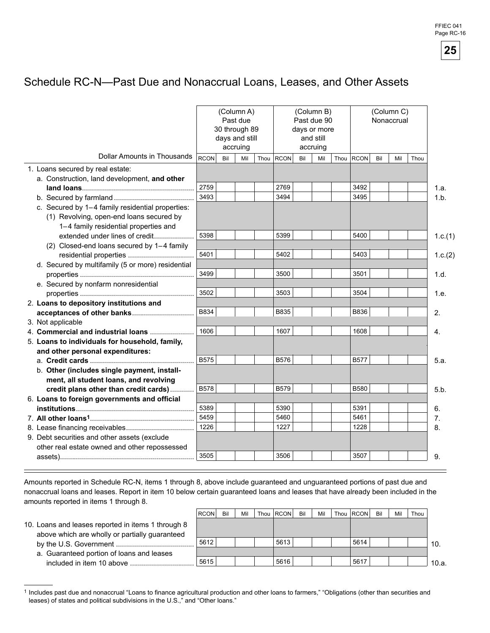# Schedule RC-N--Past Due and Nonaccrual Loans, Leases, and Other Assets

|                                                   |             | (Column A)<br>30 through 89<br>days and still | Past due<br>accruing |             |     | (Column B)<br>Past due 90<br>days or more<br>and still<br>accruing |      | (Column C)<br>Nonaccrual |     |     |      |         |
|---------------------------------------------------|-------------|-----------------------------------------------|----------------------|-------------|-----|--------------------------------------------------------------------|------|--------------------------|-----|-----|------|---------|
| Dollar Amounts in Thousands                       | <b>RCON</b> | Bil                                           | Mil                  | Thou RCON   | Bil | Mil                                                                | Thou | <b>RCON</b>              | Bil | Mil | Thou |         |
| 1. Loans secured by real estate:                  |             |                                               |                      |             |     |                                                                    |      |                          |     |     |      |         |
| a. Construction, land development, and other      |             |                                               |                      |             |     |                                                                    |      |                          |     |     |      |         |
|                                                   | 2759        |                                               |                      | 2769        |     |                                                                    |      | 3492                     |     |     |      | 1.a.    |
|                                                   | 3493        |                                               |                      | 3494        |     |                                                                    |      | 3495                     |     |     |      | 1.b.    |
| c. Secured by 1-4 family residential properties:  |             |                                               |                      |             |     |                                                                    |      |                          |     |     |      |         |
| (1) Revolving, open-end loans secured by          |             |                                               |                      |             |     |                                                                    |      |                          |     |     |      |         |
| 1-4 family residential properties and             |             |                                               |                      |             |     |                                                                    |      |                          |     |     |      |         |
| extended under lines of credit                    | 5398        |                                               |                      | 5399        |     |                                                                    |      | 5400                     |     |     |      | 1.c.(1) |
| (2) Closed-end loans secured by 1-4 family        |             |                                               |                      |             |     |                                                                    |      |                          |     |     |      |         |
| residential properties                            | 5401        |                                               |                      | 5402        |     |                                                                    |      | 5403                     |     |     |      | 1.c.(2) |
| d. Secured by multifamily (5 or more) residential |             |                                               |                      |             |     |                                                                    |      |                          |     |     |      |         |
|                                                   | 3499        |                                               |                      | 3500        |     |                                                                    |      | 3501                     |     |     |      | 1.d.    |
| e. Secured by nonfarm nonresidential              |             |                                               |                      |             |     |                                                                    |      |                          |     |     |      |         |
|                                                   | 3502        |                                               |                      | 3503        |     |                                                                    |      | 3504                     |     |     |      | 1.e.    |
| 2. Loans to depository institutions and           |             |                                               |                      |             |     |                                                                    |      |                          |     |     |      |         |
| acceptances of other banks                        | B834        |                                               |                      | B835        |     |                                                                    |      | <b>B836</b>              |     |     |      | 2.      |
| 3. Not applicable                                 |             |                                               |                      |             |     |                                                                    |      |                          |     |     |      |         |
| 4. Commercial and industrial loans                | 1606        |                                               |                      | 1607        |     |                                                                    |      | 1608                     |     |     |      | 4.      |
| 5. Loans to individuals for household, family,    |             |                                               |                      |             |     |                                                                    |      |                          |     |     |      |         |
| and other personal expenditures:                  |             |                                               |                      |             |     |                                                                    |      |                          |     |     |      |         |
|                                                   | <b>B575</b> |                                               |                      | B576        |     |                                                                    |      | <b>B577</b>              |     |     |      | 5.a.    |
| b. Other (includes single payment, install-       |             |                                               |                      |             |     |                                                                    |      |                          |     |     |      |         |
| ment, all student loans, and revolving            |             |                                               |                      |             |     |                                                                    |      |                          |     |     |      |         |
| credit plans other than credit cards)             | <b>B578</b> |                                               |                      | <b>B579</b> |     |                                                                    |      | B580                     |     |     |      | 5.b.    |
| 6. Loans to foreign governments and official      |             |                                               |                      |             |     |                                                                    |      |                          |     |     |      |         |
|                                                   | 5389        |                                               |                      | 5390        |     |                                                                    |      | 5391                     |     |     |      | 6.      |
|                                                   | 5459        |                                               |                      | 5460        |     |                                                                    |      | 5461                     |     |     |      | 7.      |
|                                                   | 1226        |                                               |                      | 1227        |     |                                                                    |      | 1228                     |     |     |      | 8.      |
| 9. Debt securities and other assets (exclude      |             |                                               |                      |             |     |                                                                    |      |                          |     |     |      |         |
| other real estate owned and other repossessed     |             |                                               |                      |             |     |                                                                    |      |                          |     |     |      |         |
|                                                   | 3505        |                                               |                      | 3506        |     |                                                                    |      | 3507                     |     |     |      | 9.      |

Amounts reported in Schedule RC-N, items 1 through 8, above include guaranteed and unguaranteed portions of past due and nonaccrual loans and leases. Report in item 10 below certain guaranteed loans and leases that have already been included in the amounts reported in items 1 through 8.

 $=$ 

|                                                    | <b>RCON</b> | Bil | Mil | Thou   RCON | Bil | Mil | Thou RCON | Bil | Mil | Thou |       |
|----------------------------------------------------|-------------|-----|-----|-------------|-----|-----|-----------|-----|-----|------|-------|
| 10. Loans and leases reported in items 1 through 8 |             |     |     |             |     |     |           |     |     |      |       |
| above which are wholly or partially guaranteed     |             |     |     |             |     |     |           |     |     |      |       |
|                                                    | 5612        |     |     | 5613        |     |     | 5614      |     |     |      | 10.   |
| a. Guaranteed portion of loans and leases          |             |     |     |             |     |     |           |     |     |      |       |
|                                                    | 5615        |     |     | 5616        |     |     | 5617      |     |     |      | 10.a. |

<sup>1</sup> Includes past due and nonaccrual "Loans to finance agricultural production and other loans to farmers," "Obligations (other than securities and leases) of states and political subdivisions in the U.S.," and "Other loans."

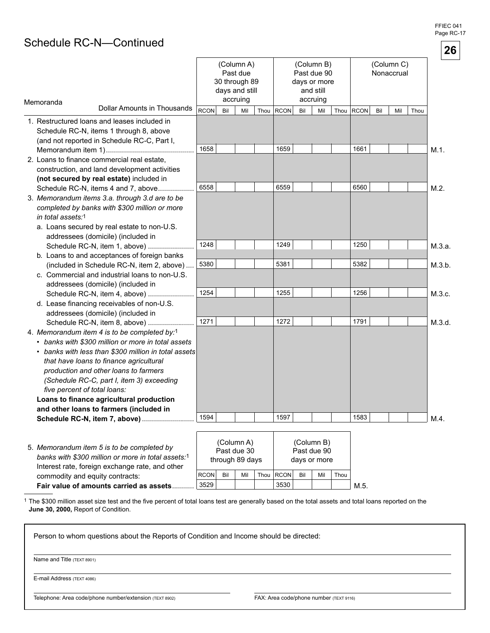FFIEC 041 Page RC-17

# Schedule RC-N-Continued

|                                                                                                                                                                                                                                                                                                                                                                                                                                                                                      |              |     |                                                                       |              |     |                                                                    |      |              |     |                          |      |                | 26 |
|--------------------------------------------------------------------------------------------------------------------------------------------------------------------------------------------------------------------------------------------------------------------------------------------------------------------------------------------------------------------------------------------------------------------------------------------------------------------------------------|--------------|-----|-----------------------------------------------------------------------|--------------|-----|--------------------------------------------------------------------|------|--------------|-----|--------------------------|------|----------------|----|
| Memoranda                                                                                                                                                                                                                                                                                                                                                                                                                                                                            |              |     | (Column A)<br>Past due<br>30 through 89<br>days and still<br>accruing |              |     | (Column B)<br>Past due 90<br>days or more<br>and still<br>accruing |      |              |     | (Column C)<br>Nonaccrual |      |                |    |
| Dollar Amounts in Thousands                                                                                                                                                                                                                                                                                                                                                                                                                                                          | <b>RCON</b>  | Bil | Mil                                                                   | Thou $ RCON$ | Bil | Mil                                                                | Thou | <b>RCON</b>  | Bil | Mil                      | Thou |                |    |
| 1. Restructured loans and leases included in<br>Schedule RC-N, items 1 through 8, above<br>(and not reported in Schedule RC-C, Part I,                                                                                                                                                                                                                                                                                                                                               | 1658         |     |                                                                       | 1659         |     |                                                                    |      | 1661         |     |                          |      | $M.1$ .        |    |
| 2. Loans to finance commercial real estate,<br>construction, and land development activities<br>(not secured by real estate) included in                                                                                                                                                                                                                                                                                                                                             |              |     |                                                                       |              |     |                                                                    |      |              |     |                          |      |                |    |
| Schedule RC-N, items 4 and 7, above<br>3. Memorandum items 3.a. through 3.d are to be<br>completed by banks with \$300 million or more<br>in total assets:1<br>a. Loans secured by real estate to non-U.S.<br>addressees (domicile) (included in                                                                                                                                                                                                                                     | 6558         |     |                                                                       | 6559         |     |                                                                    |      | 6560         |     |                          |      | M.2.           |    |
| Schedule RC-N, item 1, above)<br>b. Loans to and acceptances of foreign banks                                                                                                                                                                                                                                                                                                                                                                                                        | 1248         |     |                                                                       | 1249         |     |                                                                    |      | 1250         |     |                          |      | M.3.a.         |    |
| (included in Schedule RC-N, item 2, above)<br>c. Commercial and industrial loans to non-U.S.<br>addressees (domicile) (included in                                                                                                                                                                                                                                                                                                                                                   | 5380         |     |                                                                       | 5381         |     |                                                                    |      | 5382         |     |                          |      | M.3.b.         |    |
| Schedule RC-N, item 4, above)<br>d. Lease financing receivables of non-U.S.<br>addressees (domicile) (included in                                                                                                                                                                                                                                                                                                                                                                    | 1254         |     |                                                                       | 1255         |     |                                                                    |      | 1256         |     |                          |      | M.3.c.         |    |
| Schedule RC-N, item 8, above)<br>4. Memorandum item 4 is to be completed by:1<br>• banks with \$300 million or more in total assets<br>• banks with less than \$300 million in total assets<br>that have loans to finance agricultural<br>production and other loans to farmers<br>(Schedule RC-C, part I, item 3) exceeding<br>five percent of total loans:<br>Loans to finance agricultural production<br>and other loans to farmers (included in<br>Schedule RC-N, item 7, above) | 1271<br>1594 |     |                                                                       | 1272<br>1597 |     |                                                                    |      | 1791<br>1583 |     |                          |      | M.3.d.<br>M.4. |    |
| 5. Memorandum item 5 is to be completed by<br>banks with \$300 million or more in total assets:1<br>Interest rate, foreign exchange rate, and other                                                                                                                                                                                                                                                                                                                                  |              |     | (Column A)<br>Past due 30<br>through 89 days                          |              |     | (Column B)<br>Past due 90<br>days or more                          |      |              |     |                          |      |                |    |

1 The \$300 million asset size test and the five percent of total loans test are generally based on the total assets and total loans reported on the **June 30, 2000,** Report of Condition.

 $|RCON|$  Bil  $|Mi|$  Thou  $|RCON|$  Bil  $|Mi|$  Thou

**Fair value of amounts carried as assets............** 3529 **19 10 13530** 11 12 1530

3529

Person to whom questions about the Reports of Condition and Income should be directed:

Name and Title (TEXT 8901)

commodity and equity contracts:

E-mail Address (TEXT 4086)

Telephone: Area code/phone number/extension (TEXT 8902) FAX: Area code/phone number (TEXT 9116)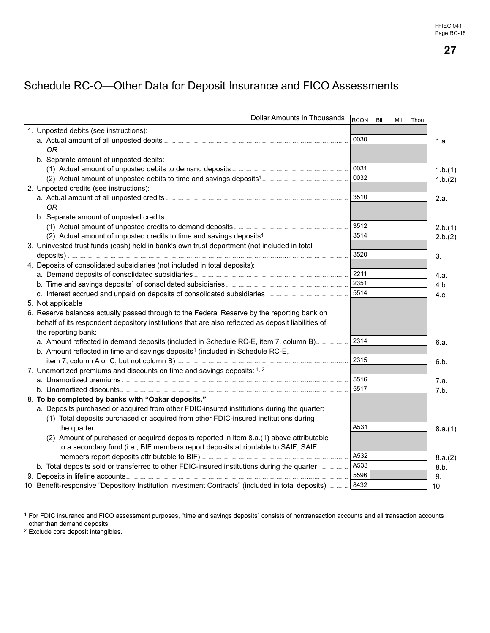# Schedule RC-O-Other Data for Deposit Insurance and FICO Assessments

| Dollar Amounts in Thousands                                                                        | <b>RCON</b> | Bil | Mil | Thou |         |
|----------------------------------------------------------------------------------------------------|-------------|-----|-----|------|---------|
| 1. Unposted debits (see instructions):                                                             |             |     |     |      |         |
|                                                                                                    | 0030        |     |     |      | 1.a.    |
| <b>OR</b>                                                                                          |             |     |     |      |         |
| b. Separate amount of unposted debits:                                                             |             |     |     |      |         |
|                                                                                                    | 0031        |     |     |      | 1.b.(1) |
|                                                                                                    | 0032        |     |     |      | 1.b.(2) |
| 2. Unposted credits (see instructions):                                                            |             |     |     |      |         |
|                                                                                                    | 3510        |     |     |      | 2.a.    |
| 0R                                                                                                 |             |     |     |      |         |
| b. Separate amount of unposted credits:                                                            |             |     |     |      |         |
|                                                                                                    | 3512        |     |     |      | 2.b.(1) |
|                                                                                                    | 3514        |     |     |      | 2.b.(2) |
| 3. Uninvested trust funds (cash) held in bank's own trust department (not included in total        |             |     |     |      |         |
|                                                                                                    | 3520        |     |     |      | 3.      |
| 4. Deposits of consolidated subsidiaries (not included in total deposits):                         |             |     |     |      |         |
|                                                                                                    | 2211        |     |     |      | 4.a.    |
|                                                                                                    | 2351        |     |     |      | 4.b.    |
|                                                                                                    | 5514        |     |     |      | 4.c.    |
| 5. Not applicable                                                                                  |             |     |     |      |         |
| 6. Reserve balances actually passed through to the Federal Reserve by the reporting bank on        |             |     |     |      |         |
| behalf of its respondent depository institutions that are also reflected as deposit liabilities of |             |     |     |      |         |
| the reporting bank:                                                                                |             |     |     |      |         |
| a. Amount reflected in demand deposits (included in Schedule RC-E, item 7, column B)               | 2314        |     |     |      | 6.a.    |
| b. Amount reflected in time and savings deposits <sup>1</sup> (included in Schedule RC-E,          |             |     |     |      |         |
|                                                                                                    | 2315        |     |     |      | 6.b.    |
| 7. Unamortized premiums and discounts on time and savings deposits: 1, 2                           |             |     |     |      |         |
|                                                                                                    | 5516        |     |     |      | 7.a.    |
|                                                                                                    | 5517        |     |     |      | 7.b.    |
| 8. To be completed by banks with "Oakar deposits."                                                 |             |     |     |      |         |
| a. Deposits purchased or acquired from other FDIC-insured institutions during the quarter:         |             |     |     |      |         |
| (1) Total deposits purchased or acquired from other FDIC-insured institutions during               |             |     |     |      |         |
|                                                                                                    | A531        |     |     |      | 8.a.(1) |
| (2) Amount of purchased or acquired deposits reported in item 8.a.(1) above attributable           |             |     |     |      |         |
| to a secondary fund (i.e., BIF members report deposits attributable to SAIF; SAIF                  |             |     |     |      |         |
|                                                                                                    | A532        |     |     |      | 8.a.(2) |
| b. Total deposits sold or transferred to other FDIC-insured institutions during the quarter        | A533        |     |     |      | 8.b.    |
|                                                                                                    | 5596        |     |     |      | 9.      |
| 10. Benefit-responsive "Depository Institution Investment Contracts" (included in total deposits)  | 8432        |     |     |      | 10.     |

<sup>1</sup> For FDIC insurance and FICO assessment purposes, "time and savings deposits" consists of nontransaction accounts and all transaction accounts other than demand deposits.

2 Exclude core deposit intangibles.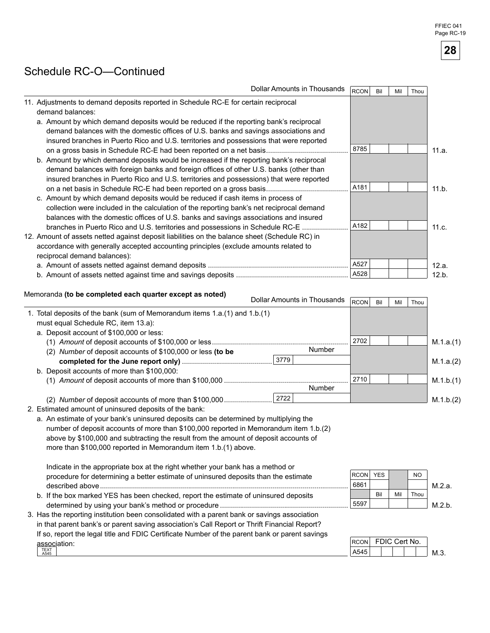# Schedule RC-O-Continued

| Dollar Amounts in Thousands                                                                                                                                                                                                                                                                            | RCON | Bil | Mil | Thou |       |
|--------------------------------------------------------------------------------------------------------------------------------------------------------------------------------------------------------------------------------------------------------------------------------------------------------|------|-----|-----|------|-------|
| 11. Adjustments to demand deposits reported in Schedule RC-E for certain reciprocal<br>demand balances:                                                                                                                                                                                                |      |     |     |      |       |
| a. Amount by which demand deposits would be reduced if the reporting bank's reciprocal<br>demand balances with the domestic offices of U.S. banks and savings associations and                                                                                                                         |      |     |     |      |       |
| insured branches in Puerto Rico and U.S. territories and possessions that were reported                                                                                                                                                                                                                | 8785 |     |     |      | 11.a. |
| b. Amount by which demand deposits would be increased if the reporting bank's reciprocal<br>demand balances with foreign banks and foreign offices of other U.S. banks (other than<br>insured branches in Puerto Rico and U.S. territories and possessions) that were reported                         |      |     |     |      |       |
|                                                                                                                                                                                                                                                                                                        | A181 |     |     |      | 11.b. |
| c. Amount by which demand deposits would be reduced if cash items in process of<br>collection were included in the calculation of the reporting bank's net reciprocal demand<br>balances with the domestic offices of U.S. banks and savings associations and insured                                  |      |     |     |      |       |
| branches in Puerto Rico and U.S. territories and possessions in Schedule RC-E<br>12. Amount of assets netted against deposit liabilities on the balance sheet (Schedule RC) in<br>accordance with generally accepted accounting principles (exclude amounts related to<br>reciprocal demand balances): | A182 |     |     |      | 11.c. |
|                                                                                                                                                                                                                                                                                                        | A527 |     |     |      | 12.a. |
|                                                                                                                                                                                                                                                                                                        | A528 |     |     |      | 12.b. |

# Memoranda **(to be completed each quarter except as noted)** Dollar Amounts in Thousands **RCON Bil Mil Thous**

|                                                                            | ווישטחו | יים | <b>IVIII</b> | 111 U U |           |
|----------------------------------------------------------------------------|---------|-----|--------------|---------|-----------|
| 1. Total deposits of the bank (sum of Memorandum items 1.a.(1) and 1.b.(1) |         |     |              |         |           |
| must equal Schedule RC, item 13.a):                                        |         |     |              |         |           |
| a. Deposit account of \$100,000 or less:                                   |         |     |              |         |           |
|                                                                            | 2702    |     |              |         | M.1.a.(1) |
| Number<br>(2) Number of deposit accounts of \$100,000 or less (to be       |         |     |              |         |           |
| 3779                                                                       |         |     |              |         | M.1.a.(2) |
| b. Deposit accounts of more than \$100,000:                                |         |     |              |         |           |
|                                                                            | 2710    |     |              |         | M.1.b.(1) |
| Number                                                                     |         |     |              |         |           |
| 2722<br>(2) Number of deposit accounts of more than \$100,000              |         |     |              |         | M.1.b.(2) |

2. Estimated amount of uninsured deposits of the bank:

a. An estimate of your bank's uninsured deposits can be determined by multiplying the number of deposit accounts of more than \$100,000 reported in Memorandum item 1.b.(2) above by \$100,000 and subtracting the result from the amount of deposit accounts of more than \$100,000 reported in Memorandum item 1.b.(1) above.

Indicate in the appropriate box at the right whether your bank has a method or procedure for determining a better estimate of uninsured deposits than the estimate described above............................................................................................................................ b. If the box marked YES has been checked, report the estimate of uninsured deposits determined by using your banks method or procedure ................................................................

3. Has the reporting institution been consolidated with a parent bank or savings association



| in that parent bank's or parent saving association's Call Report or Thrift Financial Report?   |             |            |  |
|------------------------------------------------------------------------------------------------|-------------|------------|--|
| If so, report the legal title and FDIC Certificate Number of the parent bank or parent savings |             |            |  |
| association:                                                                                   | <b>RCON</b> | <b>FDI</b> |  |
| <b>TEXT</b><br>A545                                                                            | A545        |            |  |

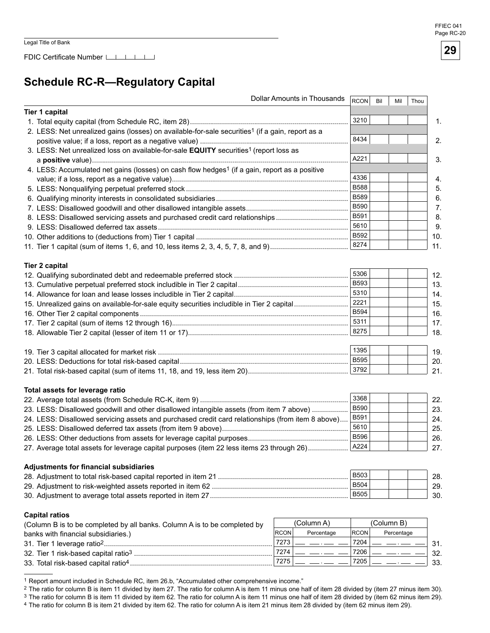# **Schedule RC-R--Regulatory Capital**

|                                                                                                              | Dollar Amounts in Thousands | <b>RCON</b> | Bil | Mil        | Thou |     |
|--------------------------------------------------------------------------------------------------------------|-----------------------------|-------------|-----|------------|------|-----|
| <b>Tier 1 capital</b>                                                                                        |                             |             |     |            |      |     |
|                                                                                                              |                             | 3210        |     |            |      | 1.  |
| 2. LESS: Net unrealized gains (losses) on available-for-sale securities <sup>1</sup> (if a gain, report as a |                             |             |     |            |      |     |
|                                                                                                              |                             | 8434        |     |            |      | 2.  |
| 3. LESS: Net unrealized loss on available-for-sale EQUITY securities <sup>1</sup> (report loss as            |                             |             |     |            |      |     |
|                                                                                                              |                             | A221        |     |            |      | 3.  |
| 4. LESS: Accumulated net gains (losses) on cash flow hedges <sup>1</sup> (if a gain, report as a positive    |                             |             |     |            |      |     |
|                                                                                                              |                             | 4336        |     |            |      | 4.  |
|                                                                                                              |                             | <b>B588</b> |     |            |      | 5.  |
|                                                                                                              |                             | <b>B589</b> |     |            |      | 6.  |
|                                                                                                              |                             | <b>B590</b> |     |            |      |     |
|                                                                                                              |                             | B591        |     |            |      | 7.  |
| 8. LESS: Disallowed servicing assets and purchased credit card relationships                                 |                             | 5610        |     |            |      | 8.  |
|                                                                                                              |                             |             |     |            |      | 9.  |
|                                                                                                              |                             | B592        |     |            |      | 10. |
|                                                                                                              |                             | 8274        |     |            |      | 11. |
| <b>Tier 2 capital</b>                                                                                        |                             |             |     |            |      |     |
|                                                                                                              |                             | 5306        |     |            |      | 12. |
|                                                                                                              |                             | <b>B593</b> |     |            |      | 13. |
|                                                                                                              |                             | 5310        |     |            |      | 14. |
|                                                                                                              |                             | 2221        |     |            |      | 15. |
| 15. Unrealized gains on available-for-sale equity securities includible in Tier 2 capital                    |                             | <b>B594</b> |     |            |      |     |
|                                                                                                              |                             | 5311        |     |            |      | 16. |
|                                                                                                              |                             | 8275        |     |            |      | 17. |
|                                                                                                              |                             |             |     |            |      | 18. |
|                                                                                                              |                             | 1395        |     |            |      | 19. |
|                                                                                                              |                             | <b>B595</b> |     |            |      | 20. |
|                                                                                                              |                             | 3792        |     |            |      |     |
|                                                                                                              |                             |             |     |            |      | 21. |
| Total assets for leverage ratio                                                                              |                             |             |     |            |      |     |
|                                                                                                              |                             | 3368        |     |            |      | 22. |
| 23. LESS: Disallowed goodwill and other disallowed intangible assets (from item 7 above)                     |                             | <b>B590</b> |     |            |      | 23. |
| 24. LESS: Disallowed servicing assets and purchased credit card relationships (from item 8 above)            |                             | <b>B591</b> |     |            |      | 24. |
|                                                                                                              |                             | 5610        |     |            |      | 25. |
|                                                                                                              |                             | <b>B596</b> |     |            |      | 26. |
| 27. Average total assets for leverage capital purposes (item 22 less items 23 through 26)                    |                             | A224        |     |            |      | 27. |
|                                                                                                              |                             |             |     |            |      |     |
| <b>Adjustments for financial subsidiaries</b>                                                                |                             |             |     |            |      |     |
|                                                                                                              |                             | <b>B503</b> |     |            |      | 28. |
|                                                                                                              |                             | <b>B504</b> |     |            |      | 29. |
|                                                                                                              |                             | <b>B505</b> |     |            |      | 30. |
| <b>Capital ratios</b>                                                                                        |                             |             |     |            |      |     |
| (Column B is to be completed by all banks. Column A is to be completed by                                    | (Column A)                  |             |     | (Column B) |      |     |
| banks with financial subsidiaries.)                                                                          | <b>RCON</b><br>Percentage   | <b>RCON</b> |     | Percentage |      |     |
|                                                                                                              | 7273                        | 7204        |     |            |      |     |
|                                                                                                              | 7274                        | 7206        |     |            |      | 31. |
|                                                                                                              | 7275                        | 7205        |     |            |      | 32. |
|                                                                                                              |                             |             |     |            |      | 33. |

<sup>1</sup> Report amount included in Schedule RC, item 26.b, "Accumulated other comprehensive income."

<sup>2</sup> The ratio for column B is item 11 divided by item 27. The ratio for column A is item 11 minus one half of item 28 divided by (item 27 minus item 30).

3 The ratio for column B is item 11 divided by item 62. The ratio for column A is item 11 minus one half of item 28 divided by (item 62 minus item 29).

4 The ratio for column B is item 21 divided by item 62. The ratio for column A is item 21 minus item 28 divided by (item 62 minus item 29).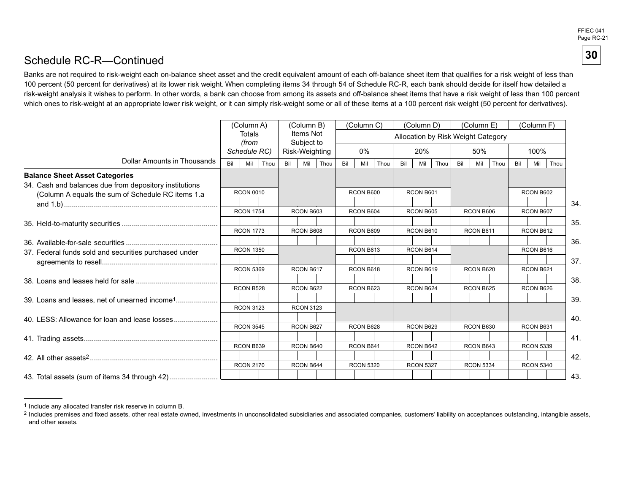FFIEC 041 Page RC-21

**30** 

## Schedule RC-R—Continued

Banks are not required to risk-weight each on-balance sheet asset and the credit equivalent amount of each off-balance sheet item that qualifies for a risk weight of less than 100 percent (50 percent for derivatives) at its lower risk weight. When completing items 34 through 54 of Schedule RC-R, each bank should decide for itself how detailed a risk-weight analysis it wishes to perform. In other words, a bank can choose from among its assets and off-balance sheet items that have a risk weight of less than 100 percent which ones to risk-weight at an appropriate lower risk weight, or it can simply risk-weight some or all of these items at a 100 percent risk weight (50 percent for derivatives).

|                                                        |     | (Column A)       |     | (Column B)              |           |           | (Column C) |                  |           | (Column D) |                                    |                  | (Column E) |           |     | (Column F)       |      |
|--------------------------------------------------------|-----|------------------|-----|-------------------------|-----------|-----------|------------|------------------|-----------|------------|------------------------------------|------------------|------------|-----------|-----|------------------|------|
|                                                        |     | Totals<br>(from  |     | Items Not<br>Subject to |           |           |            |                  |           |            | Allocation by Risk Weight Category |                  |            |           |     |                  |      |
|                                                        |     | Schedule RC)     |     | Risk-Weighting          |           |           | 0%         |                  |           | 20%        |                                    |                  | 50%        |           |     | 100%             |      |
| Dollar Amounts in Thousands                            | Bil | Mil<br>Thou      | Bil | Mil                     | Thou      | Bil       | Mil        | Thou             | Bil       | Mil        | Thou                               | Bil              | Mil        | Thou      | Bil | Mil              | Thou |
| <b>Balance Sheet Asset Categories</b>                  |     |                  |     |                         |           |           |            |                  |           |            |                                    |                  |            |           |     |                  |      |
| 34. Cash and balances due from depository institutions |     |                  |     |                         |           |           |            |                  |           |            |                                    |                  |            |           |     |                  |      |
| (Column A equals the sum of Schedule RC items 1.a      |     | <b>RCON 0010</b> |     |                         |           |           | RCON B600  |                  |           | RCON B601  |                                    |                  |            |           |     | RCON B602        |      |
|                                                        |     |                  |     |                         |           |           |            |                  |           |            |                                    |                  |            |           |     |                  |      |
|                                                        |     | <b>RCON 1754</b> |     | RCON B603               |           |           | RCON B604  |                  |           | RCON B605  |                                    |                  | RCON B606  |           |     | RCON B607        |      |
|                                                        |     |                  |     |                         |           |           |            |                  |           |            |                                    |                  |            |           |     |                  |      |
|                                                        |     | <b>RCON 1773</b> |     | RCON B608               |           | RCON B609 |            | RCON B610        |           | RCON B611  |                                    |                  |            | RCON B612 |     |                  |      |
|                                                        |     |                  |     |                         |           |           |            |                  |           |            |                                    |                  |            |           |     |                  |      |
| 37. Federal funds sold and securities purchased under  |     | <b>RCON 1350</b> |     |                         |           |           | RCON B613  |                  |           | RCON B614  |                                    |                  |            |           |     | RCON B616        |      |
|                                                        |     |                  |     |                         |           |           |            |                  |           |            |                                    |                  |            |           |     |                  |      |
|                                                        |     | <b>RCON 5369</b> |     | RCON B617               |           |           | RCON B618  |                  |           | RCON B619  |                                    |                  | RCON B620  |           |     | RCON B621        |      |
|                                                        |     |                  |     |                         |           |           |            |                  |           |            |                                    |                  |            |           |     |                  |      |
|                                                        |     | RCON B528        |     | RCON B622               |           | RCON B623 |            |                  | RCON B624 |            |                                    |                  | RCON B625  |           |     | RCON B626        |      |
|                                                        |     |                  |     |                         |           |           |            |                  |           |            |                                    |                  |            |           |     |                  |      |
|                                                        |     | <b>RCON 3123</b> |     | <b>RCON 3123</b>        |           |           |            |                  |           |            |                                    |                  |            |           |     |                  |      |
| 40. LESS: Allowance for loan and lease losses          |     |                  |     |                         |           |           |            |                  |           |            |                                    |                  |            |           |     |                  |      |
|                                                        |     | <b>RCON 3545</b> |     | RCON B627               |           |           | RCON B628  |                  |           | RCON B629  |                                    |                  | RCON B630  |           |     | RCON B631        |      |
|                                                        |     |                  |     |                         |           |           |            |                  |           |            |                                    |                  |            |           |     |                  |      |
|                                                        |     | RCON B639        |     | RCON B640               |           |           | RCON B641  |                  |           | RCON B642  |                                    |                  | RCON B643  |           |     | <b>RCON 5339</b> |      |
|                                                        |     |                  |     |                         |           |           |            |                  |           |            |                                    |                  |            |           |     |                  |      |
|                                                        |     | <b>RCON 2170</b> |     |                         | RCON B644 |           |            | <b>RCON 5320</b> |           |            | <b>RCON 5327</b>                   | <b>RCON 5334</b> |            |           |     | <b>RCON 5340</b> |      |
| 43. Total assets (sum of items 34 through 42)          |     |                  |     |                         |           |           |            |                  |           |            |                                    |                  |            |           |     |                  |      |

<sup>1</sup> Include any allocated transfer risk reserve in column B.

<sup>&</sup>lt;sup>2</sup> Includes premises and fixed assets, other real estate owned, investments in unconsolidated subsidiaries and associated companies, customers' liability on acceptances outstanding, intangible assets, and other assets.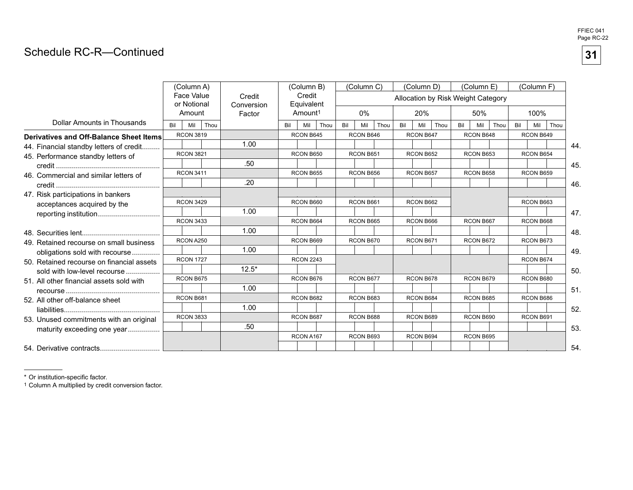## Schedule RC-R—Continued

|                                                |     | (Column A)<br><b>Face Value</b> |      | Credit               |     | (Column B)<br>Credit              |      |     | (Column C) |      |     | (Column D) | Allocation by Risk Weight Category |     | (Column E) |      |     | (Column F) |      |
|------------------------------------------------|-----|---------------------------------|------|----------------------|-----|-----------------------------------|------|-----|------------|------|-----|------------|------------------------------------|-----|------------|------|-----|------------|------|
|                                                |     | or Notional<br>Amount           |      | Conversion<br>Factor |     | Equivalent<br>Amount <sup>1</sup> |      |     | $0\%$      |      |     | 20%        |                                    |     | 50%        |      |     | 100%       |      |
| Dollar Amounts in Thousands                    | Bil | Mil                             | Thou |                      | Bil | Mil                               | Thou | Bil | Mil        | Thou | Bil | Mil        | Thou                               | Bil | Mil        | Thou | Bil | Mil        | Thou |
| <b>Derivatives and Off-Balance Sheet Items</b> |     | <b>RCON 3819</b>                |      |                      |     | RCON B645                         |      |     | RCON B646  |      |     | RCON B647  |                                    |     | RCON B648  |      |     | RCON B649  |      |
| 44. Financial standby letters of credit        |     |                                 |      | 1.00                 |     |                                   |      |     |            |      |     |            |                                    |     |            |      |     |            | 44.  |
| 45. Performance standby letters of             |     | <b>RCON 3821</b>                |      |                      |     | RCON B650                         |      |     | RCON B651  |      |     | RCON B652  |                                    |     | RCON B653  |      |     | RCON B654  |      |
|                                                |     |                                 |      | .50                  |     |                                   |      |     |            |      |     |            |                                    |     |            |      |     |            | 45.  |
| 46. Commercial and similar letters of          |     | <b>RCON 3411</b>                |      |                      |     | RCON B655                         |      |     | RCON B656  |      |     | RCON B657  |                                    |     | RCON B658  |      |     | RCON B659  |      |
|                                                |     |                                 |      | .20                  |     |                                   |      |     |            |      |     |            |                                    |     |            |      |     |            | 46.  |
| 47. Risk participations in bankers             |     |                                 |      |                      |     |                                   |      |     |            |      |     |            |                                    |     |            |      |     |            |      |
| acceptances acquired by the                    |     | <b>RCON 3429</b>                |      |                      |     | RCON B660                         |      |     | RCON B661  |      |     | RCON B662  |                                    |     |            |      |     | RCON B663  |      |
| reporting institution                          |     |                                 |      | 1.00                 |     |                                   |      |     |            |      |     |            |                                    |     |            |      |     |            | 47.  |
|                                                |     | <b>RCON 3433</b>                |      |                      |     | RCON B664                         |      |     | RCON B665  |      |     | RCON B666  |                                    |     | RCON B667  |      |     | RCON B668  |      |
|                                                |     |                                 |      | 1.00                 |     |                                   |      |     |            |      |     |            |                                    |     |            |      |     |            | 48.  |
| 49. Retained recourse on small business        |     | RCON A250                       |      |                      |     | RCON B669                         |      |     | RCON B670  |      |     | RCON B671  |                                    |     | RCON B672  |      |     | RCON B673  |      |
| obligations sold with recourse                 |     |                                 |      | 1.00                 |     |                                   |      |     |            |      |     |            |                                    |     |            |      |     |            | 49.  |
| 50. Retained recourse on financial assets      |     | <b>RCON 1727</b>                |      |                      |     | <b>RCON 2243</b>                  |      |     |            |      |     |            |                                    |     |            |      |     | RCON B674  |      |
| sold with low-level recourse                   |     |                                 |      | $12.5*$              |     |                                   |      |     |            |      |     |            |                                    |     |            |      |     |            | 50.  |
| 51. All other financial assets sold with       |     | RCON B675                       |      |                      |     | RCON B676                         |      |     | RCON B677  |      |     | RCON B678  |                                    |     | RCON B679  |      |     | RCON B680  |      |
|                                                |     |                                 |      | 1.00                 |     |                                   |      |     |            |      |     |            |                                    |     |            |      |     |            | 51.  |
| 52. All other off-balance sheet                |     | RCON B681                       |      |                      |     | RCON B682                         |      |     | RCON B683  |      |     | RCON B684  |                                    |     | RCON B685  |      |     | RCON B686  |      |
|                                                |     |                                 |      | 1.00                 |     |                                   |      |     |            |      |     |            |                                    |     |            |      |     |            | 52.  |
| 53. Unused commitments with an original        |     | <b>RCON 3833</b>                |      |                      |     | RCON B687                         |      |     | RCON B688  |      |     | RCON B689  |                                    |     | RCON B690  |      |     | RCON B691  |      |
| maturity exceeding one year                    |     |                                 |      | .50                  |     |                                   |      |     |            |      |     |            |                                    |     |            |      |     |            | 53.  |
|                                                |     |                                 |      |                      |     | RCON A167                         |      |     | RCON B693  |      |     | RCON B694  |                                    |     | RCON B695  |      |     |            |      |
|                                                |     |                                 |      |                      |     |                                   |      |     |            |      |     |            |                                    |     |            |      |     |            | 54.  |

\* Or institution-specific factor.

1 Column A multiplied by credit conversion factor.

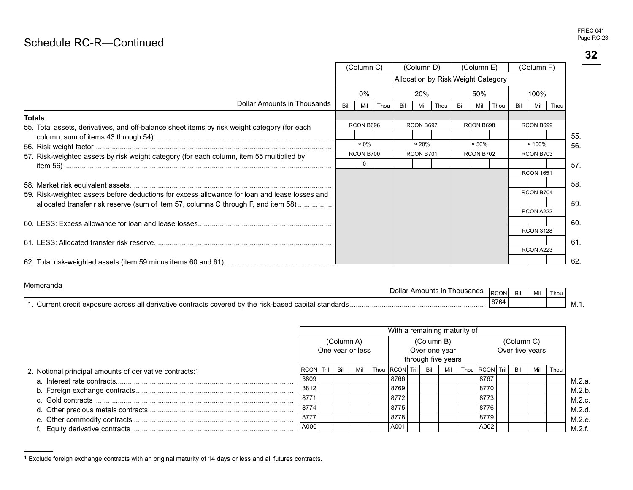# $\mathsf{Schedule\ RC\text{-}R\text{---}Continued}$  . The continued

|                                                                                               |     | (Column C)   |      |     | (Column D)    |      |     | (Column E)    |                                    |     | (Column F)       |      |     |
|-----------------------------------------------------------------------------------------------|-----|--------------|------|-----|---------------|------|-----|---------------|------------------------------------|-----|------------------|------|-----|
|                                                                                               |     |              |      |     |               |      |     |               | Allocation by Risk Weight Category |     |                  |      |     |
|                                                                                               |     | 0%           |      |     | 20%           |      |     | 50%           |                                    |     | 100%             |      |     |
| Dollar Amounts in Thousands                                                                   | Bil | Mil          | Thou | Bil | Mil           | Thou | Bil | Mil           | Thou                               | Bil | Mil              | Thou |     |
| <b>Totals</b>                                                                                 |     |              |      |     |               |      |     |               |                                    |     |                  |      |     |
| 55. Total assets, derivatives, and off-balance sheet items by risk weight category (for each  |     | RCON B696    |      |     | RCON B697     |      |     | RCON B698     |                                    |     | RCON B699        |      |     |
|                                                                                               |     |              |      |     |               |      |     |               |                                    |     |                  |      | 55. |
|                                                                                               |     | $\times 0\%$ |      |     | $\times 20\%$ |      |     | $\times 50\%$ |                                    |     | $\times$ 100%    |      | 56. |
| 57. Risk-weighted assets by risk weight category (for each column, item 55 multiplied by      |     | RCON B700    |      |     | RCON B701     |      |     | RCON B702     |                                    |     | RCON B703        |      |     |
|                                                                                               |     | $\Omega$     |      |     |               |      |     |               |                                    |     |                  |      | 57. |
|                                                                                               |     |              |      |     |               |      |     |               |                                    |     | <b>RCON 1651</b> |      |     |
|                                                                                               |     |              |      |     |               |      |     |               |                                    |     |                  |      | 58. |
| 59. Risk-weighted assets before deductions for excess allowance for loan and lease losses and |     |              |      |     |               |      |     |               |                                    |     | RCON B704        |      |     |
| allocated transfer risk reserve (sum of item 57, columns C through F, and item 58)            |     |              |      |     |               |      |     |               |                                    |     |                  |      | 59. |
|                                                                                               |     |              |      |     |               |      |     |               |                                    |     | RCON A222        |      |     |
|                                                                                               |     |              |      |     |               |      |     |               |                                    |     |                  |      | 60. |
|                                                                                               |     |              |      |     |               |      |     |               |                                    |     | <b>RCON 3128</b> |      |     |
|                                                                                               |     |              |      |     |               |      |     |               |                                    |     |                  |      | 61. |
|                                                                                               |     |              |      |     |               |      |     |               |                                    |     | RCON A223        |      |     |
|                                                                                               |     |              |      |     |               |      |     |               |                                    |     |                  |      | 62. |

#### Memoranda

| ----------------<br>housands<br>Amounts<br>⊃ollar                                    | <b>CONL</b><br><b>RUU</b> | Mil | Thou |        |
|--------------------------------------------------------------------------------------|---------------------------|-----|------|--------|
| standards<br>capital<br>urre:<br>the.<br>COVALAN<br>contracts<br>orod<br>$\sim$<br>. | 8764                      |     |      | IVI.I. |

|                                                                     | With a remaining maturity of   |  |     |     |  |                    |                                                   |  |     |  |                    |                               |  |     |      |  |  |  |  |
|---------------------------------------------------------------------|--------------------------------|--|-----|-----|--|--------------------|---------------------------------------------------|--|-----|--|--------------------|-------------------------------|--|-----|------|--|--|--|--|
|                                                                     | (Column A)<br>One year or less |  |     |     |  |                    | (Column B)<br>Over one year<br>through five years |  |     |  |                    | (Column C)<br>Over five years |  |     |      |  |  |  |  |
| 2. Notional principal amounts of derivative contracts: <sup>1</sup> | <b>RCON Trill</b>              |  | Bil | Mil |  | Thou RCON Tril Bil |                                                   |  | Mil |  | Thou RCON Tril Bil |                               |  | Mil | Thou |  |  |  |  |
|                                                                     | 3809                           |  |     |     |  | 8766               |                                                   |  |     |  | 8767               |                               |  |     |      |  |  |  |  |
|                                                                     | 3812                           |  |     |     |  | 8769               |                                                   |  |     |  | 8770               |                               |  |     |      |  |  |  |  |
|                                                                     | 8771                           |  |     |     |  | 8772               |                                                   |  |     |  | 8773               |                               |  |     |      |  |  |  |  |
|                                                                     | 8774                           |  |     |     |  | 8775               |                                                   |  |     |  | 8776               |                               |  |     |      |  |  |  |  |
|                                                                     | 8777                           |  |     |     |  | 8778               |                                                   |  |     |  | 8779               |                               |  |     |      |  |  |  |  |
|                                                                     | A000                           |  |     |     |  | A001               |                                                   |  |     |  | A002               |                               |  |     |      |  |  |  |  |

<sup>1</sup> Exclude foreign exchange contracts with an original maturity of 14 days or less and all futures contracts.

FFIEC 041 Page RC-23

**32**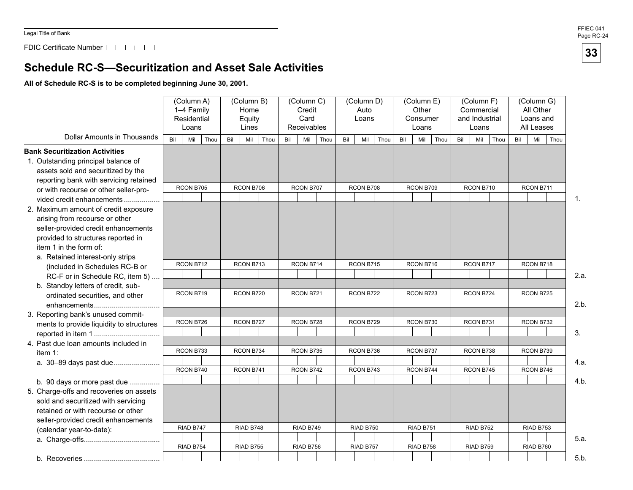FDIC Certificate Number

## **Schedule RC-S—Securitization and Asset Sale Activities**

**All of Schedule RC-S is to be completed beginning June 30, 2001.** 

|                                          |     | (Column A)<br>1-4 Family<br>Residential<br>Loans |      |     | (Column B)<br>Home<br>Equity<br>Lines |     | (Column C)<br>Credit<br>Card<br>Receivables |      |     | (Column D)<br>Auto<br>Loans |     | (Column E)<br>Other<br>Consumer<br>Loans |      |     | (Column F)<br>Commercial<br>and Industrial<br>Loans |      |     | (Column G)<br>All Other<br>Loans and<br>All Leases |                |
|------------------------------------------|-----|--------------------------------------------------|------|-----|---------------------------------------|-----|---------------------------------------------|------|-----|-----------------------------|-----|------------------------------------------|------|-----|-----------------------------------------------------|------|-----|----------------------------------------------------|----------------|
| Dollar Amounts in Thousands              | Bil | Mil                                              | Thou | Bil | Thou<br>Mil                           | Bil | Mil                                         | Thou | Bil | Thou<br>Mil                 | Bil | Mil                                      | Thou | Bil | Mil                                                 | Thou | Bil | Mil<br>Thou                                        |                |
| <b>Bank Securitization Activities</b>    |     |                                                  |      |     |                                       |     |                                             |      |     |                             |     |                                          |      |     |                                                     |      |     |                                                    |                |
| 1. Outstanding principal balance of      |     |                                                  |      |     |                                       |     |                                             |      |     |                             |     |                                          |      |     |                                                     |      |     |                                                    |                |
| assets sold and securitized by the       |     |                                                  |      |     |                                       |     |                                             |      |     |                             |     |                                          |      |     |                                                     |      |     |                                                    |                |
| reporting bank with servicing retained   |     |                                                  |      |     |                                       |     |                                             |      |     |                             |     |                                          |      |     |                                                     |      |     |                                                    |                |
| or with recourse or other seller-pro-    |     | RCON B705                                        |      |     | RCON B706                             |     | RCON B707                                   |      |     | RCON B708                   |     | RCON B709                                |      |     | RCON B710                                           |      |     | RCON B711                                          |                |
| vided credit enhancements                |     |                                                  |      |     |                                       |     |                                             |      |     |                             |     |                                          |      |     |                                                     |      |     |                                                    | $\mathbf{1}$ . |
| 2. Maximum amount of credit exposure     |     |                                                  |      |     |                                       |     |                                             |      |     |                             |     |                                          |      |     |                                                     |      |     |                                                    |                |
| arising from recourse or other           |     |                                                  |      |     |                                       |     |                                             |      |     |                             |     |                                          |      |     |                                                     |      |     |                                                    |                |
| seller-provided credit enhancements      |     |                                                  |      |     |                                       |     |                                             |      |     |                             |     |                                          |      |     |                                                     |      |     |                                                    |                |
| provided to structures reported in       |     |                                                  |      |     |                                       |     |                                             |      |     |                             |     |                                          |      |     |                                                     |      |     |                                                    |                |
| item 1 in the form of:                   |     |                                                  |      |     |                                       |     |                                             |      |     |                             |     |                                          |      |     |                                                     |      |     |                                                    |                |
| a. Retained interest-only strips         |     | RCON B712                                        |      |     | RCON B713                             |     | RCON B714                                   |      |     |                             |     | RCON B716                                |      |     | RCON B717                                           |      |     | RCON B718                                          |                |
| (included in Schedules RC-B or           |     |                                                  |      |     |                                       |     |                                             |      |     | RCON B715                   |     |                                          |      |     |                                                     |      |     |                                                    |                |
| RC-F or in Schedule RC, item 5)          |     |                                                  |      |     |                                       |     |                                             |      |     |                             |     |                                          |      |     |                                                     |      |     |                                                    | 2.a.           |
| b. Standby letters of credit, sub-       |     | RCON B719                                        |      |     | RCON B720                             |     | RCON B721                                   |      |     |                             |     | RCON B723                                |      |     | RCON B724                                           |      |     | RCON B725                                          |                |
| ordinated securities, and other          |     |                                                  |      |     |                                       |     |                                             |      |     | RCON B722                   |     |                                          |      |     |                                                     |      |     |                                                    |                |
| enhancements                             |     |                                                  |      |     |                                       |     |                                             |      |     |                             |     |                                          |      |     |                                                     |      |     |                                                    | 2.b.           |
| 3. Reporting bank's unused commit-       |     |                                                  |      |     |                                       |     |                                             |      |     |                             |     |                                          |      |     |                                                     |      |     |                                                    |                |
| ments to provide liquidity to structures |     | RCON B726                                        |      |     | RCON B727                             |     | RCON B728                                   |      |     | RCON B729                   |     | RCON B730                                |      |     | RCON B731                                           |      |     | RCON B732                                          |                |
|                                          |     |                                                  |      |     |                                       |     |                                             |      |     |                             |     |                                          |      |     |                                                     |      |     |                                                    | 3.             |
| 4. Past due loan amounts included in     |     |                                                  |      |     |                                       |     |                                             |      |     |                             |     |                                          |      |     |                                                     |      |     |                                                    |                |
| item 1:                                  |     | RCON B733                                        |      |     | RCON B734                             |     | RCON B735                                   |      |     | RCON B736                   |     | RCON B737                                |      |     | RCON B738                                           |      |     | RCON B739                                          |                |
|                                          |     |                                                  |      |     |                                       |     |                                             |      |     |                             |     |                                          |      |     |                                                     |      |     |                                                    | 4.a.           |
|                                          |     | RCON B740                                        |      |     | RCON B741                             |     | RCON B742                                   |      |     | RCON B743                   |     | RCON B744                                |      |     | RCON B745                                           |      |     | RCON B746                                          |                |
| b. 90 days or more past due              |     |                                                  |      |     |                                       |     |                                             |      |     |                             |     |                                          |      |     |                                                     |      |     |                                                    | 4.b.           |
| 5. Charge-offs and recoveries on assets  |     |                                                  |      |     |                                       |     |                                             |      |     |                             |     |                                          |      |     |                                                     |      |     |                                                    |                |
| sold and securitized with servicing      |     |                                                  |      |     |                                       |     |                                             |      |     |                             |     |                                          |      |     |                                                     |      |     |                                                    |                |
| retained or with recourse or other       |     |                                                  |      |     |                                       |     |                                             |      |     |                             |     |                                          |      |     |                                                     |      |     |                                                    |                |
| seller-provided credit enhancements      |     |                                                  |      |     |                                       |     |                                             |      |     |                             |     |                                          |      |     |                                                     |      |     |                                                    |                |
| (calendar year-to-date):                 |     | RIAD B747                                        |      |     | RIAD B748                             |     | RIAD B749                                   |      |     | <b>RIAD B750</b>            |     | RIAD B751                                |      |     | RIAD B752                                           |      |     | RIAD B753                                          |                |
|                                          |     |                                                  |      |     |                                       |     |                                             |      |     |                             |     |                                          |      |     |                                                     |      |     |                                                    | 5.a.           |
|                                          |     | RIAD B754                                        |      |     | RIAD B755                             |     | RIAD B756                                   |      |     | RIAD B757                   |     | RIAD B758                                |      |     | RIAD B759                                           |      |     | RIAD B760                                          |                |
|                                          |     |                                                  |      |     |                                       |     |                                             |      |     |                             |     |                                          |      |     |                                                     |      |     |                                                    | 5.b.           |

FFIEC 041 Page RC-24

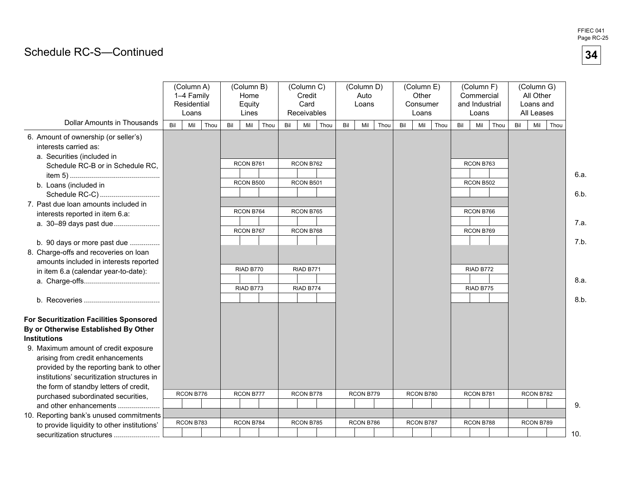# Schedule RC-S-Continued

|                                                                                                                                 | (Column A)<br>1-4 Family<br>Residential<br>Loans | (Column B)<br>Home<br>Equity<br>Lines | (Column C)<br>Credit<br>Card<br>Receivables | (Column D)<br>Auto<br>Loans | (Column E)<br>Other<br>Consumer<br>Loans | (Column F)<br>Commercial<br>and Industrial<br>Loans | (Column G)<br>All Other<br>Loans and<br>All Leases |              |
|---------------------------------------------------------------------------------------------------------------------------------|--------------------------------------------------|---------------------------------------|---------------------------------------------|-----------------------------|------------------------------------------|-----------------------------------------------------|----------------------------------------------------|--------------|
| <b>Dollar Amounts in Thousands</b>                                                                                              | Mil<br>Thou<br>Bil                               | Mil<br>Thou<br>Bil                    | Bil<br>Mil<br>Thou                          | Bil<br>Mil<br>Thou          | Mil<br>Thou<br>Bil                       | Mil<br>Bil<br>Thou                                  | Mil<br>Thou<br>Bil                                 |              |
| 6. Amount of ownership (or seller's)<br>interests carried as:<br>a. Securities (included in<br>Schedule RC-B or in Schedule RC, |                                                  | RCON B761                             | RCON B762                                   |                             |                                          | RCON B763                                           |                                                    | 6.a.         |
| b. Loans (included in                                                                                                           |                                                  | RCON B500                             | RCON B501                                   |                             |                                          | RCON B502                                           |                                                    |              |
| Schedule RC-C)<br>7. Past due loan amounts included in<br>interests reported in item 6.a:<br>a. 30-89 days past due             |                                                  | RCON B764                             | RCON B765                                   |                             |                                          | RCON B766                                           |                                                    | 6.b.<br>7.a. |
| b. 90 days or more past due                                                                                                     |                                                  | RCON B767                             | RCON B768                                   |                             |                                          | RCON B769                                           |                                                    | 7.b.         |
| 8. Charge-offs and recoveries on loan<br>amounts included in interests reported                                                 |                                                  |                                       |                                             |                             |                                          |                                                     |                                                    |              |
| in item 6.a (calendar year-to-date):                                                                                            |                                                  | RIAD B770                             | RIAD B771                                   |                             |                                          | RIAD B772                                           |                                                    | 8.a.         |
|                                                                                                                                 |                                                  | RIAD B773                             | RIAD B774                                   |                             |                                          | RIAD B775                                           |                                                    | 8.b.         |
| For Securitization Facilities Sponsored                                                                                         |                                                  |                                       |                                             |                             |                                          |                                                     |                                                    |              |
| By or Otherwise Established By Other                                                                                            |                                                  |                                       |                                             |                             |                                          |                                                     |                                                    |              |
| <b>Institutions</b>                                                                                                             |                                                  |                                       |                                             |                             |                                          |                                                     |                                                    |              |
| 9. Maximum amount of credit exposure                                                                                            |                                                  |                                       |                                             |                             |                                          |                                                     |                                                    |              |
| arising from credit enhancements                                                                                                |                                                  |                                       |                                             |                             |                                          |                                                     |                                                    |              |
| provided by the reporting bank to other                                                                                         |                                                  |                                       |                                             |                             |                                          |                                                     |                                                    |              |
| institutions' securitization structures in                                                                                      |                                                  |                                       |                                             |                             |                                          |                                                     |                                                    |              |
| the form of standby letters of credit,                                                                                          | RCON B776                                        | RCON B777                             | RCON B778                                   | RCON B779                   | RCON B780                                | RCON B781                                           | RCON B782                                          |              |
| purchased subordinated securities,                                                                                              |                                                  |                                       |                                             |                             |                                          |                                                     |                                                    | 9.           |
| and other enhancements                                                                                                          |                                                  |                                       |                                             |                             |                                          |                                                     |                                                    |              |
| 10. Reporting bank's unused commitments<br>to provide liquidity to other institutions'                                          | RCON B783                                        | RCON B784                             | RCON B785                                   | RCON B786                   | RCON B787                                | RCON B788                                           | RCON B789                                          |              |
| securitization structures                                                                                                       |                                                  |                                       |                                             |                             |                                          |                                                     | 10.                                                |              |

FFIEC 041 Page RC-25

**34**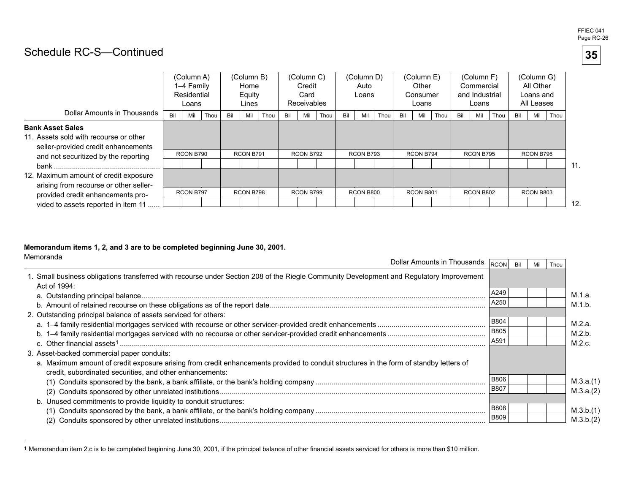#### FFIEC 041 Page RC-26

**35** 

# Schedule RC-S-Continued

|                                                                                                                                                  |     | (Column A)<br>1-4 Family<br>Residential<br>Loans |      |     | (Column B)<br>Home<br>Equity<br>Lines |      |     | (Column C)<br>Credit<br>Card<br><b>Receivables</b> |      |     | (Column D)<br>Auto<br>Loans |      |     | (Column E)<br>Other<br>Consumer<br>Loans |      |     | (Column F)<br>Commercial<br>and Industrial<br>Loans |      |     | (Column G)<br>All Other<br>Loans and<br>All Leases |      |     |
|--------------------------------------------------------------------------------------------------------------------------------------------------|-----|--------------------------------------------------|------|-----|---------------------------------------|------|-----|----------------------------------------------------|------|-----|-----------------------------|------|-----|------------------------------------------|------|-----|-----------------------------------------------------|------|-----|----------------------------------------------------|------|-----|
| Dollar Amounts in Thousands                                                                                                                      | Bil | Mil                                              | Thou | Bil | Mil                                   | Thou | Bil | Mil                                                | Thou | Bil | Mil                         | Thou | Bil | Mil                                      | Thou | Bil | Mil                                                 | Thou | Bil | Mil                                                | Thou |     |
| <b>Bank Asset Sales</b><br>11. Assets sold with recourse or other<br>seller-provided credit enhancements<br>and not securitized by the reporting |     | RCON B790                                        |      |     | RCON B791                             |      |     | RCON B792                                          |      |     | RCON B793                   |      |     | RCON B794                                |      |     | RCON B795                                           |      |     | RCON B796                                          |      | 11. |
| 12. Maximum amount of credit exposure<br>arising from recourse or other seller-<br>provided credit enhancements pro-                             |     | RCON B797                                        |      |     | RCON B798                             |      |     | RCON B799                                          |      |     | RCON B800                   |      |     | RCON B801                                |      |     | RCON B802                                           |      |     | RCON B803                                          |      |     |
| vided to assets reported in item 11                                                                                                              |     |                                                  |      |     |                                       |      |     |                                                    |      |     |                             |      |     |                                          |      |     |                                                     |      |     |                                                    |      | 12. |

12.

#### **Memorandum items 1, 2, and 3 are to be completed beginning June 30, 2001.**

| Memoranda<br>Dollar Amounts in Thousands                                                                                                                                                           | <b>RCON</b> | Mil | Thou |           |
|----------------------------------------------------------------------------------------------------------------------------------------------------------------------------------------------------|-------------|-----|------|-----------|
| 1. Small business obligations transferred with recourse under Section 208 of the Riegle Community Development and Regulatory Improvement<br>Act of 1994:                                           |             |     |      |           |
|                                                                                                                                                                                                    | A249        |     |      | M.1.a.    |
|                                                                                                                                                                                                    | A250        |     |      | M.1.b.    |
| 2. Outstanding principal balance of assets serviced for others:                                                                                                                                    | <b>B804</b> |     |      | M.2.a.    |
|                                                                                                                                                                                                    | <b>B805</b> |     |      | M.2.b.    |
|                                                                                                                                                                                                    | A591        |     |      | M.2.c.    |
| 3. Asset-backed commercial paper conduits:                                                                                                                                                         |             |     |      |           |
| a. Maximum amount of credit exposure arising from credit enhancements provided to conduit structures in the form of standby letters of<br>credit, subordinated securities, and other enhancements: |             |     |      |           |
|                                                                                                                                                                                                    | <b>B806</b> |     |      | M.3.a.(1) |
|                                                                                                                                                                                                    | <b>B807</b> |     |      | M.3.a.(2) |
| b. Unused commitments to provide liquidity to conduit structures:                                                                                                                                  |             |     |      |           |
|                                                                                                                                                                                                    | <b>B808</b> |     |      | M.3.b.(1) |
|                                                                                                                                                                                                    | <b>B809</b> |     |      | M.3.b.(2) |

<sup>1</sup> Memorandum item 2.c is to be completed beginning June 30, 2001, if the principal balance of other financial assets serviced for others is more than \$10 million.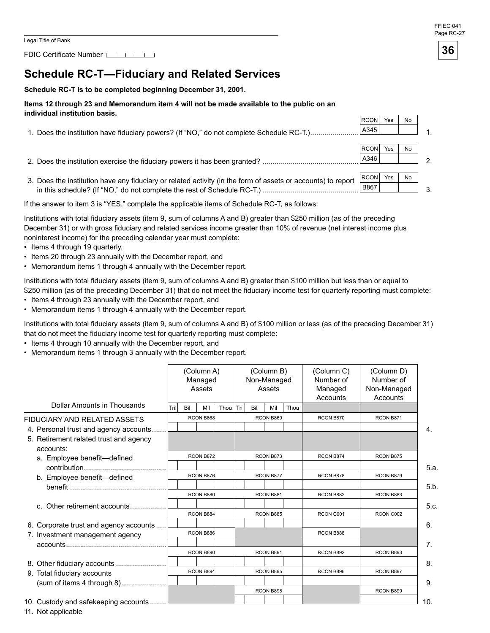FDIC Certificate Number [16]

# **Schedule RC-T-Fiduciary and Related Services**

#### **Schedule RC-T is to be completed beginning December 31, 2001.**

#### **Items 12 through 23 and Memorandum item 4 will not be made available to the public on an individual institution basis.**

| IIIUIVIUUAI IIISULULIUII DASIS.                                                                              |              |     |           |  |
|--------------------------------------------------------------------------------------------------------------|--------------|-----|-----------|--|
|                                                                                                              | <b>RCON</b>  | Yes | No        |  |
| 1. Does the institution have fiduciary powers? (If "NO," do not complete Schedule RC-T.)                     | A345         |     |           |  |
|                                                                                                              |              |     |           |  |
|                                                                                                              | <b>IRCON</b> | Yes | <b>No</b> |  |
|                                                                                                              | A346         |     |           |  |
|                                                                                                              |              |     |           |  |
| 3. Does the institution have any fiduciary or related activity (in the form of assets or accounts) to report | RCON         | Yes | <b>No</b> |  |
|                                                                                                              | <b>B867</b>  |     |           |  |
|                                                                                                              |              |     |           |  |

If the answer to item 3 is "YES," complete the applicable items of Schedule RC-T, as follows:

Institutions with total fiduciary assets (item 9, sum of columns A and B) greater than \$250 million (as of the preceding December 31) or with gross fiduciary and related services income greater than 10% of revenue (net interest income plus noninterest income) for the preceding calendar year must complete:

- Items 4 through 19 quarterly,
- Items 20 through 23 annually with the December report, and
- Memorandum items 1 through 4 annually with the December report.

Institutions with total fiduciary assets (item 9, sum of columns A and B) greater than \$100 million but less than or equal to \$250 million (as of the preceding December 31) that do not meet the fiduciary income test for quarterly reporting must complete:

- Items 4 through 23 annually with the December report, and
- Memorandum items 1 through 4 annually with the December report.

Institutions with total fiduciary assets (item 9, sum of columns A and B) of \$100 million or less (as of the preceding December 31) that do not meet the fiduciary income test for quarterly reporting must complete:

- Items 4 through 10 annually with the December report, and
- Memorandum items 1 through 3 annually with the December report.

|                                                                                                                                 |       |     | (Column A)<br>Managed<br>Assets |      |       |     | (Column B)<br>Non-Managed<br>Assets |      | (Column C)<br>Number of<br>Managed<br>Accounts | (Column D)<br>Number of<br>Non-Managed<br>Accounts |                |
|---------------------------------------------------------------------------------------------------------------------------------|-------|-----|---------------------------------|------|-------|-----|-------------------------------------|------|------------------------------------------------|----------------------------------------------------|----------------|
| Dollar Amounts in Thousands                                                                                                     | Trill | Bil | Mil                             | Thou | Trill | Bil | Mil                                 | Thou |                                                |                                                    |                |
| <b>FIDUCIARY AND RELATED ASSETS</b>                                                                                             |       |     | RCON B868                       |      |       |     | RCON B869                           |      | RCON B870                                      | RCON B871                                          |                |
| 4. Personal trust and agency accounts.<br>5. Retirement related trust and agency                                                |       |     |                                 |      |       |     |                                     |      |                                                |                                                    | 4.             |
| accounts:                                                                                                                       |       |     |                                 |      |       |     |                                     |      |                                                |                                                    |                |
| a. Employee benefit-defined                                                                                                     |       |     | RCON B872                       |      |       |     | RCON B873                           |      | RCON B874                                      | RCON B875                                          |                |
|                                                                                                                                 |       |     |                                 |      |       |     |                                     |      |                                                |                                                    | 5.a.           |
| b. Employee benefit-defined                                                                                                     |       |     | RCON B876                       |      |       |     | RCON B877                           |      | RCON B878                                      | RCON B879                                          |                |
|                                                                                                                                 |       |     |                                 |      |       |     |                                     |      |                                                |                                                    | 5.b.           |
|                                                                                                                                 |       |     | RCON B880                       |      |       |     | RCON B881                           |      | RCON B882                                      | RCON B883                                          |                |
| c. Other retirement accounts                                                                                                    |       |     | RCON B884                       |      |       |     | RCON B885                           |      | RCON C001                                      | RCON C002                                          | 5.c.           |
| 6. Corporate trust and agency accounts                                                                                          |       |     |                                 |      |       |     |                                     |      |                                                |                                                    | 6.             |
| 7. Investment management agency                                                                                                 |       |     | RCON B886                       |      |       |     |                                     |      | RCON B888                                      |                                                    |                |
| $accounds$ $\ldots$ $\ldots$ $\ldots$ $\ldots$ $\ldots$ $\ldots$ $\ldots$ $\ldots$ $\ldots$ $\ldots$ $\ldots$ $\ldots$ $\ldots$ |       |     |                                 |      |       |     |                                     |      |                                                |                                                    | 7 <sub>1</sub> |
|                                                                                                                                 |       |     | RCON B890                       |      |       |     | RCON B891                           |      | RCON B892                                      | RCON B893                                          |                |
|                                                                                                                                 |       |     |                                 |      |       |     |                                     |      |                                                |                                                    | 8.             |
| 9. Total fiduciary accounts                                                                                                     |       |     | RCON B894                       |      |       |     | RCON B895                           |      | RCON B896                                      | RCON B897                                          |                |
| (sum of items 4 through 8)                                                                                                      |       |     |                                 |      |       |     |                                     |      |                                                |                                                    | 9.             |
|                                                                                                                                 |       |     |                                 |      |       |     | RCON B898                           |      |                                                | RCON B899                                          |                |
| 10. Custody and safekeeping accounts                                                                                            |       |     |                                 |      |       |     |                                     |      |                                                |                                                    | 10.            |

11. Not applicable

#### FFIEC 041 Page RC-27

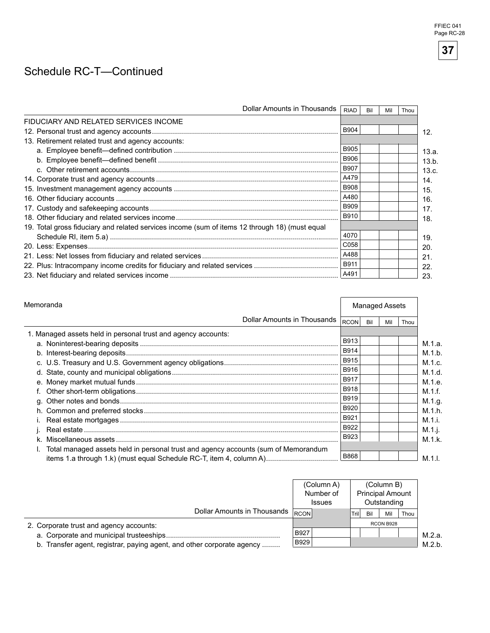# Schedule RC-T-Continued

| Dollar Amounts in Thousands                                                                    | <b>RIAD</b> | Bil | Mil | Thou |
|------------------------------------------------------------------------------------------------|-------------|-----|-----|------|
| FIDUCIARY AND RELATED SERVICES INCOME                                                          |             |     |     |      |
|                                                                                                | B904        |     |     |      |
| 13. Retirement related trust and agency accounts:                                              |             |     |     |      |
|                                                                                                | <b>B905</b> |     |     |      |
|                                                                                                | <b>B906</b> |     |     |      |
|                                                                                                | <b>B907</b> |     |     |      |
|                                                                                                | A479        |     |     |      |
|                                                                                                | <b>B908</b> |     |     |      |
|                                                                                                | A480        |     |     |      |
|                                                                                                | <b>B909</b> |     |     |      |
|                                                                                                | B910        |     |     |      |
| 19. Total gross fiduciary and related services income (sum of items 12 through 18) (must equal |             |     |     |      |
|                                                                                                | 4070        |     |     |      |
|                                                                                                | C058        |     |     |      |
|                                                                                                | A488        |     |     |      |
|                                                                                                | <b>B911</b> |     |     |      |
|                                                                                                | A491        |     |     |      |

| Memoranda                                                                          |                             | <b>Managed Assets</b> |     |     |      |  |
|------------------------------------------------------------------------------------|-----------------------------|-----------------------|-----|-----|------|--|
|                                                                                    | Dollar Amounts in Thousands | <b>RCON</b>           | Bil | Mil | Thou |  |
| 1. Managed assets held in personal trust and agency accounts:                      |                             |                       |     |     |      |  |
|                                                                                    |                             | B913                  |     |     |      |  |
|                                                                                    |                             | B914                  |     |     |      |  |
|                                                                                    |                             | B915                  |     |     |      |  |
|                                                                                    |                             | B916                  |     |     |      |  |
|                                                                                    |                             | B917                  |     |     |      |  |
|                                                                                    |                             | <b>B918</b>           |     |     |      |  |
|                                                                                    |                             | B919                  |     |     |      |  |
|                                                                                    |                             | B920                  |     |     |      |  |
|                                                                                    |                             | B921                  |     |     |      |  |
|                                                                                    |                             | B922                  |     |     |      |  |
|                                                                                    |                             | B923                  |     |     |      |  |
| Total managed assets held in personal trust and agency accounts (sum of Memorandum |                             |                       |     |     |      |  |
| items 1.a through 1.k) (must equal Schedule RC-T, item 4, column A)                |                             | B868                  |     |     |      |  |

|                                                                        |      | (Column A)<br>Number of<br><b>Issues</b> |       |     | (Column B)<br><b>Principal Amount</b><br>Outstanding |      |        |
|------------------------------------------------------------------------|------|------------------------------------------|-------|-----|------------------------------------------------------|------|--------|
| Dollar Amounts in Thousands RCON                                       |      |                                          | Trill | Bil | Mil                                                  | Thou |        |
| 2. Corporate trust and agency accounts:                                |      |                                          |       |     | RCON B928                                            |      |        |
| a. Corporate and municipal trusteeships                                | B927 |                                          |       |     |                                                      |      | M.2.a. |
| b. Transfer agent, registrar, paying agent, and other corporate agency | B929 |                                          |       |     |                                                      |      | M.2 h. |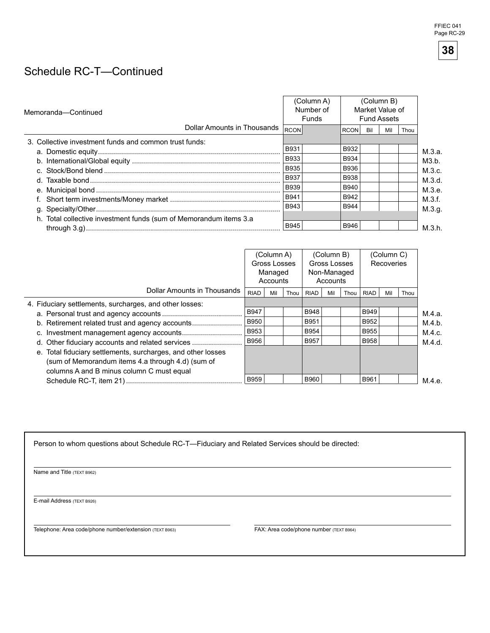# Schedule RC-T-Continued

| Memoranda-Continued                                               |             | (Column A)<br>Number of<br><b>Funds</b> |             |     | (Column B)<br>Market Value of<br><b>Fund Assets</b> |      |        |
|-------------------------------------------------------------------|-------------|-----------------------------------------|-------------|-----|-----------------------------------------------------|------|--------|
| Dollar Amounts in Thousands                                       | RCON        |                                         | <b>RCON</b> | Bil | Mil                                                 | Thou |        |
| 3. Collective investment funds and common trust funds:            |             |                                         |             |     |                                                     |      |        |
|                                                                   | <b>B931</b> |                                         | B932        |     |                                                     |      | М.3.а. |
|                                                                   | <b>B933</b> |                                         | <b>B934</b> |     |                                                     |      | M3.b.  |
|                                                                   | <b>B935</b> |                                         | B936        |     |                                                     |      | M.3.c. |
|                                                                   | <b>B937</b> |                                         | <b>B938</b> |     |                                                     |      | M.3.d. |
|                                                                   | <b>B939</b> |                                         | <b>B940</b> |     |                                                     |      | M.3.e. |
|                                                                   | B941        |                                         | B942        |     |                                                     |      | M.3.f. |
|                                                                   | <b>B943</b> |                                         | <b>B944</b> |     |                                                     |      | M.3.g. |
| h. Total collective investment funds (sum of Memorandum items 3.a |             |                                         |             |     |                                                     |      |        |
|                                                                   | <b>B945</b> |                                         | B946        |     |                                                     |      | M.3.h. |

|                                                                                                                   | (Column A)<br>Gross Losses<br>Managed<br>Accounts |     | (Column B)<br>Gross Losses<br>Non-Managed<br>Accounts |             |     | (Column C)<br>Recoveries |             |     |      |        |
|-------------------------------------------------------------------------------------------------------------------|---------------------------------------------------|-----|-------------------------------------------------------|-------------|-----|--------------------------|-------------|-----|------|--------|
| Dollar Amounts in Thousands                                                                                       | <b>RIAD</b>                                       | Mil | Thou                                                  | <b>RIAD</b> | Mil | Thou                     | <b>RIAD</b> | Mil | Thou |        |
| 4. Fiduciary settlements, surcharges, and other losses:                                                           |                                                   |     |                                                       |             |     |                          |             |     |      |        |
|                                                                                                                   | <b>B947</b>                                       |     |                                                       | <b>B948</b> |     |                          | B949        |     |      | M.4.a. |
| b. Retirement related trust and agency accounts                                                                   | <b>B950</b>                                       |     |                                                       | B951        |     |                          | B952        |     |      | M.4.b. |
|                                                                                                                   | B953                                              |     |                                                       | B954        |     |                          | <b>B955</b> |     |      | M.4.c. |
| d. Other fiduciary accounts and related services                                                                  | <b>B956</b>                                       |     |                                                       | B957        |     |                          | <b>B958</b> |     |      | M.4.d. |
| e. Total fiduciary settlements, surcharges, and other losses<br>(sum of Memorandum items 4.a through 4.d) (sum of |                                                   |     |                                                       |             |     |                          |             |     |      |        |
| columns A and B minus column C must equal                                                                         | <b>B959</b>                                       |     |                                                       | B960        |     |                          | B961        |     |      | M.4.e. |

Person to whom questions about Schedule RC-T-Fiduciary and Related Services should be directed:

Name and Title (TEXT B962)

E-mail Address (TEXT B926)

Telephone: Area code/phone number/extension (TEXT B963) FAX: Area code/phone number (TEXT B964)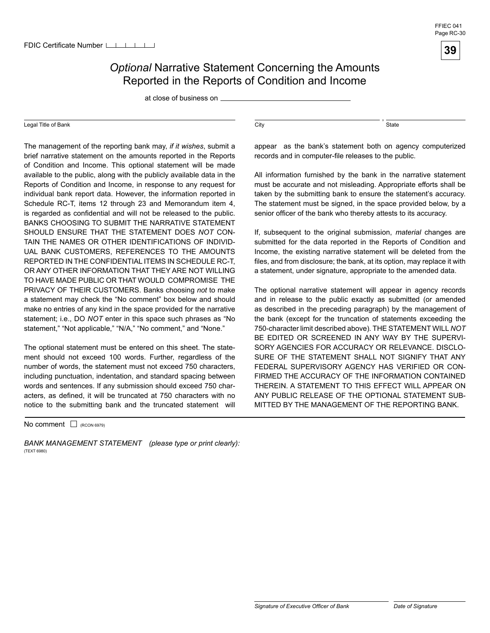

at close of business on

#### Legal Title of Bank

The management of the reporting bank may, *if it wishes*, submit a brief narrative statement on the amounts reported in the Reports of Condition and Income. This optional statement will be made available to the public, along with the publicly available data in the Reports of Condition and Income, in response to any request for individual bank report data. However, the information reported in Schedule RC-T, items 12 through 23 and Memorandum item 4, is regarded as confidential and will not be released to the public. BANKS CHOOSING TO SUBMIT THE NARRATIVE STATEMENT SHOULD ENSURE THAT THE STATEMENT DOES *NOT* CON-TAIN THE NAMES OR OTHER IDENTIFICATIONS OF INDIVID-UAL BANK CUSTOMERS, REFERENCES TO THE AMOUNTS REPORTED IN THE CONFIDENTIAL ITEMS IN SCHEDULE RC-T, OR ANY OTHER INFORMATION THAT THEY ARE NOT WILLING. TO HAVE MADE PUBLIC OR THAT WOULD COMPROMISE THE PRIVACY OF THEIR CUSTOMERS. Banks choosing *not* to make a statement may check the "No comment" box below and should make no entries of any kind in the space provided for the narrative statement; i.e., DO *NOT* enter in this space such phrases as "No statement," "Not applicable," "N/A," "No comment," and "None."

The optional statement must be entered on this sheet. The statement should not exceed 100 words. Further, regardless of the number of words, the statement must not exceed 750 characters, including punctuation, indentation, and standard spacing between words and sentences. If any submission should exceed 750 characters, as defined, it will be truncated at 750 characters with no notice to the submitting bank and the truncated statement will

No comment  $\Box$  (RCON 6979)

*BANK MANAGEMENT STATEMENT (please type or print clearly):*  (TEXT 6980)

, which is a state of the state of the state of the state of the state of the state of the state of the state of the state of the state of the state of the state of the state of the state of the state of the state of the s

appear as the bank's statement both on agency computerized records and in computer-file releases to the public.

All information furnished by the bank in the narrative statement must be accurate and not misleading. Appropriate efforts shall be taken by the submitting bank to ensure the statement's accuracy. The statement must be signed, in the space provided below, by a senior officer of the bank who thereby attests to its accuracy.

If, subsequent to the original submission, *material* changes are submitted for the data reported in the Reports of Condition and Income, the existing narrative statement will be deleted from the files, and from disclosure; the bank, at its option, may replace it with a statement, under signature, appropriate to the amended data.

The optional narrative statement will appear in agency records and in release to the public exactly as submitted (or amended as described in the preceding paragraph) by the management of the bank (except for the truncation of statements exceeding the 750-character limit described above). THE STATEMENT WILL *NOT*  BE EDITED OR SCREENED IN ANY WAY BY THE SUPERVI-SORY AGENCIES FOR ACCURACY OR RELEVANCE. DISCLO-SURE OF THE STATEMENT SHALL NOT SIGNIFY THAT ANY FEDERAL SUPERVISORY AGENCY HAS VERIFIED OR CON-FIRMED THE ACCURACY OF THE INFORMATION CONTAINED THEREIN. A STATEMENT TO THIS EFFECT WILL APPEAR ON ANY PUBLIC RELEASE OF THE OPTIONAL STATEMENT SUB-MITTED BY THE MANAGEMENT OF THE REPORTING BANK.